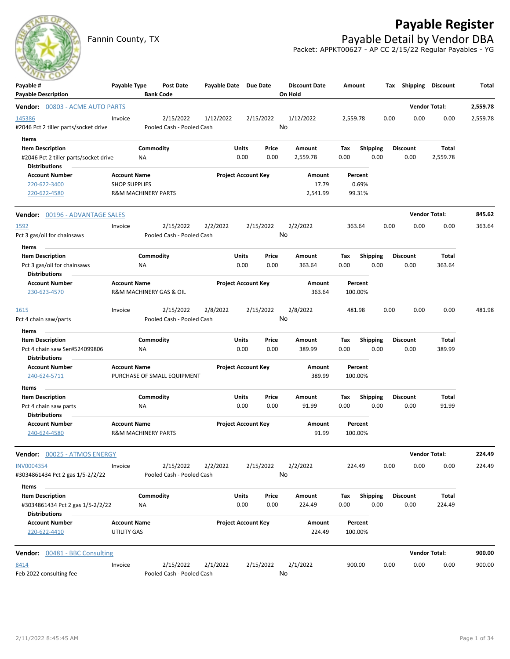# **Payable Register**



Fannin County, TX **Payable Detail by Vendor DBA** Packet: APPKT00627 - AP CC 2/15/22 Regular Payables - YG

| $-1$<br>Payable #<br><b>Payable Description</b>                           | Payable Type                                          |                        | <b>Post Date</b><br><b>Bank Code</b>   | Payable Date Due Date |                            |               | <b>Discount Date</b><br>On Hold | Amount      |                         |      | Tax Shipping Discount   |                      | Total    |
|---------------------------------------------------------------------------|-------------------------------------------------------|------------------------|----------------------------------------|-----------------------|----------------------------|---------------|---------------------------------|-------------|-------------------------|------|-------------------------|----------------------|----------|
| Vendor: 00803 - ACME AUTO PARTS                                           |                                                       |                        |                                        |                       |                            |               |                                 |             |                         |      |                         | <b>Vendor Total:</b> | 2,559.78 |
| 145386<br>#2046 Pct 2 tiller parts/socket drive                           | Invoice                                               |                        | 2/15/2022<br>Pooled Cash - Pooled Cash | 1/12/2022             |                            | 2/15/2022     | 1/12/2022<br>No                 | 2,559.78    |                         | 0.00 | 0.00                    | 0.00                 | 2,559.78 |
| Items<br><b>Item Description</b><br>#2046 Pct 2 tiller parts/socket drive |                                                       | Commodity<br><b>NA</b> |                                        |                       | <b>Units</b><br>0.00       | Price<br>0.00 | Amount<br>2,559.78              | Tax<br>0.00 | <b>Shipping</b><br>0.00 |      | <b>Discount</b><br>0.00 | Total<br>2,559.78    |          |
| <b>Distributions</b>                                                      |                                                       |                        |                                        |                       |                            |               |                                 |             |                         |      |                         |                      |          |
| <b>Account Number</b><br>220-622-3400                                     | <b>Account Name</b><br><b>SHOP SUPPLIES</b>           |                        |                                        |                       | <b>Project Account Key</b> |               | Amount<br>17.79                 |             | Percent<br>0.69%        |      |                         |                      |          |
| 220-622-4580                                                              | <b>R&amp;M MACHINERY PARTS</b>                        |                        |                                        |                       |                            |               | 2,541.99                        |             | 99.31%                  |      |                         |                      |          |
| Vendor: 00196 - ADVANTAGE SALES                                           |                                                       |                        |                                        |                       |                            |               |                                 |             |                         |      |                         | <b>Vendor Total:</b> | 845.62   |
| 1592                                                                      | Invoice                                               |                        | 2/15/2022                              | 2/2/2022              |                            | 2/15/2022     | 2/2/2022                        | 363.64      |                         | 0.00 | 0.00                    | 0.00                 | 363.64   |
| Pct 3 gas/oil for chainsaws                                               |                                                       |                        | Pooled Cash - Pooled Cash              |                       |                            |               | No                              |             |                         |      |                         |                      |          |
| Items                                                                     |                                                       |                        |                                        |                       |                            |               |                                 |             |                         |      |                         |                      |          |
| <b>Item Description</b><br>Pct 3 gas/oil for chainsaws                    |                                                       | Commodity<br><b>NA</b> |                                        |                       | <b>Units</b><br>0.00       | Price<br>0.00 | Amount<br>363.64                | Tax<br>0.00 | <b>Shipping</b><br>0.00 |      | <b>Discount</b><br>0.00 | Total<br>363.64      |          |
| <b>Distributions</b>                                                      |                                                       |                        |                                        |                       |                            |               |                                 |             |                         |      |                         |                      |          |
| <b>Account Number</b><br>230-623-4570                                     | <b>Account Name</b>                                   |                        | R&M MACHINERY GAS & OIL                |                       | <b>Project Account Key</b> |               | Amount<br>363.64                | 100.00%     | Percent                 |      |                         |                      |          |
| <u>1615</u>                                                               | Invoice                                               |                        | 2/15/2022                              | 2/8/2022              |                            | 2/15/2022     | 2/8/2022                        | 481.98      |                         | 0.00 | 0.00                    | 0.00                 | 481.98   |
| Pct 4 chain saw/parts                                                     |                                                       |                        | Pooled Cash - Pooled Cash              |                       |                            |               | No                              |             |                         |      |                         |                      |          |
| Items<br><b>Item Description</b>                                          |                                                       | Commodity              |                                        |                       | <b>Units</b>               | Price         | Amount                          | Tax         | <b>Shipping</b>         |      | <b>Discount</b>         | Total                |          |
| Pct 4 chain saw Ser#524099806                                             |                                                       | <b>NA</b>              |                                        |                       | 0.00                       | 0.00          | 389.99                          | 0.00        | 0.00                    |      | 0.00                    | 389.99               |          |
| <b>Distributions</b><br><b>Account Number</b>                             | <b>Account Name</b>                                   |                        |                                        |                       | <b>Project Account Key</b> |               | Amount                          |             | Percent                 |      |                         |                      |          |
| 240-624-5711                                                              |                                                       |                        | PURCHASE OF SMALL EQUIPMENT            |                       |                            |               | 389.99                          | 100.00%     |                         |      |                         |                      |          |
| Items                                                                     |                                                       |                        |                                        |                       |                            |               |                                 |             |                         |      |                         |                      |          |
| <b>Item Description</b>                                                   |                                                       | Commodity              |                                        |                       | <b>Units</b>               | Price         | Amount                          | Tax         | <b>Shipping</b>         |      | <b>Discount</b>         | Total                |          |
| Pct 4 chain saw parts<br>Distributions                                    |                                                       | <b>NA</b>              |                                        |                       | 0.00                       | 0.00          | 91.99                           | 0.00        | 0.00                    |      | 0.00                    | 91.99                |          |
| <b>Account Number</b><br>240-624-4580                                     | <b>Account Name</b><br><b>R&amp;M MACHINERY PARTS</b> |                        |                                        |                       | <b>Project Account Key</b> |               | Amount<br>91.99                 | 100.00%     | Percent                 |      |                         |                      |          |
| Vendor: 00025 - ATMOS ENERGY                                              |                                                       |                        |                                        |                       |                            |               |                                 |             |                         |      |                         | <b>Vendor Total:</b> | 224.49   |
| <b>INV0004354</b><br>#3034861434 Pct 2 gas 1/5-2/2/22                     | Invoice                                               |                        | 2/15/2022<br>Pooled Cash - Pooled Cash | 2/2/2022              |                            | 2/15/2022     | 2/2/2022<br>No                  | 224.49      |                         | 0.00 | 0.00                    | 0.00                 | 224.49   |
| Items                                                                     |                                                       |                        |                                        |                       |                            |               |                                 |             |                         |      |                         |                      |          |
| <b>Item Description</b><br>#3034861434 Pct 2 gas 1/5-2/2/22               |                                                       | Commodity<br><b>NA</b> |                                        |                       | <b>Units</b><br>0.00       | Price<br>0.00 | Amount<br>224.49                | Tax<br>0.00 | Shipping<br>0.00        |      | <b>Discount</b><br>0.00 | Total<br>224.49      |          |
| <b>Distributions</b><br><b>Account Number</b>                             | <b>Account Name</b>                                   |                        |                                        |                       | <b>Project Account Key</b> |               | Amount                          |             | Percent                 |      |                         |                      |          |
| 220-622-4410                                                              | UTILITY GAS                                           |                        |                                        |                       |                            |               | 224.49                          | 100.00%     |                         |      |                         |                      |          |
| <b>Vendor:</b> 00481 - BBC Consulting                                     |                                                       |                        |                                        |                       |                            |               |                                 |             |                         |      |                         | <b>Vendor Total:</b> | 900.00   |
| 8414                                                                      | Invoice                                               |                        | 2/15/2022                              | 2/1/2022              |                            | 2/15/2022     | 2/1/2022                        | 900.00      |                         | 0.00 | 0.00                    | 0.00                 | 900.00   |
| Feb 2022 consulting fee                                                   |                                                       |                        | Pooled Cash - Pooled Cash              |                       |                            |               | No                              |             |                         |      |                         |                      |          |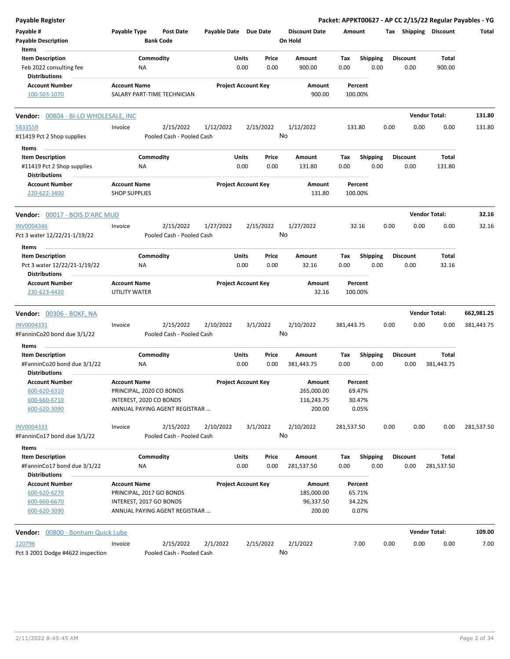| <b>Payable Register</b>                                                        |                                             |                         |                                        |                       |                            |               |                                 |                    |                         |      |                         |                       | Packet: APPKT00627 - AP CC 2/15/22 Regular Payables - YG |
|--------------------------------------------------------------------------------|---------------------------------------------|-------------------------|----------------------------------------|-----------------------|----------------------------|---------------|---------------------------------|--------------------|-------------------------|------|-------------------------|-----------------------|----------------------------------------------------------|
| Payable #<br><b>Payable Description</b><br>Items                               | Payable Type                                |                         | <b>Post Date</b><br><b>Bank Code</b>   | Payable Date Due Date |                            |               | <b>Discount Date</b><br>On Hold | Amount             |                         |      |                         | Tax Shipping Discount | Total                                                    |
| <b>Item Description</b><br>Feb 2022 consulting fee<br><b>Distributions</b>     |                                             | Commodity<br>NA         |                                        |                       | Units<br>0.00              | Price<br>0.00 | Amount<br>900.00                | Tax<br>0.00        | <b>Shipping</b><br>0.00 |      | <b>Discount</b><br>0.00 | Total<br>900.00       |                                                          |
| <b>Account Number</b><br>100-503-1070                                          | <b>Account Name</b>                         |                         | SALARY PART-TIME TECHNICIAN            |                       | <b>Project Account Key</b> |               | Amount<br>900.00                | Percent<br>100.00% |                         |      |                         |                       |                                                          |
| Vendor: 00804 - BI-LO WHOLESALE, INC                                           |                                             |                         |                                        |                       |                            |               |                                 |                    |                         |      |                         | <b>Vendor Total:</b>  | 131.80                                                   |
| 5833559<br>#11419 Pct 2 Shop supplies                                          | Invoice                                     |                         | 2/15/2022<br>Pooled Cash - Pooled Cash | 1/12/2022             |                            | 2/15/2022     | 1/12/2022<br>No                 | 131.80             |                         | 0.00 | 0.00                    | 0.00                  | 131.80                                                   |
| Items                                                                          |                                             |                         |                                        |                       |                            |               |                                 |                    |                         |      |                         |                       |                                                          |
| <b>Item Description</b><br>#11419 Pct 2 Shop supplies                          |                                             | Commodity<br>ΝA         |                                        |                       | Units<br>0.00              | Price<br>0.00 | Amount<br>131.80                | Tax<br>0.00        | <b>Shipping</b><br>0.00 |      | <b>Discount</b><br>0.00 | Total<br>131.80       |                                                          |
| <b>Distributions</b><br><b>Account Number</b><br>220-622-3400                  | <b>Account Name</b><br><b>SHOP SUPPLIES</b> |                         |                                        |                       | <b>Project Account Key</b> |               | Amount<br>131.80                | Percent<br>100.00% |                         |      |                         |                       |                                                          |
| <b>Vendor:</b> 00017 - BOIS D'ARC MUD                                          |                                             |                         |                                        |                       |                            |               |                                 |                    |                         |      |                         | <b>Vendor Total:</b>  | 32.16                                                    |
| <b>INV0004346</b><br>Pct 3 water 12/22/21-1/19/22                              | Invoice                                     |                         | 2/15/2022<br>Pooled Cash - Pooled Cash | 1/27/2022             |                            | 2/15/2022     | 1/27/2022<br>No                 | 32.16              |                         | 0.00 | 0.00                    | 0.00                  | 32.16                                                    |
| Items                                                                          |                                             |                         |                                        |                       |                            |               |                                 |                    |                         |      |                         |                       |                                                          |
| <b>Item Description</b>                                                        |                                             | Commodity               |                                        |                       | Units                      | Price         | Amount                          | Tax                | Shipping                |      | <b>Discount</b>         | Total                 |                                                          |
| Pct 3 water 12/22/21-1/19/22<br><b>Distributions</b>                           |                                             | ΝA                      |                                        |                       | 0.00                       | 0.00          | 32.16                           | 0.00               | 0.00                    |      | 0.00                    | 32.16                 |                                                          |
| <b>Account Number</b>                                                          | <b>Account Name</b>                         |                         |                                        |                       | <b>Project Account Key</b> |               | Amount                          | Percent            |                         |      |                         |                       |                                                          |
| 230-623-4420                                                                   | UTILITY WATER                               |                         |                                        |                       |                            |               | 32.16                           | 100.00%            |                         |      |                         |                       |                                                          |
| <b>Vendor: 00306 - BOKF, NA</b>                                                |                                             |                         |                                        |                       |                            |               |                                 |                    |                         |      |                         | <b>Vendor Total:</b>  | 662,981.25                                               |
| INV0004331                                                                     | Invoice                                     |                         | 2/15/2022                              | 2/10/2022             |                            | 3/1/2022      | 2/10/2022                       | 381,443.75         |                         | 0.00 | 0.00                    | 0.00                  | 381,443.75                                               |
| #FanninCo20 bond due 3/1/22                                                    |                                             |                         | Pooled Cash - Pooled Cash              |                       |                            |               | No                              |                    |                         |      |                         |                       |                                                          |
| Items                                                                          |                                             |                         |                                        |                       |                            |               |                                 |                    |                         |      |                         |                       |                                                          |
| <b>Item Description</b><br>#FanninCo20 bond due 3/1/22<br><b>Distributions</b> |                                             | Commodity<br>ΝA         |                                        |                       | Units<br>0.00              | Price<br>0.00 | Amount<br>381,443.75            | Tax<br>0.00        | <b>Shipping</b><br>0.00 |      | <b>Discount</b><br>0.00 | Total<br>381,443.75   |                                                          |
| <b>Account Number</b>                                                          | <b>Account Name</b>                         |                         |                                        |                       | <b>Project Account Key</b> |               | Amount                          | Percent            |                         |      |                         |                       |                                                          |
| 600-620-6310                                                                   |                                             |                         | PRINCIPAL, 2020 CO BONDS               |                       |                            |               | 265,000.00                      |                    | 69.47%                  |      |                         |                       |                                                          |
| 600-660-6710                                                                   |                                             | INTEREST, 2020 CO BONDS | ANNUAL PAYING AGENT REGISTRAR          |                       |                            |               | 116,243.75<br>200.00            |                    | 30.47%<br>0.05%         |      |                         |                       |                                                          |
| 600-620-3090                                                                   |                                             |                         |                                        |                       |                            |               |                                 |                    |                         |      |                         |                       |                                                          |
| <b>INV0004333</b><br>#FanninCo17 bond due 3/1/22                               | Invoice                                     |                         | 2/15/2022<br>Pooled Cash - Pooled Cash | 2/10/2022             |                            | 3/1/2022      | 2/10/2022<br>No                 | 281,537.50         |                         | 0.00 | 0.00                    | 0.00                  | 281,537.50                                               |
| Items                                                                          |                                             |                         |                                        |                       |                            |               |                                 |                    |                         |      |                         |                       |                                                          |
| <b>Item Description</b><br>#FanninCo17 bond due 3/1/22                         |                                             | Commodity<br>NA         |                                        |                       | Units<br>0.00              | Price<br>0.00 | Amount<br>281,537.50            | Tax<br>0.00        | <b>Shipping</b><br>0.00 |      | <b>Discount</b><br>0.00 | Total<br>281,537.50   |                                                          |
| <b>Distributions</b>                                                           |                                             |                         |                                        |                       |                            |               |                                 |                    |                         |      |                         |                       |                                                          |
| <b>Account Number</b>                                                          | <b>Account Name</b>                         |                         |                                        |                       | <b>Project Account Key</b> |               | Amount                          | Percent            |                         |      |                         |                       |                                                          |
| 600-620-6270<br>600-660-6670                                                   |                                             | INTEREST, 2017 GO BONDS | PRINCIPAL, 2017 GO BONDS               |                       |                            |               | 185,000.00<br>96,337.50         |                    | 65.71%<br>34.22%        |      |                         |                       |                                                          |
| 600-620-3090                                                                   |                                             |                         | ANNUAL PAYING AGENT REGISTRAR          |                       |                            |               | 200.00                          |                    | 0.07%                   |      |                         |                       |                                                          |
| Vendor: 00800 - Bonham Quick Lube                                              |                                             |                         |                                        |                       |                            |               |                                 |                    |                         |      |                         | <b>Vendor Total:</b>  | 109.00                                                   |
| 120796                                                                         | Invoice                                     |                         | 2/15/2022                              | 2/1/2022              |                            | 2/15/2022     | 2/1/2022                        |                    | 7.00                    | 0.00 | 0.00                    | 0.00                  | 7.00                                                     |
| Pct 3 2001 Dodge #4622 inspection                                              |                                             |                         | Pooled Cash - Pooled Cash              |                       |                            |               | No                              |                    |                         |      |                         |                       |                                                          |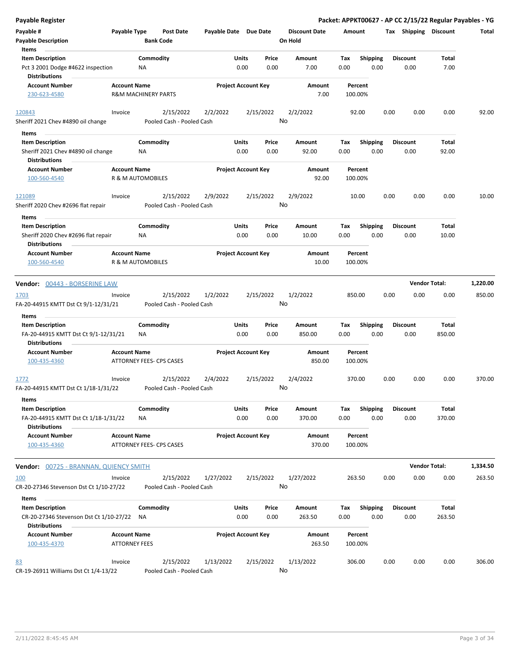| Payable Register                                                                      |                                                 |                        |                                        |                            |                            |                 |                                 |                    |                         |      |                         | Packet: APPKT00627 - AP CC 2/15/22 Regular Payables - YG |          |
|---------------------------------------------------------------------------------------|-------------------------------------------------|------------------------|----------------------------------------|----------------------------|----------------------------|-----------------|---------------------------------|--------------------|-------------------------|------|-------------------------|----------------------------------------------------------|----------|
| Payable #<br><b>Payable Description</b>                                               | Payable Type                                    | <b>Bank Code</b>       | Post Date                              | Payable Date Due Date      |                            |                 | <b>Discount Date</b><br>On Hold | Amount             |                         |      | Tax Shipping Discount   |                                                          | Total    |
| Items<br><b>Item Description</b>                                                      |                                                 | Commodity              |                                        |                            | Units                      | Price           | Amount                          | Tax                | <b>Shipping</b>         |      | <b>Discount</b>         | Total                                                    |          |
| Pct 3 2001 Dodge #4622 inspection<br><b>Distributions</b>                             |                                                 | ΝA                     |                                        |                            | 0.00                       | 0.00            | 7.00                            | 0.00               | 0.00                    |      | 0.00                    | 7.00                                                     |          |
| <b>Account Number</b>                                                                 | <b>Account Name</b>                             |                        |                                        |                            | <b>Project Account Key</b> |                 | Amount                          | Percent            |                         |      |                         |                                                          |          |
| 230-623-4580                                                                          | R&M MACHINERY PARTS                             |                        |                                        |                            |                            |                 | 7.00                            | 100.00%            |                         |      |                         |                                                          |          |
| 120843                                                                                | Invoice                                         |                        | 2/15/2022                              | 2/2/2022                   |                            | 2/15/2022       | 2/2/2022                        | 92.00              |                         | 0.00 | 0.00                    | 0.00                                                     | 92.00    |
| Sheriff 2021 Chev #4890 oil change                                                    |                                                 |                        | Pooled Cash - Pooled Cash              |                            |                            | No              |                                 |                    |                         |      |                         |                                                          |          |
| Items                                                                                 |                                                 |                        |                                        |                            |                            |                 |                                 |                    |                         |      |                         |                                                          |          |
| <b>Item Description</b><br>Sheriff 2021 Chev #4890 oil change<br><b>Distributions</b> |                                                 | Commodity<br>ΝA        |                                        |                            | Units<br>0.00              | Price<br>0.00   | Amount<br>92.00                 | Tax<br>0.00        | <b>Shipping</b><br>0.00 |      | <b>Discount</b><br>0.00 | Total<br>92.00                                           |          |
| <b>Account Number</b>                                                                 | <b>Account Name</b>                             |                        |                                        | <b>Project Account Key</b> |                            |                 | Amount                          | Percent            |                         |      |                         |                                                          |          |
| 100-560-4540                                                                          | R & M AUTOMOBILES                               |                        |                                        |                            |                            |                 | 92.00                           | 100.00%            |                         |      |                         |                                                          |          |
| 121089                                                                                | Invoice                                         |                        | 2/15/2022                              | 2/9/2022                   |                            | 2/15/2022       | 2/9/2022                        | 10.00              |                         | 0.00 | 0.00                    | 0.00                                                     | 10.00    |
| Sheriff 2020 Chev #2696 flat repair                                                   |                                                 |                        | Pooled Cash - Pooled Cash              |                            |                            | No              |                                 |                    |                         |      |                         |                                                          |          |
| Items                                                                                 |                                                 |                        |                                        |                            |                            |                 |                                 |                    |                         |      |                         |                                                          |          |
| <b>Item Description</b><br>Sheriff 2020 Chev #2696 flat repair                        |                                                 | Commodity<br><b>NA</b> |                                        |                            | Units<br>0.00              | Price<br>0.00   | Amount<br>10.00                 | Tax<br>0.00        | <b>Shipping</b><br>0.00 |      | <b>Discount</b><br>0.00 | Total<br>10.00                                           |          |
| <b>Distributions</b><br><b>Account Number</b>                                         | <b>Account Name</b>                             |                        |                                        |                            | <b>Project Account Key</b> |                 | Amount                          | Percent            |                         |      |                         |                                                          |          |
| 100-560-4540                                                                          | R & M AUTOMOBILES                               |                        |                                        |                            |                            |                 | 10.00                           | 100.00%            |                         |      |                         |                                                          |          |
|                                                                                       |                                                 |                        |                                        |                            |                            |                 |                                 |                    |                         |      | <b>Vendor Total:</b>    |                                                          | 1,220.00 |
| Vendor: 00443 - BORSERINE LAW                                                         |                                                 |                        |                                        |                            |                            |                 |                                 |                    |                         |      |                         |                                                          |          |
| 1703<br>FA-20-44915 KMTT Dst Ct 9/1-12/31/21                                          | Invoice                                         |                        | 2/15/2022<br>Pooled Cash - Pooled Cash | 1/2/2022                   |                            | 2/15/2022<br>No | 1/2/2022                        | 850.00             |                         | 0.00 | 0.00                    | 0.00                                                     | 850.00   |
| Items                                                                                 |                                                 |                        |                                        |                            |                            |                 |                                 |                    |                         |      |                         |                                                          |          |
| <b>Item Description</b>                                                               |                                                 | Commodity              |                                        |                            | Units                      | Price           | Amount                          | Tax                | <b>Shipping</b>         |      | <b>Discount</b>         | Total                                                    |          |
| FA-20-44915 KMTT Dst Ct 9/1-12/31/21<br><b>Distributions</b>                          |                                                 | ΝA                     |                                        |                            | 0.00                       | 0.00            | 850.00                          | 0.00               | 0.00                    |      | 0.00                    | 850.00                                                   |          |
| <b>Account Number</b>                                                                 | <b>Account Name</b>                             |                        |                                        |                            | <b>Project Account Key</b> |                 | Amount                          | Percent            |                         |      |                         |                                                          |          |
| 100-435-4360                                                                          | ATTORNEY FEES- CPS CASES                        |                        |                                        |                            |                            |                 | 850.00                          | 100.00%            |                         |      |                         |                                                          |          |
| <u>1772</u>                                                                           | Invoice                                         |                        | 2/15/2022                              | 2/4/2022                   |                            | 2/15/2022       | 2/4/2022                        | 370.00             |                         | 0.00 | 0.00                    | 0.00                                                     | 370.00   |
| FA-20-44915 KMTT Dst Ct 1/18-1/31/22                                                  |                                                 |                        | Pooled Cash - Pooled Cash              |                            |                            | No              |                                 |                    |                         |      |                         |                                                          |          |
| Items                                                                                 |                                                 |                        |                                        |                            |                            |                 |                                 |                    |                         |      |                         |                                                          |          |
| <b>Item Description</b>                                                               |                                                 | Commodity              |                                        |                            | Units                      | Price           | Amount                          | Tax                | <b>Shipping</b>         |      | <b>Discount</b>         | Total                                                    |          |
| FA-20-44915 KMTT Dst Ct 1/18-1/31/22<br><b>Distributions</b>                          |                                                 | ΝA                     |                                        |                            | 0.00                       | 0.00            | 370.00                          | 0.00               | 0.00                    |      | 0.00                    | 370.00                                                   |          |
| <b>Account Number</b><br>100-435-4360                                                 | <b>Account Name</b><br>ATTORNEY FEES- CPS CASES |                        |                                        |                            | <b>Project Account Key</b> |                 | Amount<br>370.00                | Percent<br>100.00% |                         |      |                         |                                                          |          |
| Vendor: 00725 - BRANNAN, QUIENCY SMITH                                                |                                                 |                        |                                        |                            |                            |                 |                                 |                    |                         |      |                         | <b>Vendor Total:</b>                                     | 1,334.50 |
| <u>100</u>                                                                            | Invoice                                         |                        | 2/15/2022                              | 1/27/2022                  |                            | 2/15/2022       | 1/27/2022                       | 263.50             |                         | 0.00 | 0.00                    | 0.00                                                     | 263.50   |
| CR-20-27346 Stevenson Dst Ct 1/10-27/22                                               |                                                 |                        | Pooled Cash - Pooled Cash              |                            |                            | No              |                                 |                    |                         |      |                         |                                                          |          |
| Items                                                                                 |                                                 |                        |                                        |                            |                            |                 |                                 |                    |                         |      |                         |                                                          |          |
| <b>Item Description</b>                                                               |                                                 | Commodity              |                                        |                            | Units                      | Price           | Amount                          | Tax                | Shipping                |      | <b>Discount</b>         | Total                                                    |          |
| CR-20-27346 Stevenson Dst Ct 1/10-27/22<br><b>Distributions</b>                       |                                                 | <b>NA</b>              |                                        |                            | 0.00                       | 0.00            | 263.50                          | 0.00               | 0.00                    |      | 0.00                    | 263.50                                                   |          |
| <b>Account Number</b><br>100-435-4370                                                 | <b>Account Name</b><br><b>ATTORNEY FEES</b>     |                        |                                        |                            | <b>Project Account Key</b> |                 | Amount<br>263.50                | Percent<br>100.00% |                         |      |                         |                                                          |          |
|                                                                                       |                                                 |                        |                                        |                            |                            |                 |                                 |                    |                         |      |                         |                                                          |          |
| 83<br>CR-19-26911 Williams Dst Ct 1/4-13/22                                           | Invoice                                         |                        | 2/15/2022<br>Pooled Cash - Pooled Cash | 1/13/2022                  |                            | 2/15/2022<br>No | 1/13/2022                       | 306.00             |                         | 0.00 | 0.00                    | 0.00                                                     | 306.00   |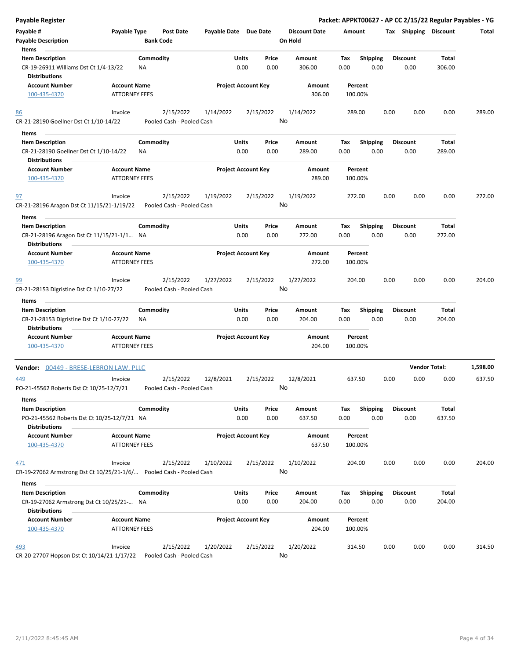| <b>Payable Register</b>                                                     |                                             |                  |                                        |                       |                            |                 |                      |             |                         |      |                       | Packet: APPKT00627 - AP CC 2/15/22 Regular Payables - YG |          |
|-----------------------------------------------------------------------------|---------------------------------------------|------------------|----------------------------------------|-----------------------|----------------------------|-----------------|----------------------|-------------|-------------------------|------|-----------------------|----------------------------------------------------------|----------|
| Payable #                                                                   | Payable Type                                |                  | <b>Post Date</b>                       | Payable Date Due Date |                            |                 | <b>Discount Date</b> | Amount      |                         |      | Tax Shipping Discount |                                                          | Total    |
| <b>Payable Description</b>                                                  |                                             | <b>Bank Code</b> |                                        |                       |                            |                 | On Hold              |             |                         |      |                       |                                                          |          |
| Items                                                                       |                                             |                  |                                        |                       |                            |                 |                      |             |                         |      |                       |                                                          |          |
| <b>Item Description</b>                                                     |                                             | Commodity        |                                        |                       | Units                      | Price           | Amount               | Tax         | <b>Shipping</b>         |      | Discount              | Total                                                    |          |
| CR-19-26911 Williams Dst Ct 1/4-13/22<br>Distributions                      |                                             | NA               |                                        |                       | 0.00                       | 0.00            | 306.00               | 0.00        | 0.00                    |      | 0.00                  | 306.00                                                   |          |
| <b>Account Number</b>                                                       | <b>Account Name</b>                         |                  |                                        |                       | <b>Project Account Key</b> |                 | Amount               |             | Percent                 |      |                       |                                                          |          |
| 100-435-4370                                                                | <b>ATTORNEY FEES</b>                        |                  |                                        |                       |                            |                 | 306.00               |             | 100.00%                 |      |                       |                                                          |          |
| 86                                                                          | Invoice                                     |                  | 2/15/2022                              | 1/14/2022             |                            | 2/15/2022       | 1/14/2022            |             | 289.00                  | 0.00 | 0.00                  | 0.00                                                     | 289.00   |
| CR-21-28190 Goellner Dst Ct 1/10-14/22                                      |                                             |                  | Pooled Cash - Pooled Cash              |                       |                            | No              |                      |             |                         |      |                       |                                                          |          |
| Items                                                                       |                                             |                  |                                        |                       |                            |                 |                      |             |                         |      |                       |                                                          |          |
| <b>Item Description</b>                                                     |                                             | Commodity        |                                        |                       | Units                      | Price           | Amount               | Tax         | <b>Shipping</b>         |      | <b>Discount</b>       | Total                                                    |          |
| CR-21-28190 Goellner Dst Ct 1/10-14/22<br><b>Distributions</b>              |                                             | ΝA               |                                        |                       | 0.00                       | 0.00            | 289.00               | 0.00        | 0.00                    |      | 0.00                  | 289.00                                                   |          |
| <b>Account Number</b>                                                       | <b>Account Name</b>                         |                  |                                        |                       | <b>Project Account Key</b> |                 | Amount               |             | Percent                 |      |                       |                                                          |          |
| 100-435-4370                                                                | <b>ATTORNEY FEES</b>                        |                  |                                        |                       |                            |                 | 289.00               |             | 100.00%                 |      |                       |                                                          |          |
| 97                                                                          | Invoice                                     |                  | 2/15/2022                              | 1/19/2022             |                            | 2/15/2022       | 1/19/2022            |             | 272.00                  | 0.00 | 0.00                  | 0.00                                                     | 272.00   |
| CR-21-28196 Aragon Dst Ct 11/15/21-1/19/22<br>Items                         |                                             |                  | Pooled Cash - Pooled Cash              |                       |                            | No              |                      |             |                         |      |                       |                                                          |          |
| <b>Item Description</b>                                                     |                                             | Commodity        |                                        |                       | Units                      | Price           | Amount               | Tax         | Shipping                |      | <b>Discount</b>       | Total                                                    |          |
| CR-21-28196 Aragon Dst Ct 11/15/21-1/1 NA<br>Distributions                  |                                             |                  |                                        |                       | 0.00                       | 0.00            | 272.00               | 0.00        | 0.00                    |      | 0.00                  | 272.00                                                   |          |
| <b>Account Number</b>                                                       | <b>Account Name</b>                         |                  |                                        |                       | <b>Project Account Key</b> |                 | Amount               |             | Percent                 |      |                       |                                                          |          |
| 100-435-4370                                                                | <b>ATTORNEY FEES</b>                        |                  |                                        |                       |                            |                 | 272.00               |             | 100.00%                 |      |                       |                                                          |          |
| 99                                                                          | Invoice                                     |                  | 2/15/2022                              | 1/27/2022             |                            | 2/15/2022       | 1/27/2022            |             | 204.00                  | 0.00 | 0.00                  | 0.00                                                     | 204.00   |
| CR-21-28153 Digristine Dst Ct 1/10-27/22                                    |                                             |                  | Pooled Cash - Pooled Cash              |                       |                            |                 | No                   |             |                         |      |                       |                                                          |          |
| Items                                                                       |                                             |                  |                                        |                       |                            |                 |                      |             |                         |      |                       |                                                          |          |
| <b>Item Description</b>                                                     |                                             | Commodity        |                                        |                       | Units                      | Price           | Amount               | Tax         | <b>Shipping</b>         |      | <b>Discount</b>       | Total                                                    |          |
| CR-21-28153 Digristine Dst Ct 1/10-27/22<br><b>Distributions</b>            |                                             | ΝA               |                                        |                       | 0.00                       | 0.00            | 204.00               | 0.00        | 0.00                    |      | 0.00                  | 204.00                                                   |          |
| <b>Account Number</b>                                                       | <b>Account Name</b>                         |                  |                                        |                       | <b>Project Account Key</b> |                 | Amount               |             | Percent                 |      |                       |                                                          |          |
| 100-435-4370                                                                | <b>ATTORNEY FEES</b>                        |                  |                                        |                       |                            |                 | 204.00               |             | 100.00%                 |      |                       |                                                          |          |
| Vendor: 00449 - BRESE-LEBRON LAW, PLLC                                      |                                             |                  |                                        |                       |                            |                 |                      |             |                         |      |                       | <b>Vendor Total:</b>                                     | 1,598.00 |
| 449<br>PO-21-45562 Roberts Dst Ct 10/25-12/7/21                             | Invoice                                     |                  | 2/15/2022<br>Pooled Cash - Pooled Cash | 12/8/2021             |                            | 2/15/2022<br>No | 12/8/2021            |             | 637.50                  | 0.00 | 0.00                  | 0.00                                                     | 637.50   |
| Items<br><b>Item Description</b>                                            |                                             | Commodity        |                                        |                       | Units                      | Price           | Amount               | Tax         | <b>Shipping</b>         |      | <b>Discount</b>       | Total                                                    |          |
| PO-21-45562 Roberts Dst Ct 10/25-12/7/21 NA<br><b>Distributions</b>         |                                             |                  |                                        |                       | 0.00                       | 0.00            | 637.50               | 0.00        | 0.00                    |      | 0.00                  | 637.50                                                   |          |
| <b>Account Number</b><br>100-435-4370                                       | <b>Account Name</b><br><b>ATTORNEY FEES</b> |                  |                                        |                       | <b>Project Account Key</b> |                 | Amount<br>637.50     |             | Percent<br>100.00%      |      |                       |                                                          |          |
|                                                                             |                                             |                  |                                        |                       |                            |                 |                      |             |                         |      |                       |                                                          |          |
| 471<br>CR-19-27062 Armstrong Dst Ct 10/25/21-1/6/ Pooled Cash - Pooled Cash | Invoice                                     |                  | 2/15/2022                              | 1/10/2022             |                            | 2/15/2022       | 1/10/2022<br>No      |             | 204.00                  | 0.00 | 0.00                  | 0.00                                                     | 204.00   |
| Items                                                                       |                                             |                  |                                        |                       |                            |                 |                      |             |                         |      |                       |                                                          |          |
| <b>Item Description</b><br>CR-19-27062 Armstrong Dst Ct 10/25/21- NA        |                                             | Commodity        |                                        |                       | Units<br>0.00              | Price<br>0.00   | Amount<br>204.00     | Tax<br>0.00 | <b>Shipping</b><br>0.00 |      | Discount<br>0.00      | Total<br>204.00                                          |          |
| <b>Distributions</b>                                                        |                                             |                  |                                        |                       |                            |                 |                      |             |                         |      |                       |                                                          |          |
| <b>Account Number</b><br>100-435-4370                                       | <b>Account Name</b><br><b>ATTORNEY FEES</b> |                  |                                        |                       | <b>Project Account Key</b> |                 | Amount<br>204.00     |             | Percent<br>100.00%      |      |                       |                                                          |          |
|                                                                             |                                             |                  |                                        |                       |                            |                 |                      |             |                         |      |                       |                                                          |          |
| 493<br>CR-20-27707 Hopson Dst Ct 10/14/21-1/17/22                           | Invoice                                     |                  | 2/15/2022<br>Pooled Cash - Pooled Cash | 1/20/2022             |                            | 2/15/2022       | 1/20/2022<br>No      |             | 314.50                  | 0.00 | 0.00                  | 0.00                                                     | 314.50   |

CR-20-27707 Hopson Dst Ct 10/14/21-1/17/22 Pooled Cash - Pooled Cash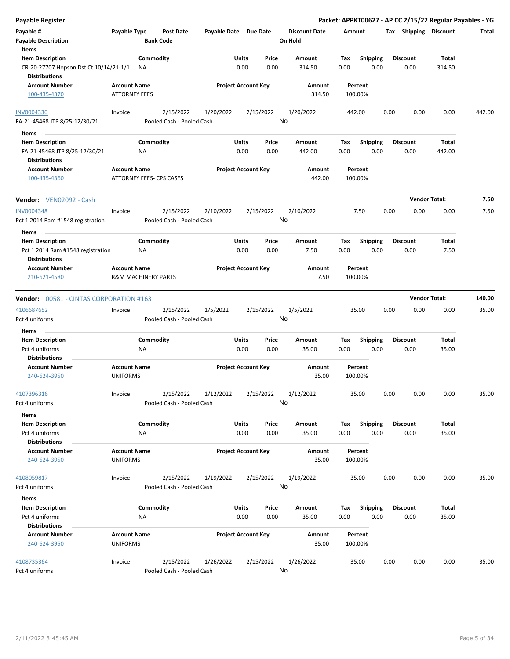| <b>Payable Register</b>                                  |                                        |                                        |                       |                            |               |                                 |             |                         |      |                         | Packet: APPKT00627 - AP CC 2/15/22 Regular Payables - YG |        |
|----------------------------------------------------------|----------------------------------------|----------------------------------------|-----------------------|----------------------------|---------------|---------------------------------|-------------|-------------------------|------|-------------------------|----------------------------------------------------------|--------|
| Payable #<br><b>Payable Description</b>                  | Payable Type                           | <b>Post Date</b><br><b>Bank Code</b>   | Payable Date Due Date |                            |               | <b>Discount Date</b><br>On Hold | Amount      |                         |      | Tax Shipping Discount   |                                                          | Total  |
| Items<br><b>Item Description</b>                         |                                        | Commodity                              |                       | Units                      | Price         | Amount                          | Tax         | <b>Shipping</b>         |      | <b>Discount</b>         | Total                                                    |        |
| CR-20-27707 Hopson Dst Ct 10/14/21-1/1 NA                |                                        |                                        |                       | 0.00                       | 0.00          | 314.50                          | 0.00        | 0.00                    |      | 0.00                    | 314.50                                                   |        |
| <b>Distributions</b><br><b>Account Number</b>            | <b>Account Name</b>                    |                                        |                       | <b>Project Account Key</b> |               | Amount                          |             | Percent                 |      |                         |                                                          |        |
| 100-435-4370                                             | <b>ATTORNEY FEES</b>                   |                                        |                       |                            |               | 314.50                          | 100.00%     |                         |      |                         |                                                          |        |
| <b>INV0004336</b>                                        | Invoice                                | 2/15/2022                              | 1/20/2022             | 2/15/2022                  |               | 1/20/2022                       | 442.00      |                         | 0.00 | 0.00                    | 0.00                                                     | 442.00 |
| FA-21-45468 JTP 8/25-12/30/21                            |                                        | Pooled Cash - Pooled Cash              |                       |                            |               | No                              |             |                         |      |                         |                                                          |        |
| Items                                                    |                                        |                                        |                       |                            |               |                                 |             |                         |      |                         |                                                          |        |
| <b>Item Description</b><br>FA-21-45468 JTP 8/25-12/30/21 |                                        | Commodity<br>NA.                       |                       | Units<br>0.00              | Price<br>0.00 | Amount<br>442.00                | Tax<br>0.00 | <b>Shipping</b><br>0.00 |      | <b>Discount</b><br>0.00 | Total<br>442.00                                          |        |
| <b>Distributions</b>                                     |                                        |                                        |                       |                            |               |                                 |             |                         |      |                         |                                                          |        |
| <b>Account Number</b><br>100-435-4360                    | <b>Account Name</b>                    | ATTORNEY FEES- CPS CASES               |                       | <b>Project Account Key</b> |               | Amount<br>442.00                | 100.00%     | Percent                 |      |                         |                                                          |        |
| Vendor: VEN02092 - Cash                                  |                                        |                                        |                       |                            |               |                                 |             |                         |      |                         | <b>Vendor Total:</b>                                     | 7.50   |
| <b>INV0004348</b><br>Pct 1 2014 Ram #1548 registration   | Invoice                                | 2/15/2022<br>Pooled Cash - Pooled Cash | 2/10/2022             | 2/15/2022                  |               | 2/10/2022<br>No                 |             | 7.50                    | 0.00 | 0.00                    | 0.00                                                     | 7.50   |
| Items                                                    |                                        |                                        |                       |                            |               |                                 |             |                         |      |                         |                                                          |        |
| <b>Item Description</b>                                  |                                        | Commodity                              |                       | Units                      | Price         | Amount                          | Tax         | <b>Shipping</b>         |      | <b>Discount</b>         | Total                                                    |        |
| Pct 1 2014 Ram #1548 registration                        |                                        | NA                                     |                       | 0.00                       | 0.00          | 7.50                            | 0.00        | 0.00                    |      | 0.00                    | 7.50                                                     |        |
| Distributions                                            |                                        |                                        |                       |                            |               |                                 |             |                         |      |                         |                                                          |        |
| <b>Account Number</b><br>210-621-4580                    | <b>Account Name</b>                    | <b>R&amp;M MACHINERY PARTS</b>         |                       | <b>Project Account Key</b> |               | Amount<br>7.50                  | 100.00%     | Percent                 |      |                         |                                                          |        |
|                                                          |                                        |                                        |                       |                            |               |                                 |             |                         |      |                         |                                                          |        |
| Vendor: 00581 - CINTAS CORPORATION #163                  |                                        |                                        |                       |                            |               |                                 |             |                         |      |                         | <b>Vendor Total:</b>                                     | 140.00 |
| 4106687652                                               | Invoice                                | 2/15/2022                              | 1/5/2022              | 2/15/2022                  |               | 1/5/2022                        |             | 35.00                   | 0.00 | 0.00                    | 0.00                                                     | 35.00  |
| Pct 4 uniforms                                           |                                        | Pooled Cash - Pooled Cash              |                       |                            |               | No                              |             |                         |      |                         |                                                          |        |
| Items                                                    |                                        |                                        |                       |                            |               |                                 |             |                         |      |                         |                                                          |        |
| <b>Item Description</b>                                  |                                        | Commodity                              |                       | Units                      | Price         | Amount                          | Tax         | <b>Shipping</b>         |      | <b>Discount</b>         | Total                                                    |        |
| Pct 4 uniforms<br><b>Distributions</b>                   |                                        | NA                                     |                       | 0.00                       | 0.00          | 35.00                           | 0.00        | 0.00                    |      | 0.00                    | 35.00                                                    |        |
| <b>Account Number</b>                                    | <b>Account Name</b>                    |                                        |                       | <b>Project Account Key</b> |               | Amount                          |             | Percent                 |      |                         |                                                          |        |
| 240-624-3950                                             | <b>UNIFORMS</b>                        |                                        |                       |                            |               | 35.00                           | 100.00%     |                         |      |                         |                                                          |        |
| 4107396316<br>Pct 4 uniforms                             | Invoice                                | 2/15/2022<br>Pooled Cash - Pooled Cash | 1/12/2022             | 2/15/2022                  |               | 1/12/2022<br>No                 |             | 35.00                   | 0.00 | 0.00                    | 0.00                                                     | 35.00  |
|                                                          |                                        |                                        |                       |                            |               |                                 |             |                         |      |                         |                                                          |        |
| Items                                                    |                                        |                                        |                       |                            |               |                                 |             |                         |      |                         |                                                          |        |
| <b>Item Description</b><br>Pct 4 uniforms                |                                        | Commodity<br>NA                        |                       | Units<br>0.00              | Price<br>0.00 | Amount<br>35.00                 | Tax<br>0.00 | <b>Shipping</b><br>0.00 |      | <b>Discount</b><br>0.00 | Total<br>35.00                                           |        |
| <b>Distributions</b>                                     |                                        |                                        |                       |                            |               |                                 |             |                         |      |                         |                                                          |        |
| <b>Account Number</b><br>240-624-3950                    | <b>Account Name</b><br><b>UNIFORMS</b> |                                        |                       | <b>Project Account Key</b> |               | Amount<br>35.00                 | 100.00%     | Percent                 |      |                         |                                                          |        |
| 4108059817                                               | Invoice                                | 2/15/2022                              | 1/19/2022             | 2/15/2022                  |               | 1/19/2022                       |             | 35.00                   | 0.00 | 0.00                    | 0.00                                                     | 35.00  |
| Pct 4 uniforms                                           |                                        | Pooled Cash - Pooled Cash              |                       |                            |               | No                              |             |                         |      |                         |                                                          |        |
| Items                                                    |                                        |                                        |                       |                            |               |                                 |             |                         |      |                         |                                                          |        |
| <b>Item Description</b>                                  |                                        | Commodity                              |                       | Units                      | Price         | Amount                          | Tax         | <b>Shipping</b>         |      | <b>Discount</b>         | Total                                                    |        |
| Pct 4 uniforms<br><b>Distributions</b>                   |                                        | NA                                     |                       | 0.00                       | 0.00          | 35.00                           | 0.00        | 0.00                    |      | 0.00                    | 35.00                                                    |        |
| <b>Account Number</b><br>240-624-3950                    | <b>Account Name</b><br><b>UNIFORMS</b> |                                        |                       | <b>Project Account Key</b> |               | Amount<br>35.00                 | 100.00%     | Percent                 |      |                         |                                                          |        |
|                                                          |                                        |                                        |                       |                            |               |                                 |             |                         |      |                         |                                                          |        |
| 4108735364<br>Pct 4 uniforms                             | Invoice                                | 2/15/2022<br>Pooled Cash - Pooled Cash | 1/26/2022             | 2/15/2022                  |               | 1/26/2022<br>No                 |             | 35.00                   | 0.00 | 0.00                    | 0.00                                                     | 35.00  |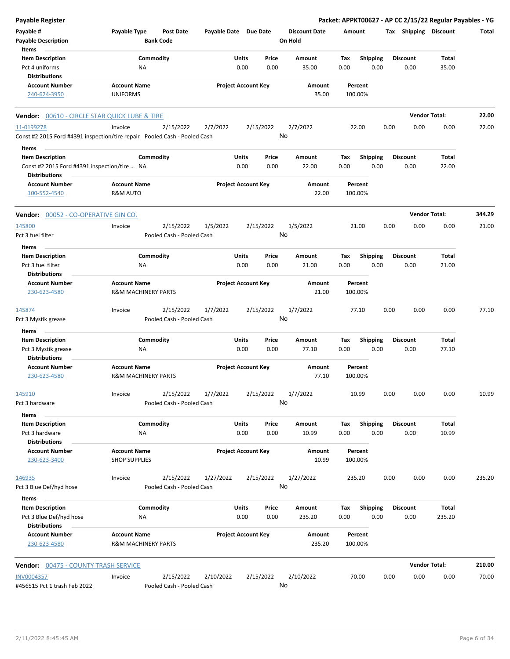| Payable Register                                                                                |                                                       |                                        |                       |                            |               |                                 |             |                         |      |                         | Packet: APPKT00627 - AP CC 2/15/22 Regular Payables - YG |        |
|-------------------------------------------------------------------------------------------------|-------------------------------------------------------|----------------------------------------|-----------------------|----------------------------|---------------|---------------------------------|-------------|-------------------------|------|-------------------------|----------------------------------------------------------|--------|
| Payable #<br><b>Payable Description</b>                                                         | Payable Type                                          | <b>Post Date</b><br><b>Bank Code</b>   | Payable Date Due Date |                            |               | <b>Discount Date</b><br>On Hold | Amount      |                         |      | Tax Shipping Discount   |                                                          | Total  |
| Items<br><b>Item Description</b>                                                                |                                                       |                                        |                       | Units                      | Price         | Amount                          |             |                         |      | <b>Discount</b>         |                                                          |        |
| Pct 4 uniforms<br><b>Distributions</b>                                                          | Commodity<br>NA                                       |                                        |                       | 0.00                       | 0.00          | 35.00                           | Tax<br>0.00 | <b>Shipping</b><br>0.00 |      | 0.00                    | Total<br>35.00                                           |        |
| <b>Account Number</b><br>240-624-3950                                                           | <b>Account Name</b><br><b>UNIFORMS</b>                |                                        |                       | <b>Project Account Key</b> |               | Amount<br>35.00                 | 100.00%     | Percent                 |      |                         |                                                          |        |
| Vendor: 00610 - CIRCLE STAR QUICK LUBE & TIRE                                                   |                                                       |                                        |                       |                            |               |                                 |             |                         |      | <b>Vendor Total:</b>    |                                                          | 22.00  |
| 11-0199278                                                                                      | Invoice                                               | 2/15/2022                              | 2/7/2022              |                            | 2/15/2022     | 2/7/2022                        | 22.00       |                         | 0.00 | 0.00                    | 0.00                                                     | 22.00  |
| Const #2 2015 Ford #4391 inspection/tire repair Pooled Cash - Pooled Cash                       |                                                       |                                        |                       |                            |               | No                              |             |                         |      |                         |                                                          |        |
| Items                                                                                           |                                                       |                                        |                       |                            |               |                                 |             |                         |      |                         |                                                          |        |
| <b>Item Description</b><br>Const #2 2015 Ford #4391 inspection/tire  NA<br><b>Distributions</b> | Commodity                                             |                                        |                       | Units<br>0.00              | Price<br>0.00 | Amount<br>22.00                 | Tax<br>0.00 | <b>Shipping</b><br>0.00 |      | <b>Discount</b><br>0.00 | Total<br>22.00                                           |        |
| <b>Account Number</b><br>100-552-4540                                                           | <b>Account Name</b><br><b>R&amp;M AUTO</b>            |                                        |                       | <b>Project Account Key</b> |               | Amount<br>22.00                 | 100.00%     | Percent                 |      |                         |                                                          |        |
| Vendor: 00052 - CO-OPERATIVE GIN CO.                                                            |                                                       |                                        |                       |                            |               |                                 |             |                         |      | <b>Vendor Total:</b>    |                                                          | 344.29 |
| 145800<br>Pct 3 fuel filter                                                                     | Invoice                                               | 2/15/2022<br>Pooled Cash - Pooled Cash | 1/5/2022              |                            | 2/15/2022     | 1/5/2022<br>No                  | 21.00       |                         | 0.00 | 0.00                    | 0.00                                                     | 21.00  |
| Items                                                                                           |                                                       |                                        |                       |                            |               |                                 |             |                         |      |                         |                                                          |        |
| <b>Item Description</b><br>Pct 3 fuel filter<br><b>Distributions</b>                            | Commodity<br>NA                                       |                                        |                       | Units<br>0.00              | Price<br>0.00 | Amount<br>21.00                 | Tax<br>0.00 | Shipping<br>0.00        |      | <b>Discount</b><br>0.00 | Total<br>21.00                                           |        |
| <b>Account Number</b><br>230-623-4580                                                           | <b>Account Name</b><br><b>R&amp;M MACHINERY PARTS</b> |                                        |                       | <b>Project Account Key</b> |               | Amount<br>21.00                 | 100.00%     | Percent                 |      |                         |                                                          |        |
| 145874<br>Pct 3 Mystik grease                                                                   | Invoice                                               | 2/15/2022<br>Pooled Cash - Pooled Cash | 1/7/2022              |                            | 2/15/2022     | 1/7/2022<br>No                  | 77.10       |                         | 0.00 | 0.00                    | 0.00                                                     | 77.10  |
| Items                                                                                           |                                                       |                                        |                       |                            |               |                                 |             |                         |      |                         |                                                          |        |
| <b>Item Description</b><br>Pct 3 Mystik grease                                                  | Commodity<br>ΝA                                       |                                        |                       | Units<br>0.00              | Price<br>0.00 | Amount<br>77.10                 | Tax<br>0.00 | <b>Shipping</b><br>0.00 |      | <b>Discount</b><br>0.00 | <b>Total</b><br>77.10                                    |        |
| <b>Distributions</b><br><b>Account Number</b><br>230-623-4580                                   | <b>Account Name</b><br><b>R&amp;M MACHINERY PARTS</b> |                                        |                       | <b>Project Account Key</b> |               | Amount<br>77.10                 | 100.00%     | Percent                 |      |                         |                                                          |        |
| 145910<br>Pct 3 hardware                                                                        | Invoice                                               | 2/15/2022<br>Pooled Cash - Pooled Cash | 1/7/2022              |                            | 2/15/2022     | 1/7/2022<br>No                  | 10.99       |                         | 0.00 | 0.00                    | 0.00                                                     | 10.99  |
| Items                                                                                           |                                                       |                                        |                       |                            |               |                                 |             |                         |      |                         |                                                          |        |
| <b>Item Description</b><br>Pct 3 hardware                                                       | Commodity<br>NA                                       |                                        |                       | Units<br>0.00              | Price<br>0.00 | Amount<br>10.99                 | Tax<br>0.00 | <b>Shipping</b><br>0.00 |      | <b>Discount</b><br>0.00 | Total<br>10.99                                           |        |
| <b>Distributions</b><br><b>Account Number</b><br>230-623-3400                                   | <b>Account Name</b><br><b>SHOP SUPPLIES</b>           |                                        |                       | <b>Project Account Key</b> |               | Amount<br>10.99                 | 100.00%     | Percent                 |      |                         |                                                          |        |
| 146935                                                                                          | Invoice                                               | 2/15/2022                              | 1/27/2022             |                            | 2/15/2022     | 1/27/2022                       | 235.20      |                         | 0.00 | 0.00                    | 0.00                                                     | 235.20 |
| Pct 3 Blue Def/hyd hose<br>Items                                                                |                                                       | Pooled Cash - Pooled Cash              |                       |                            |               | No                              |             |                         |      |                         |                                                          |        |
| <b>Item Description</b><br>Pct 3 Blue Def/hyd hose<br><b>Distributions</b>                      | Commodity<br>NA                                       |                                        |                       | Units<br>0.00              | Price<br>0.00 | Amount<br>235.20                | Tax<br>0.00 | <b>Shipping</b><br>0.00 |      | <b>Discount</b><br>0.00 | Total<br>235.20                                          |        |
| <b>Account Number</b><br>230-623-4580                                                           | <b>Account Name</b><br><b>R&amp;M MACHINERY PARTS</b> |                                        |                       | <b>Project Account Key</b> |               | Amount<br>235.20                | 100.00%     | Percent                 |      |                         |                                                          |        |
| <b>Vendor: 00475 - COUNTY TRASH SERVICE</b>                                                     |                                                       |                                        |                       |                            |               |                                 |             |                         |      | <b>Vendor Total:</b>    |                                                          | 210.00 |
| <b>INV0004357</b><br>#456515 Pct 1 trash Feb 2022                                               | Invoice                                               | 2/15/2022<br>Pooled Cash - Pooled Cash | 2/10/2022             |                            | 2/15/2022     | 2/10/2022<br>No                 | 70.00       |                         | 0.00 | 0.00                    | 0.00                                                     | 70.00  |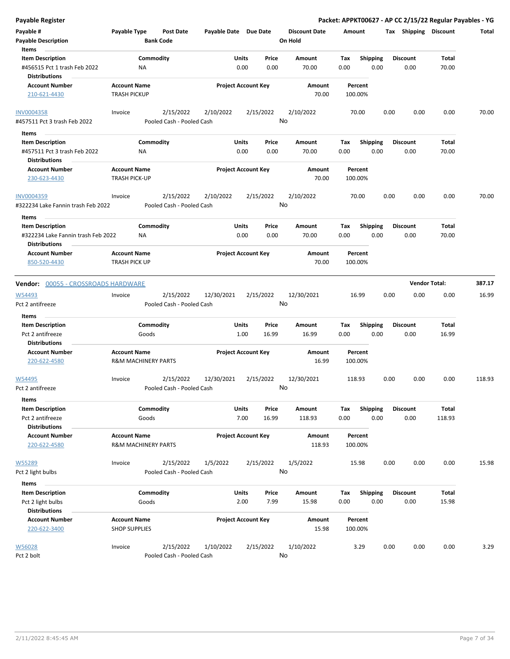| Payable Register                                                                         |                                             |                                        |                       |                                |                                 | Packet: APPKT00627 - AP CC 2/15/22 Regular Payables - YG |      |                         |                      |        |
|------------------------------------------------------------------------------------------|---------------------------------------------|----------------------------------------|-----------------------|--------------------------------|---------------------------------|----------------------------------------------------------|------|-------------------------|----------------------|--------|
| Payable #<br><b>Payable Description</b>                                                  | Payable Type                                | <b>Post Date</b><br><b>Bank Code</b>   | Payable Date Due Date |                                | <b>Discount Date</b><br>On Hold | Amount                                                   |      | Tax Shipping Discount   |                      | Total  |
| Items<br><b>Item Description</b><br>#456515 Pct 1 trash Feb 2022<br><b>Distributions</b> |                                             | Commodity<br>ΝA                        |                       | Units<br>Price<br>0.00<br>0.00 | Amount<br>70.00                 | Tax<br><b>Shipping</b><br>0.00                           | 0.00 | <b>Discount</b><br>0.00 | Total<br>70.00       |        |
| <b>Account Number</b><br>210-621-4430                                                    | <b>Account Name</b><br><b>TRASH PICKUP</b>  |                                        |                       | <b>Project Account Key</b>     | Amount<br>70.00                 | Percent<br>100.00%                                       |      |                         |                      |        |
| <b>INV0004358</b><br>#457511 Pct 3 trash Feb 2022                                        | Invoice                                     | 2/15/2022<br>Pooled Cash - Pooled Cash | 2/10/2022             | 2/15/2022                      | 2/10/2022<br>No                 | 70.00                                                    | 0.00 | 0.00                    | 0.00                 | 70.00  |
| Items                                                                                    |                                             |                                        |                       |                                |                                 |                                                          |      |                         |                      |        |
| <b>Item Description</b><br>#457511 Pct 3 trash Feb 2022<br><b>Distributions</b>          |                                             | Commodity<br>ΝA                        |                       | Units<br>Price<br>0.00<br>0.00 | Amount<br>70.00                 | Shipping<br>Тах<br>0.00                                  | 0.00 | <b>Discount</b><br>0.00 | Total<br>70.00       |        |
| <b>Account Number</b><br>230-623-4430                                                    | <b>Account Name</b><br><b>TRASH PICK-UP</b> |                                        |                       | <b>Project Account Key</b>     | Amount<br>70.00                 | Percent<br>100.00%                                       |      |                         |                      |        |
| <b>INV0004359</b><br>#322234 Lake Fannin trash Feb 2022                                  | Invoice                                     | 2/15/2022<br>Pooled Cash - Pooled Cash | 2/10/2022             | 2/15/2022                      | 2/10/2022<br>No                 | 70.00                                                    | 0.00 | 0.00                    | 0.00                 | 70.00  |
| Items<br><b>Item Description</b><br>#322234 Lake Fannin trash Feb 2022                   |                                             | Commodity<br>ΝA                        |                       | Units<br>Price<br>0.00<br>0.00 | Amount<br>70.00                 | <b>Shipping</b><br>Tax<br>0.00                           | 0.00 | <b>Discount</b><br>0.00 | Total<br>70.00       |        |
| Distributions<br><b>Account Number</b><br>850-520-4430                                   | <b>Account Name</b><br><b>TRASH PICK UP</b> |                                        |                       | <b>Project Account Key</b>     | Amount<br>70.00                 | Percent<br>100.00%                                       |      |                         |                      |        |
| Vendor: 00055 - CROSSROADS HARDWARE                                                      |                                             |                                        |                       |                                |                                 |                                                          |      |                         | <b>Vendor Total:</b> | 387.17 |
| W54493<br>Pct 2 antifreeze                                                               | Invoice                                     | 2/15/2022<br>Pooled Cash - Pooled Cash | 12/30/2021            | 2/15/2022                      | 12/30/2021<br>No                | 16.99                                                    | 0.00 | 0.00                    | 0.00                 | 16.99  |
| Items                                                                                    |                                             |                                        |                       |                                |                                 |                                                          |      |                         |                      |        |
| <b>Item Description</b>                                                                  |                                             | Commodity                              |                       | Units<br>Price                 | Amount                          | Tax<br><b>Shipping</b>                                   |      | <b>Discount</b>         | Total                |        |
| Pct 2 antifreeze                                                                         |                                             | Goods                                  |                       | 16.99<br>1.00                  | 16.99                           | 0.00                                                     | 0.00 | 0.00                    | 16.99                |        |
| <b>Distributions</b><br><b>Account Number</b>                                            | <b>Account Name</b>                         |                                        |                       | <b>Project Account Key</b>     | Amount                          | Percent                                                  |      |                         |                      |        |
| 220-622-4580                                                                             |                                             | <b>R&amp;M MACHINERY PARTS</b>         |                       |                                | 16.99                           | 100.00%                                                  |      |                         |                      |        |
| W54495<br>Pct 2 antifreeze                                                               | Invoice                                     | 2/15/2022<br>Pooled Cash - Pooled Cash | 12/30/2021            | 2/15/2022                      | 12/30/2021<br>No                | 118.93                                                   | 0.00 | 0.00                    | 0.00                 | 118.93 |
| Items                                                                                    |                                             |                                        |                       |                                |                                 |                                                          |      |                         |                      |        |
| <b>Item Description</b>                                                                  |                                             | Commodity                              |                       | Units<br>Price                 | Amount                          | <b>Shipping</b><br>Tax                                   |      | <b>Discount</b>         | Total                |        |
| Pct 2 antifreeze<br><b>Distributions</b>                                                 |                                             | Goods                                  |                       | 7.00<br>16.99                  | 118.93                          | 0.00                                                     | 0.00 | 0.00                    | 118.93               |        |
| <b>Account Number</b>                                                                    | <b>Account Name</b>                         |                                        |                       | <b>Project Account Key</b>     | Amount                          | Percent                                                  |      |                         |                      |        |
| 220-622-4580                                                                             |                                             | <b>R&amp;M MACHINERY PARTS</b>         |                       |                                | 118.93                          | 100.00%                                                  |      |                         |                      |        |
| W55289                                                                                   | Invoice                                     | 2/15/2022                              | 1/5/2022              | 2/15/2022                      | 1/5/2022<br>No                  | 15.98                                                    | 0.00 | 0.00                    | 0.00                 | 15.98  |
| Pct 2 light bulbs                                                                        |                                             | Pooled Cash - Pooled Cash              |                       |                                |                                 |                                                          |      |                         |                      |        |
| Items                                                                                    |                                             |                                        |                       |                                |                                 |                                                          |      |                         |                      |        |
| <b>Item Description</b><br>Pct 2 light bulbs                                             |                                             | Commodity<br>Goods                     |                       | Units<br>Price<br>2.00<br>7.99 | Amount<br>15.98                 | <b>Shipping</b><br>Tax<br>0.00                           | 0.00 | <b>Discount</b><br>0.00 | Total<br>15.98       |        |
| <b>Distributions</b><br><b>Account Number</b>                                            | <b>Account Name</b>                         |                                        |                       | <b>Project Account Key</b>     | Amount                          | Percent                                                  |      |                         |                      |        |
| 220-622-3400                                                                             | <b>SHOP SUPPLIES</b>                        |                                        |                       |                                | 15.98                           | 100.00%                                                  |      |                         |                      |        |
| W56028                                                                                   | Invoice                                     | 2/15/2022                              | 1/10/2022             | 2/15/2022                      | 1/10/2022                       | 3.29                                                     | 0.00 | 0.00                    | 0.00                 | 3.29   |
| Pct 2 bolt                                                                               |                                             | Pooled Cash - Pooled Cash              |                       |                                | No                              |                                                          |      |                         |                      |        |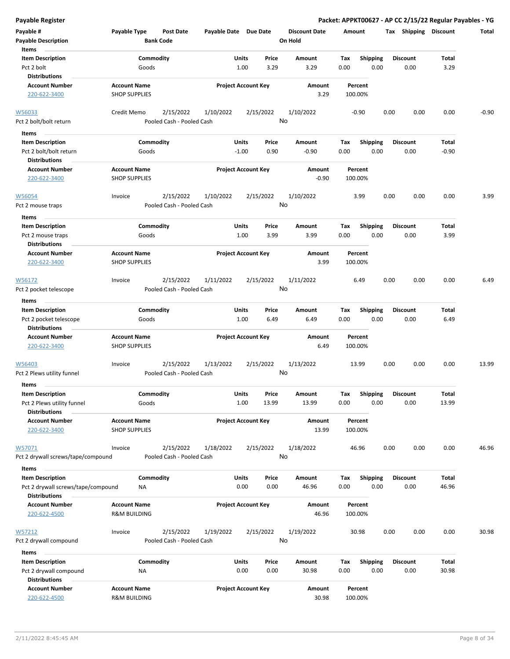| <b>Payable Register</b>                                              |                                             |                                      |                       |                                |    |                                 |             |                         |      |                         |                | Packet: APPKT00627 - AP CC 2/15/22 Regular Payables - YG |
|----------------------------------------------------------------------|---------------------------------------------|--------------------------------------|-----------------------|--------------------------------|----|---------------------------------|-------------|-------------------------|------|-------------------------|----------------|----------------------------------------------------------|
| Payable #<br><b>Payable Description</b>                              | Payable Type                                | <b>Post Date</b><br><b>Bank Code</b> | Payable Date Due Date |                                |    | <b>Discount Date</b><br>On Hold | Amount      |                         |      | Tax Shipping Discount   |                | Total                                                    |
| Items                                                                |                                             |                                      |                       |                                |    |                                 |             |                         |      |                         |                |                                                          |
| <b>Item Description</b>                                              |                                             | Commodity                            |                       | Units<br>Price                 |    | Amount                          | Tax         | <b>Shipping</b>         |      | <b>Discount</b>         | Total          |                                                          |
| Pct 2 bolt<br><b>Distributions</b>                                   |                                             | Goods                                |                       | 1.00<br>3.29                   |    | 3.29                            | 0.00        | 0.00                    |      | 0.00                    | 3.29           |                                                          |
| <b>Account Number</b>                                                | <b>Account Name</b>                         |                                      |                       | <b>Project Account Key</b>     |    | Amount                          |             | Percent                 |      |                         |                |                                                          |
| 220-622-3400                                                         | <b>SHOP SUPPLIES</b>                        |                                      |                       |                                |    | 3.29                            | 100.00%     |                         |      |                         |                |                                                          |
| W56033                                                               | Credit Memo                                 | 2/15/2022                            | 1/10/2022             | 2/15/2022                      |    | 1/10/2022                       |             | $-0.90$                 | 0.00 | 0.00                    | 0.00           | $-0.90$                                                  |
| Pct 2 bolt/bolt return                                               |                                             | Pooled Cash - Pooled Cash            |                       |                                | No |                                 |             |                         |      |                         |                |                                                          |
| Items                                                                |                                             |                                      |                       |                                |    |                                 |             |                         |      |                         |                |                                                          |
| <b>Item Description</b>                                              |                                             | Commodity                            |                       | <b>Units</b><br>Price          |    | Amount                          | Tax         | <b>Shipping</b>         |      | <b>Discount</b>         | Total          |                                                          |
| Pct 2 bolt/bolt return                                               |                                             | Goods                                |                       | $-1.00$<br>0.90                |    | -0.90                           | 0.00        | 0.00                    |      | 0.00                    | $-0.90$        |                                                          |
| <b>Distributions</b>                                                 |                                             |                                      |                       |                                |    |                                 |             |                         |      |                         |                |                                                          |
| <b>Account Number</b>                                                | <b>Account Name</b>                         |                                      |                       | <b>Project Account Key</b>     |    | Amount                          |             | Percent                 |      |                         |                |                                                          |
| 220-622-3400                                                         | <b>SHOP SUPPLIES</b>                        |                                      |                       |                                |    | $-0.90$                         |             | 100.00%                 |      |                         |                |                                                          |
| W56054                                                               | Invoice                                     | 2/15/2022                            | 1/10/2022             | 2/15/2022                      |    | 1/10/2022                       |             | 3.99                    | 0.00 | 0.00                    | 0.00           | 3.99                                                     |
| Pct 2 mouse traps                                                    |                                             | Pooled Cash - Pooled Cash            |                       |                                | No |                                 |             |                         |      |                         |                |                                                          |
| Items                                                                |                                             |                                      |                       |                                |    |                                 |             |                         |      |                         |                |                                                          |
| <b>Item Description</b><br>Pct 2 mouse traps<br><b>Distributions</b> |                                             | Commodity<br>Goods                   |                       | Units<br>Price<br>1.00<br>3.99 |    | Amount<br>3.99                  | Tax<br>0.00 | <b>Shipping</b><br>0.00 |      | <b>Discount</b><br>0.00 | Total<br>3.99  |                                                          |
| <b>Account Number</b>                                                | <b>Account Name</b>                         |                                      |                       | <b>Project Account Key</b>     |    | Amount                          |             | Percent                 |      |                         |                |                                                          |
| 220-622-3400                                                         | <b>SHOP SUPPLIES</b>                        |                                      |                       |                                |    | 3.99                            | 100.00%     |                         |      |                         |                |                                                          |
| W56172                                                               | Invoice                                     | 2/15/2022                            | 1/11/2022             | 2/15/2022                      |    | 1/11/2022                       |             | 6.49                    | 0.00 | 0.00                    | 0.00           | 6.49                                                     |
| Pct 2 pocket telescope                                               |                                             | Pooled Cash - Pooled Cash            |                       |                                | No |                                 |             |                         |      |                         |                |                                                          |
| Items                                                                |                                             |                                      |                       |                                |    |                                 |             |                         |      |                         |                |                                                          |
| <b>Item Description</b>                                              |                                             | Commodity                            |                       | Units<br>Price                 |    | Amount                          | Tax         | <b>Shipping</b>         |      | <b>Discount</b>         | Total          |                                                          |
| Pct 2 pocket telescope<br><b>Distributions</b>                       |                                             | Goods                                |                       | 1.00<br>6.49                   |    | 6.49                            | 0.00        | 0.00                    |      | 0.00                    | 6.49           |                                                          |
| <b>Account Number</b>                                                | <b>Account Name</b>                         |                                      |                       | <b>Project Account Key</b>     |    | Amount                          |             | Percent                 |      |                         |                |                                                          |
| 220-622-3400                                                         | <b>SHOP SUPPLIES</b>                        |                                      |                       |                                |    | 6.49                            |             | 100.00%                 |      |                         |                |                                                          |
| W56403                                                               | Invoice                                     | 2/15/2022                            | 1/13/2022             | 2/15/2022                      |    | 1/13/2022                       |             | 13.99                   | 0.00 | 0.00                    | 0.00           | 13.99                                                    |
| Pct 2 Plews utility funnel                                           |                                             | Pooled Cash - Pooled Cash            |                       |                                | No |                                 |             |                         |      |                         |                |                                                          |
| Items                                                                |                                             |                                      |                       |                                |    |                                 |             |                         |      |                         |                |                                                          |
| <b>Item Description</b>                                              |                                             | Commodity                            |                       | Units<br>Price                 |    | Amount                          | Tax         | Shipping                |      | <b>Discount</b>         | Total          |                                                          |
| Pct 2 Plews utility funnel                                           |                                             | Goods                                |                       | 1.00<br>13.99                  |    | 13.99                           | 0.00        | 0.00                    |      | 0.00                    | 13.99          |                                                          |
| <b>Distributions</b>                                                 |                                             |                                      |                       |                                |    |                                 |             |                         |      |                         |                |                                                          |
| <b>Account Number</b><br>220-622-3400                                | <b>Account Name</b><br><b>SHOP SUPPLIES</b> |                                      |                       | <b>Project Account Key</b>     |    | Amount<br>13.99                 | 100.00%     | Percent                 |      |                         |                |                                                          |
| W57071                                                               | Invoice                                     | 2/15/2022                            | 1/18/2022             | 2/15/2022                      |    | 1/18/2022                       |             | 46.96                   | 0.00 | 0.00                    | 0.00           | 46.96                                                    |
| Pct 2 drywall screws/tape/compound                                   |                                             | Pooled Cash - Pooled Cash            |                       |                                | No |                                 |             |                         |      |                         |                |                                                          |
|                                                                      |                                             |                                      |                       |                                |    |                                 |             |                         |      |                         |                |                                                          |
| Items<br><b>Item Description</b>                                     |                                             | Commodity                            |                       | Units                          |    |                                 |             | Shipping                |      | <b>Discount</b>         |                |                                                          |
| Pct 2 drywall screws/tape/compound                                   |                                             | ΝA                                   |                       | Price<br>0.00<br>0.00          |    | Amount<br>46.96                 | Tax<br>0.00 | 0.00                    |      | 0.00                    | Total<br>46.96 |                                                          |
| <b>Distributions</b>                                                 |                                             |                                      |                       |                                |    |                                 |             |                         |      |                         |                |                                                          |
| <b>Account Number</b>                                                | <b>Account Name</b>                         |                                      |                       | <b>Project Account Key</b>     |    | Amount                          |             | Percent                 |      |                         |                |                                                          |
| 220-622-4500                                                         | <b>R&amp;M BUILDING</b>                     |                                      |                       |                                |    | 46.96                           |             | 100.00%                 |      |                         |                |                                                          |
| W57212                                                               | Invoice                                     | 2/15/2022                            | 1/19/2022             | 2/15/2022                      |    | 1/19/2022                       |             | 30.98                   | 0.00 | 0.00                    | 0.00           | 30.98                                                    |
| Pct 2 drywall compound                                               |                                             | Pooled Cash - Pooled Cash            |                       |                                | No |                                 |             |                         |      |                         |                |                                                          |
| Items                                                                |                                             |                                      |                       |                                |    |                                 |             |                         |      |                         |                |                                                          |
| <b>Item Description</b>                                              |                                             | Commodity                            |                       | Units<br>Price                 |    | Amount                          | Tax         | <b>Shipping</b>         |      | <b>Discount</b>         | Total          |                                                          |
| Pct 2 drywall compound<br><b>Distributions</b>                       |                                             | ΝA                                   |                       | 0.00<br>0.00                   |    | 30.98                           | 0.00        | 0.00                    |      | 0.00                    | 30.98          |                                                          |
| <b>Account Number</b>                                                | <b>Account Name</b>                         |                                      |                       | <b>Project Account Key</b>     |    | Amount                          |             | Percent                 |      |                         |                |                                                          |
| 220-622-4500                                                         | <b>R&amp;M BUILDING</b>                     |                                      |                       |                                |    | 30.98                           |             | 100.00%                 |      |                         |                |                                                          |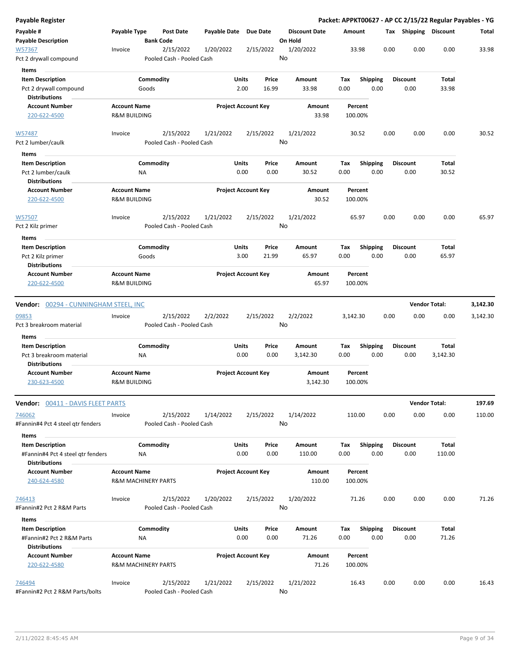| <b>Payable Register</b>                                                   |                                                |                                        |                     |                                 |                                 | Packet: APPKT00627 - AP CC 2/15/22 Regular Payables - YG |      |                         |                      |          |
|---------------------------------------------------------------------------|------------------------------------------------|----------------------------------------|---------------------|---------------------------------|---------------------------------|----------------------------------------------------------|------|-------------------------|----------------------|----------|
| Payable #<br><b>Payable Description</b>                                   | Payable Type                                   | <b>Post Date</b><br><b>Bank Code</b>   | <b>Payable Date</b> | <b>Due Date</b>                 | <b>Discount Date</b><br>On Hold | Amount                                                   |      | Tax Shipping Discount   |                      | Total    |
| W57367<br>Pct 2 drywall compound                                          | Invoice                                        | 2/15/2022<br>Pooled Cash - Pooled Cash | 1/20/2022           | 2/15/2022                       | 1/20/2022<br>No                 | 33.98                                                    | 0.00 | 0.00                    | 0.00                 | 33.98    |
| Items                                                                     |                                                |                                        |                     |                                 |                                 |                                                          |      |                         |                      |          |
| <b>Item Description</b><br>Pct 2 drywall compound<br><b>Distributions</b> |                                                | Commodity<br>Goods                     |                     | Units<br>Price<br>2.00<br>16.99 | Amount<br>33.98                 | Tax<br><b>Shipping</b><br>0.00                           | 0.00 | <b>Discount</b><br>0.00 | Total<br>33.98       |          |
| <b>Account Number</b>                                                     | <b>Account Name</b>                            |                                        |                     | <b>Project Account Key</b>      | Amount                          | Percent                                                  |      |                         |                      |          |
| 220-622-4500                                                              | <b>R&amp;M BUILDING</b>                        |                                        |                     |                                 | 33.98                           | 100.00%                                                  |      |                         |                      |          |
| W57487                                                                    | Invoice                                        | 2/15/2022                              | 1/21/2022           | 2/15/2022                       | 1/21/2022                       | 30.52                                                    | 0.00 | 0.00                    | 0.00                 | 30.52    |
| Pct 2 lumber/caulk                                                        |                                                | Pooled Cash - Pooled Cash              |                     |                                 | No                              |                                                          |      |                         |                      |          |
| Items                                                                     |                                                |                                        |                     |                                 |                                 |                                                          |      |                         |                      |          |
| <b>Item Description</b>                                                   |                                                | Commodity                              |                     | Units<br>Price                  | Amount                          | <b>Shipping</b><br>Tax                                   |      | <b>Discount</b>         | Total                |          |
| Pct 2 lumber/caulk                                                        |                                                | NA                                     |                     | 0.00<br>0.00                    | 30.52                           | 0.00                                                     | 0.00 | 0.00                    | 30.52                |          |
| <b>Distributions</b>                                                      |                                                |                                        |                     |                                 |                                 |                                                          |      |                         |                      |          |
| <b>Account Number</b><br>220-622-4500                                     | <b>Account Name</b><br><b>R&amp;M BUILDING</b> |                                        |                     | <b>Project Account Key</b>      | Amount<br>30.52                 | Percent<br>100.00%                                       |      |                         |                      |          |
| W57507                                                                    | Invoice                                        | 2/15/2022                              | 1/21/2022           | 2/15/2022                       | 1/21/2022                       | 65.97                                                    | 0.00 | 0.00                    | 0.00                 | 65.97    |
| Pct 2 Kilz primer                                                         |                                                | Pooled Cash - Pooled Cash              |                     |                                 | No                              |                                                          |      |                         |                      |          |
| Items                                                                     |                                                |                                        |                     |                                 |                                 |                                                          |      |                         |                      |          |
| <b>Item Description</b>                                                   |                                                | Commodity                              |                     | <b>Units</b><br>Price           | Amount                          | <b>Shipping</b><br>Tax                                   |      | <b>Discount</b>         | Total                |          |
| Pct 2 Kilz primer                                                         |                                                | Goods                                  |                     | 3.00<br>21.99                   | 65.97                           | 0.00                                                     | 0.00 | 0.00                    | 65.97                |          |
| <b>Distributions</b>                                                      |                                                |                                        |                     |                                 |                                 |                                                          |      |                         |                      |          |
| <b>Account Number</b><br>220-622-4500                                     | <b>Account Name</b><br><b>R&amp;M BUILDING</b> |                                        |                     | <b>Project Account Key</b>      | Amount<br>65.97                 | Percent<br>100.00%                                       |      |                         |                      |          |
| <b>Vendor: 00294 - CUNNINGHAM STEEL, INC</b>                              |                                                |                                        |                     |                                 |                                 |                                                          |      |                         | <b>Vendor Total:</b> | 3,142.30 |
| 09853                                                                     | Invoice                                        | 2/15/2022                              | 2/2/2022            | 2/15/2022                       | 2/2/2022                        | 3,142.30                                                 | 0.00 | 0.00                    | 0.00                 | 3,142.30 |
| Pct 3 breakroom material                                                  |                                                | Pooled Cash - Pooled Cash              |                     |                                 | No                              |                                                          |      |                         |                      |          |
| Items                                                                     |                                                |                                        |                     |                                 | Amount                          |                                                          |      |                         |                      |          |
| <b>Item Description</b><br>Pct 3 breakroom material                       |                                                | Commodity<br>NA                        |                     | Units<br>Price<br>0.00<br>0.00  | 3,142.30                        | <b>Shipping</b><br>Tax<br>0.00                           | 0.00 | <b>Discount</b><br>0.00 | Total<br>3,142.30    |          |
| <b>Distributions</b>                                                      |                                                |                                        |                     |                                 |                                 |                                                          |      |                         |                      |          |
| <b>Account Number</b><br>230-623-4500                                     | <b>Account Name</b><br><b>R&amp;M BUILDING</b> |                                        |                     | <b>Project Account Key</b>      | Amount<br>3,142.30              | Percent<br>100.00%                                       |      |                         |                      |          |
| <b>Vendor: 00411 - DAVIS FLEET PARTS</b>                                  |                                                |                                        |                     |                                 |                                 |                                                          |      |                         | <b>Vendor Total:</b> | 197.69   |
| 746062                                                                    | Invoice                                        | 2/15/2022                              | 1/14/2022           | 2/15/2022                       | 1/14/2022                       | 110.00                                                   | 0.00 | 0.00                    | 0.00                 | 110.00   |
| #Fannin#4 Pct 4 steel gtr fenders                                         |                                                | Pooled Cash - Pooled Cash              |                     |                                 | No                              |                                                          |      |                         |                      |          |
| Items                                                                     |                                                |                                        |                     |                                 |                                 |                                                          |      |                         |                      |          |
| <b>Item Description</b><br>#Fannin#4 Pct 4 steel gtr fenders              |                                                | Commodity<br>NA                        |                     | Units<br>Price<br>0.00<br>0.00  | Amount<br>110.00                | <b>Shipping</b><br>Tax<br>0.00                           | 0.00 | <b>Discount</b><br>0.00 | Total<br>110.00      |          |
| <b>Distributions</b>                                                      |                                                |                                        |                     |                                 |                                 |                                                          |      |                         |                      |          |
| <b>Account Number</b>                                                     | <b>Account Name</b>                            |                                        |                     | <b>Project Account Key</b>      | Amount                          | Percent                                                  |      |                         |                      |          |
| 240-624-4580                                                              |                                                | <b>R&amp;M MACHINERY PARTS</b>         |                     |                                 | 110.00                          | 100.00%                                                  |      |                         |                      |          |
| 746413<br>#Fannin#2 Pct 2 R&M Parts                                       | Invoice                                        | 2/15/2022<br>Pooled Cash - Pooled Cash | 1/20/2022           | 2/15/2022                       | 1/20/2022<br>No                 | 71.26                                                    | 0.00 | 0.00                    | 0.00                 | 71.26    |
|                                                                           |                                                |                                        |                     |                                 |                                 |                                                          |      |                         |                      |          |
| Items                                                                     |                                                |                                        |                     |                                 |                                 |                                                          |      |                         |                      |          |
| <b>Item Description</b>                                                   |                                                | Commodity                              |                     | Units<br>Price<br>0.00          | Amount                          | Shipping<br>Тах                                          |      | <b>Discount</b>         | Total                |          |
| #Fannin#2 Pct 2 R&M Parts<br><b>Distributions</b>                         |                                                | NA                                     |                     | 0.00                            | 71.26                           | 0.00                                                     | 0.00 | 0.00                    | 71.26                |          |
| <b>Account Number</b>                                                     | <b>Account Name</b>                            |                                        |                     | <b>Project Account Key</b>      | Amount                          | Percent                                                  |      |                         |                      |          |
| 220-622-4580                                                              |                                                | <b>R&amp;M MACHINERY PARTS</b>         |                     |                                 | 71.26                           | 100.00%                                                  |      |                         |                      |          |
| 746494                                                                    | Invoice                                        | 2/15/2022                              | 1/21/2022           | 2/15/2022                       | 1/21/2022                       | 16.43                                                    | 0.00 | 0.00                    | 0.00                 | 16.43    |
| #Fannin#2 Pct 2 R&M Parts/bolts                                           |                                                | Pooled Cash - Pooled Cash              |                     |                                 | No                              |                                                          |      |                         |                      |          |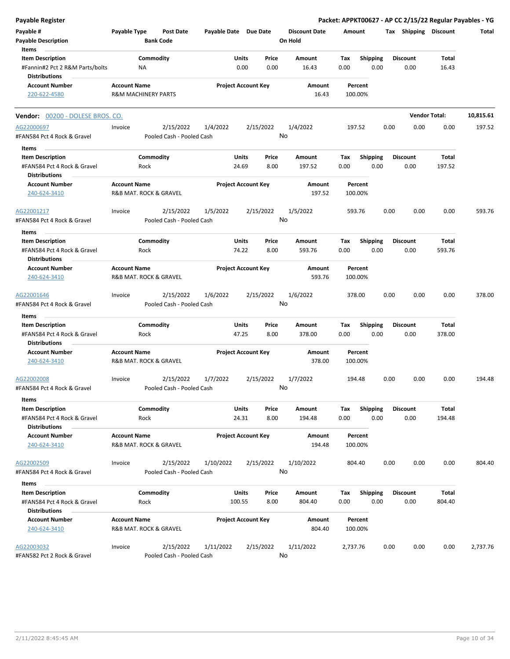| Payable Register                                                               |                                                       |                   |                                        |                       |                 |                            |    |                                 |             |                         |      |                         |                        | Packet: APPKT00627 - AP CC 2/15/22 Regular Payables - YG |
|--------------------------------------------------------------------------------|-------------------------------------------------------|-------------------|----------------------------------------|-----------------------|-----------------|----------------------------|----|---------------------------------|-------------|-------------------------|------|-------------------------|------------------------|----------------------------------------------------------|
| Payable #<br><b>Payable Description</b>                                        | Payable Type                                          | <b>Bank Code</b>  | Post Date                              | Payable Date Due Date |                 |                            |    | <b>Discount Date</b><br>On Hold | Amount      |                         |      | Tax Shipping Discount   |                        | Total                                                    |
| Items<br><b>Item Description</b><br>#Fannin#2 Pct 2 R&M Parts/bolts            |                                                       | Commodity<br>ΝA   |                                        |                       | Units<br>0.00   | Price<br>0.00              |    | Amount<br>16.43                 | Tax<br>0.00 | Shipping<br>0.00        |      | <b>Discount</b><br>0.00 | Total<br>16.43         |                                                          |
| <b>Distributions</b><br><b>Account Number</b><br>220-622-4580                  | <b>Account Name</b><br><b>R&amp;M MACHINERY PARTS</b> |                   |                                        |                       |                 | <b>Project Account Key</b> |    | Amount<br>16.43                 |             | Percent<br>100.00%      |      |                         |                        |                                                          |
|                                                                                |                                                       |                   |                                        |                       |                 |                            |    |                                 |             |                         |      |                         |                        |                                                          |
| Vendor: 00200 - DOLESE BROS. CO.                                               |                                                       |                   |                                        |                       |                 |                            |    |                                 |             |                         |      |                         | <b>Vendor Total:</b>   | 10,815.61                                                |
| AG22000697<br>#FAN584 Pct 4 Rock & Gravel                                      | Invoice                                               |                   | 2/15/2022<br>Pooled Cash - Pooled Cash | 1/4/2022              |                 | 2/15/2022                  | No | 1/4/2022                        |             | 197.52                  | 0.00 | 0.00                    | 0.00                   | 197.52                                                   |
| Items                                                                          |                                                       |                   |                                        |                       |                 |                            |    |                                 |             |                         |      |                         |                        |                                                          |
| <b>Item Description</b><br>#FAN584 Pct 4 Rock & Gravel<br><b>Distributions</b> |                                                       | Commodity<br>Rock |                                        |                       | Units<br>24.69  | Price<br>8.00              |    | Amount<br>197.52                | Tax<br>0.00 | <b>Shipping</b><br>0.00 |      | <b>Discount</b><br>0.00 | Total<br>197.52        |                                                          |
| <b>Account Number</b><br>240-624-3410                                          | <b>Account Name</b><br>R&B MAT. ROCK & GRAVEL         |                   |                                        |                       |                 | <b>Project Account Key</b> |    | Amount<br>197.52                |             | Percent<br>100.00%      |      |                         |                        |                                                          |
| AG22001217<br>#FAN584 Pct 4 Rock & Gravel                                      | Invoice                                               |                   | 2/15/2022<br>Pooled Cash - Pooled Cash | 1/5/2022              |                 | 2/15/2022                  | No | 1/5/2022                        |             | 593.76                  | 0.00 | 0.00                    | 0.00                   | 593.76                                                   |
| Items                                                                          |                                                       |                   |                                        |                       |                 |                            |    |                                 |             |                         |      |                         |                        |                                                          |
| <b>Item Description</b><br>#FAN584 Pct 4 Rock & Gravel                         |                                                       | Commodity<br>Rock |                                        |                       | Units<br>74.22  | Price<br>8.00              |    | Amount<br>593.76                | Tax<br>0.00 | <b>Shipping</b><br>0.00 |      | <b>Discount</b><br>0.00 | Total<br>593.76        |                                                          |
| <b>Distributions</b><br><b>Account Number</b>                                  | <b>Account Name</b>                                   |                   |                                        |                       |                 | <b>Project Account Key</b> |    | Amount                          |             | Percent                 |      |                         |                        |                                                          |
| 240-624-3410                                                                   | R&B MAT. ROCK & GRAVEL                                |                   |                                        |                       |                 |                            |    | 593.76                          |             | 100.00%                 |      |                         |                        |                                                          |
| AG22001646<br>#FAN584 Pct 4 Rock & Gravel                                      | Invoice                                               |                   | 2/15/2022<br>Pooled Cash - Pooled Cash | 1/6/2022              |                 | 2/15/2022                  | No | 1/6/2022                        |             | 378.00                  | 0.00 | 0.00                    | 0.00                   | 378.00                                                   |
| Items                                                                          |                                                       |                   |                                        |                       |                 |                            |    |                                 |             |                         |      |                         |                        |                                                          |
| <b>Item Description</b><br>#FAN584 Pct 4 Rock & Gravel<br><b>Distributions</b> |                                                       | Commodity<br>Rock |                                        |                       | Units<br>47.25  | Price<br>8.00              |    | Amount<br>378.00                | Tax<br>0.00 | <b>Shipping</b><br>0.00 |      | <b>Discount</b><br>0.00 | <b>Total</b><br>378.00 |                                                          |
| <b>Account Number</b><br>240-624-3410                                          | <b>Account Name</b><br>R&B MAT. ROCK & GRAVEL         |                   |                                        |                       |                 | <b>Project Account Key</b> |    | Amount<br>378.00                |             | Percent<br>100.00%      |      |                         |                        |                                                          |
| AG22002008<br>#FAN584 Pct 4 Rock & Gravel                                      | Invoice                                               |                   | 2/15/2022<br>Pooled Cash - Pooled Cash | 1/7/2022              |                 | 2/15/2022                  | No | 1/7/2022                        |             | 194.48                  | 0.00 | 0.00                    | 0.00                   | 194.48                                                   |
| Items                                                                          |                                                       |                   |                                        |                       |                 |                            |    |                                 |             |                         |      |                         |                        |                                                          |
| <b>Item Description</b><br>#FAN584 Pct 4 Rock & Gravel<br><b>Distributions</b> |                                                       | Commodity<br>Rock |                                        |                       | Units<br>24.31  | Price<br>8.00              |    | Amount<br>194.48                | Tax<br>0.00 | <b>Shipping</b><br>0.00 |      | <b>Discount</b><br>0.00 | Total<br>194.48        |                                                          |
| <b>Account Number</b><br>240-624-3410                                          | <b>Account Name</b><br>R&B MAT. ROCK & GRAVEL         |                   |                                        |                       |                 | <b>Project Account Key</b> |    | Amount<br>194.48                |             | Percent<br>100.00%      |      |                         |                        |                                                          |
| AG22002509<br>#FAN584 Pct 4 Rock & Gravel                                      | Invoice                                               |                   | 2/15/2022<br>Pooled Cash - Pooled Cash | 1/10/2022             |                 | 2/15/2022                  | No | 1/10/2022                       |             | 804.40                  | 0.00 | 0.00                    | 0.00                   | 804.40                                                   |
| Items                                                                          |                                                       |                   |                                        |                       |                 |                            |    |                                 |             |                         |      |                         |                        |                                                          |
| <b>Item Description</b><br>#FAN584 Pct 4 Rock & Gravel<br><b>Distributions</b> |                                                       | Commodity<br>Rock |                                        |                       | Units<br>100.55 | Price<br>8.00              |    | Amount<br>804.40                | Tax<br>0.00 | <b>Shipping</b><br>0.00 |      | <b>Discount</b><br>0.00 | <b>Total</b><br>804.40 |                                                          |
| <b>Account Number</b><br>240-624-3410                                          | <b>Account Name</b><br>R&B MAT. ROCK & GRAVEL         |                   |                                        |                       |                 | <b>Project Account Key</b> |    | Amount<br>804.40                |             | Percent<br>100.00%      |      |                         |                        |                                                          |
| AG22003032<br>#FAN582 Pct 2 Rock & Gravel                                      | Invoice                                               |                   | 2/15/2022<br>Pooled Cash - Pooled Cash | 1/11/2022             |                 | 2/15/2022                  | No | 1/11/2022                       | 2,737.76    |                         | 0.00 | 0.00                    | 0.00                   | 2,737.76                                                 |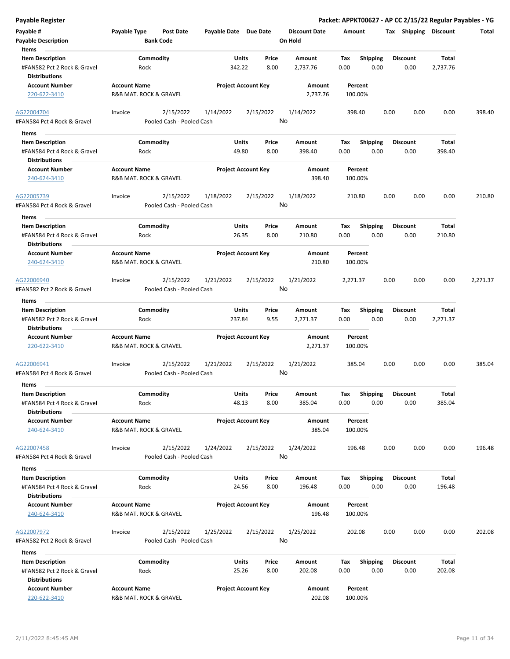| <b>Payable Register</b>                                                                 |                                               |                                        |                       |                            |               |                                 |             |                         |      |                         |                          | Packet: APPKT00627 - AP CC 2/15/22 Regular Payables - YG |
|-----------------------------------------------------------------------------------------|-----------------------------------------------|----------------------------------------|-----------------------|----------------------------|---------------|---------------------------------|-------------|-------------------------|------|-------------------------|--------------------------|----------------------------------------------------------|
| Payable #<br><b>Payable Description</b>                                                 | <b>Payable Type</b>                           | <b>Post Date</b><br><b>Bank Code</b>   | Payable Date Due Date |                            |               | <b>Discount Date</b><br>On Hold | Amount      |                         |      | Tax Shipping Discount   |                          | Total                                                    |
| Items<br><b>Item Description</b><br>#FAN582 Pct 2 Rock & Gravel<br><b>Distributions</b> | Commodity<br>Rock                             |                                        |                       | Units<br>342.22            | Price<br>8.00 | Amount<br>2,737.76              | Tax<br>0.00 | <b>Shipping</b><br>0.00 |      | <b>Discount</b><br>0.00 | <b>Total</b><br>2,737.76 |                                                          |
| <b>Account Number</b><br>220-622-3410                                                   | <b>Account Name</b><br>R&B MAT. ROCK & GRAVEL |                                        |                       | <b>Project Account Key</b> |               | Amount<br>2,737.76              |             | Percent<br>100.00%      |      |                         |                          |                                                          |
| AG22004704<br>#FAN584 Pct 4 Rock & Gravel                                               | Invoice                                       | 2/15/2022<br>Pooled Cash - Pooled Cash | 1/14/2022             | 2/15/2022                  | No            | 1/14/2022                       |             | 398.40                  | 0.00 | 0.00                    | 0.00                     | 398.40                                                   |
| Items<br><b>Item Description</b><br>#FAN584 Pct 4 Rock & Gravel<br><b>Distributions</b> | Commodity<br>Rock                             |                                        |                       | Units<br>49.80             | Price<br>8.00 | Amount<br>398.40                | Tax<br>0.00 | <b>Shipping</b><br>0.00 |      | <b>Discount</b><br>0.00 | Total<br>398.40          |                                                          |
| <b>Account Number</b><br>240-624-3410                                                   | <b>Account Name</b><br>R&B MAT. ROCK & GRAVEL |                                        |                       | <b>Project Account Key</b> |               | Amount<br>398.40                |             | Percent<br>100.00%      |      |                         |                          |                                                          |
| AG22005739<br>#FAN584 Pct 4 Rock & Gravel                                               | Invoice                                       | 2/15/2022<br>Pooled Cash - Pooled Cash | 1/18/2022             | 2/15/2022                  | No            | 1/18/2022                       | 210.80      |                         | 0.00 | 0.00                    | 0.00                     | 210.80                                                   |
| Items<br><b>Item Description</b><br>#FAN584 Pct 4 Rock & Gravel<br><b>Distributions</b> | Commodity<br>Rock                             |                                        |                       | Units<br>26.35             | Price<br>8.00 | Amount<br>210.80                | Tax<br>0.00 | <b>Shipping</b><br>0.00 |      | <b>Discount</b><br>0.00 | Total<br>210.80          |                                                          |
| <b>Account Number</b><br>240-624-3410                                                   | <b>Account Name</b><br>R&B MAT. ROCK & GRAVEL |                                        |                       | <b>Project Account Key</b> |               | Amount<br>210.80                |             | Percent<br>100.00%      |      |                         |                          |                                                          |
| AG22006940<br>#FAN582 Pct 2 Rock & Gravel                                               | Invoice                                       | 2/15/2022<br>Pooled Cash - Pooled Cash | 1/21/2022             | 2/15/2022                  | No            | 1/21/2022                       | 2,271.37    |                         | 0.00 | 0.00                    | 0.00                     | 2,271.37                                                 |
| Items                                                                                   |                                               |                                        |                       |                            |               |                                 |             |                         |      |                         |                          |                                                          |
| <b>Item Description</b><br>#FAN582 Pct 2 Rock & Gravel<br><b>Distributions</b>          | Commodity<br>Rock                             |                                        |                       | <b>Units</b><br>237.84     | Price<br>9.55 | Amount<br>2,271.37              | Tax<br>0.00 | <b>Shipping</b><br>0.00 |      | <b>Discount</b><br>0.00 | Total<br>2,271.37        |                                                          |
| <b>Account Number</b><br>220-622-3410                                                   | <b>Account Name</b><br>R&B MAT. ROCK & GRAVEL |                                        |                       | <b>Project Account Key</b> |               | Amount<br>2,271.37              |             | Percent<br>100.00%      |      |                         |                          |                                                          |
| AG22006941<br>#FAN584 Pct 4 Rock & Gravel<br>Items                                      | Invoice                                       | 2/15/2022<br>Pooled Cash - Pooled Cash | 1/21/2022             | 2/15/2022                  | No            | 1/21/2022                       |             | 385.04                  | 0.00 | 0.00                    | 0.00                     | 385.04                                                   |
| <b>Item Description</b><br>#FAN584 Pct 4 Rock & Gravel<br><b>Distributions</b>          | Commodity<br>Rock                             |                                        |                       | Units<br>48.13             | Price<br>8.00 | Amount<br>385.04                | Tax<br>0.00 | Shipping<br>0.00        |      | <b>Discount</b><br>0.00 | <b>Total</b><br>385.04   |                                                          |
| <b>Account Number</b><br>240-624-3410                                                   | <b>Account Name</b><br>R&B MAT. ROCK & GRAVEL |                                        |                       | <b>Project Account Key</b> |               | Amount<br>385.04                |             | Percent<br>100.00%      |      |                         |                          |                                                          |
| AG22007458<br>#FAN584 Pct 4 Rock & Gravel                                               | Invoice                                       | 2/15/2022<br>Pooled Cash - Pooled Cash | 1/24/2022             | 2/15/2022                  | No            | 1/24/2022                       |             | 196.48                  | 0.00 | 0.00                    | 0.00                     | 196.48                                                   |
| Items                                                                                   |                                               |                                        |                       |                            |               |                                 |             |                         |      |                         |                          |                                                          |
| <b>Item Description</b><br>#FAN584 Pct 4 Rock & Gravel<br><b>Distributions</b>          | Commodity<br>Rock                             |                                        |                       | <b>Units</b><br>24.56      | Price<br>8.00 | Amount<br>196.48                | Тах<br>0.00 | <b>Shipping</b><br>0.00 |      | <b>Discount</b><br>0.00 | Total<br>196.48          |                                                          |
| <b>Account Number</b><br>240-624-3410                                                   | <b>Account Name</b><br>R&B MAT. ROCK & GRAVEL |                                        |                       | <b>Project Account Key</b> |               | Amount<br>196.48                |             | Percent<br>100.00%      |      |                         |                          |                                                          |
| AG22007972<br>#FAN582 Pct 2 Rock & Gravel                                               | Invoice                                       | 2/15/2022<br>Pooled Cash - Pooled Cash | 1/25/2022             | 2/15/2022                  | No            | 1/25/2022                       |             | 202.08                  | 0.00 | 0.00                    | 0.00                     | 202.08                                                   |
| Items                                                                                   |                                               |                                        |                       |                            |               |                                 |             |                         |      |                         |                          |                                                          |
| <b>Item Description</b><br>#FAN582 Pct 2 Rock & Gravel<br><b>Distributions</b>          | Rock                                          | Commodity                              |                       | Units<br>25.26             | Price<br>8.00 | Amount<br>202.08                | Tax<br>0.00 | <b>Shipping</b><br>0.00 |      | <b>Discount</b><br>0.00 | Total<br>202.08          |                                                          |
| <b>Account Number</b><br>220-622-3410                                                   | <b>Account Name</b><br>R&B MAT. ROCK & GRAVEL |                                        |                       | <b>Project Account Key</b> |               | Amount<br>202.08                |             | Percent<br>100.00%      |      |                         |                          |                                                          |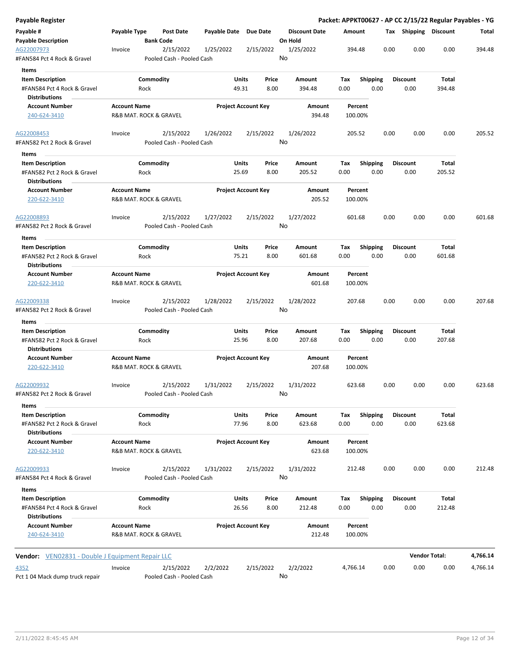| <b>Payable Register</b>                                                        |                     |                                        |                       |                            |                                 |                    |                         |      |                         | Packet: APPKT00627 - AP CC 2/15/22 Regular Payables - YG |          |
|--------------------------------------------------------------------------------|---------------------|----------------------------------------|-----------------------|----------------------------|---------------------------------|--------------------|-------------------------|------|-------------------------|----------------------------------------------------------|----------|
| Payable #<br><b>Payable Description</b>                                        | Payable Type        | <b>Post Date</b><br><b>Bank Code</b>   | Payable Date          | <b>Due Date</b>            | <b>Discount Date</b><br>On Hold | Amount             |                         |      |                         | Tax Shipping Discount                                    | Total    |
| AG22007973<br>#FAN584 Pct 4 Rock & Gravel                                      | Invoice             | 2/15/2022<br>Pooled Cash - Pooled Cash | 1/25/2022             | 2/15/2022                  | 1/25/2022<br>No                 | 394.48             |                         | 0.00 | 0.00                    | 0.00                                                     | 394.48   |
| Items                                                                          |                     |                                        |                       |                            |                                 |                    |                         |      |                         |                                                          |          |
| <b>Item Description</b><br>#FAN584 Pct 4 Rock & Gravel<br><b>Distributions</b> |                     | Commodity<br>Rock                      | <b>Units</b><br>49.31 | Price<br>8.00              | Amount<br>394.48                | Tax<br>0.00        | <b>Shipping</b><br>0.00 |      | <b>Discount</b><br>0.00 | Total<br>394.48                                          |          |
| <b>Account Number</b>                                                          | <b>Account Name</b> |                                        |                       | <b>Project Account Key</b> | Amount                          | Percent            |                         |      |                         |                                                          |          |
| 240-624-3410                                                                   |                     | R&B MAT. ROCK & GRAVEL                 |                       |                            | 394.48                          | 100.00%            |                         |      |                         |                                                          |          |
| AG22008453<br>#FAN582 Pct 2 Rock & Gravel                                      | Invoice             | 2/15/2022<br>Pooled Cash - Pooled Cash | 1/26/2022             | 2/15/2022                  | 1/26/2022<br>No                 | 205.52             |                         | 0.00 | 0.00                    | 0.00                                                     | 205.52   |
| Items                                                                          |                     |                                        |                       |                            |                                 |                    |                         |      |                         |                                                          |          |
| <b>Item Description</b>                                                        |                     | Commodity                              | <b>Units</b>          | Price                      | Amount                          | Tax                | <b>Shipping</b>         |      | <b>Discount</b>         | Total                                                    |          |
| #FAN582 Pct 2 Rock & Gravel<br><b>Distributions</b>                            |                     | Rock                                   | 25.69                 | 8.00                       | 205.52                          | 0.00               | 0.00                    |      | 0.00                    | 205.52                                                   |          |
| <b>Account Number</b><br>220-622-3410                                          | <b>Account Name</b> | R&B MAT. ROCK & GRAVEL                 |                       | <b>Project Account Key</b> | Amount<br>205.52                | Percent<br>100.00% |                         |      |                         |                                                          |          |
| AG22008893<br>#FAN582 Pct 2 Rock & Gravel                                      | Invoice             | 2/15/2022<br>Pooled Cash - Pooled Cash | 1/27/2022             | 2/15/2022                  | 1/27/2022<br>No                 | 601.68             |                         | 0.00 | 0.00                    | 0.00                                                     | 601.68   |
| Items                                                                          |                     |                                        |                       |                            |                                 |                    |                         |      |                         |                                                          |          |
| <b>Item Description</b>                                                        |                     | Commodity                              | Units                 | Price                      | Amount                          | Tax                | <b>Shipping</b>         |      | <b>Discount</b>         | Total                                                    |          |
| #FAN582 Pct 2 Rock & Gravel<br><b>Distributions</b>                            |                     | Rock                                   | 75.21                 | 8.00                       | 601.68                          | 0.00               | 0.00                    |      | 0.00                    | 601.68                                                   |          |
| <b>Account Number</b>                                                          | <b>Account Name</b> |                                        |                       | <b>Project Account Key</b> | Amount                          | Percent            |                         |      |                         |                                                          |          |
| 220-622-3410                                                                   |                     | R&B MAT. ROCK & GRAVEL                 |                       |                            | 601.68                          | 100.00%            |                         |      |                         |                                                          |          |
| AG22009338<br>#FAN582 Pct 2 Rock & Gravel                                      | Invoice             | 2/15/2022<br>Pooled Cash - Pooled Cash | 1/28/2022             | 2/15/2022                  | 1/28/2022<br>No                 | 207.68             |                         | 0.00 | 0.00                    | 0.00                                                     | 207.68   |
| Items                                                                          |                     |                                        |                       |                            |                                 |                    |                         |      |                         |                                                          |          |
| <b>Item Description</b>                                                        |                     | Commodity                              | <b>Units</b>          | Price                      | Amount                          | Tax                | Shipping                |      | <b>Discount</b>         | Total                                                    |          |
| #FAN582 Pct 2 Rock & Gravel                                                    |                     | Rock                                   | 25.96                 | 8.00                       | 207.68                          | 0.00               | 0.00                    |      | 0.00                    | 207.68                                                   |          |
| <b>Distributions</b><br><b>Account Number</b>                                  | <b>Account Name</b> |                                        |                       | <b>Project Account Key</b> | Amount                          | Percent            |                         |      |                         |                                                          |          |
| 220-622-3410                                                                   |                     | R&B MAT. ROCK & GRAVEL                 |                       |                            | 207.68                          | 100.00%            |                         |      |                         |                                                          |          |
| AG22009932<br>#FAN582 Pct 2 Rock & Gravel                                      | Invoice             | 2/15/2022<br>Pooled Cash - Pooled Cash | 1/31/2022             | 2/15/2022                  | 1/31/2022<br>No                 | 623.68             |                         | 0.00 | 0.00                    | 0.00                                                     | 623.68   |
| Items                                                                          |                     |                                        |                       |                            |                                 |                    |                         |      |                         |                                                          |          |
| <b>Item Description</b>                                                        |                     | Commodity                              | <b>Units</b>          | Price                      | Amount                          | Tax                | Shipping                |      | Discount                | Total                                                    |          |
| #FAN582 Pct 2 Rock & Gravel<br><b>Distributions</b>                            |                     | Rock                                   | 77.96                 | 8.00                       | 623.68                          | 0.00               | 0.00                    |      | 0.00                    | 623.68                                                   |          |
| <b>Account Number</b><br>220-622-3410                                          | <b>Account Name</b> | R&B MAT. ROCK & GRAVEL                 |                       | <b>Project Account Key</b> | Amount<br>623.68                | Percent<br>100.00% |                         |      |                         |                                                          |          |
| AG22009933<br>#FAN584 Pct 4 Rock & Gravel                                      | Invoice             | 2/15/2022<br>Pooled Cash - Pooled Cash | 1/31/2022             | 2/15/2022                  | 1/31/2022<br>No                 | 212.48             |                         | 0.00 | 0.00                    | 0.00                                                     | 212.48   |
| Items                                                                          |                     |                                        |                       |                            |                                 |                    |                         |      |                         |                                                          |          |
| <b>Item Description</b>                                                        |                     | Commodity                              | <b>Units</b>          | Price                      | Amount                          | Tax                | <b>Shipping</b>         |      | <b>Discount</b>         | Total                                                    |          |
| #FAN584 Pct 4 Rock & Gravel<br><b>Distributions</b>                            |                     | Rock                                   | 26.56                 | 8.00                       | 212.48                          | 0.00               | 0.00                    |      | 0.00                    | 212.48                                                   |          |
| <b>Account Number</b><br>240-624-3410                                          | <b>Account Name</b> | R&B MAT. ROCK & GRAVEL                 |                       | <b>Project Account Key</b> | Amount<br>212.48                | Percent<br>100.00% |                         |      |                         |                                                          |          |
| Vendor: VEN02831 - Double J Equipment Repair LLC                               |                     |                                        |                       |                            |                                 |                    |                         |      |                         | <b>Vendor Total:</b>                                     | 4,766.14 |
| 4352                                                                           | Invoice             | 2/15/2022                              | 2/2/2022              | 2/15/2022                  | 2/2/2022                        | 4,766.14           |                         | 0.00 | 0.00                    | 0.00                                                     | 4,766.14 |
| Pct 104 Mack dump truck repair                                                 |                     | Pooled Cash - Pooled Cash              |                       |                            | No                              |                    |                         |      |                         |                                                          |          |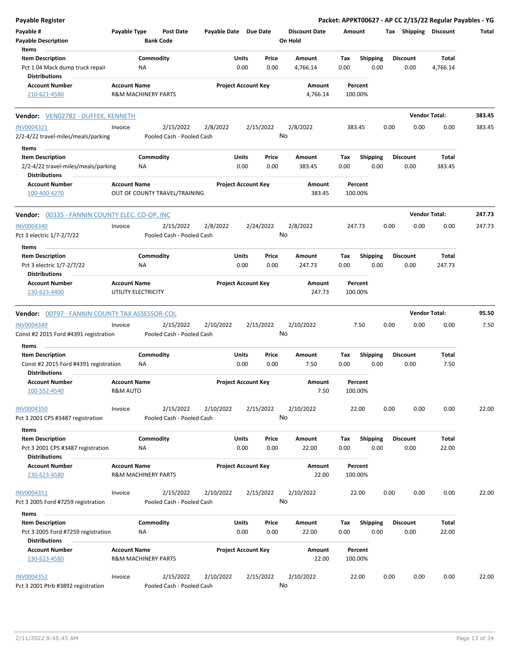| <b>Payable Register</b>                                                           |                                 |                                        |                       |                            |               |                                 |             |                         |      |                         | Packet: APPKT00627 - AP CC 2/15/22 Regular Payables - YG |        |
|-----------------------------------------------------------------------------------|---------------------------------|----------------------------------------|-----------------------|----------------------------|---------------|---------------------------------|-------------|-------------------------|------|-------------------------|----------------------------------------------------------|--------|
| Payable #<br><b>Payable Description</b>                                           | Payable Type                    | <b>Post Date</b><br><b>Bank Code</b>   | Payable Date Due Date |                            |               | <b>Discount Date</b><br>On Hold | Amount      |                         |      | Tax Shipping Discount   |                                                          | Total  |
| Items                                                                             |                                 |                                        |                       |                            |               |                                 |             |                         |      |                         |                                                          |        |
| <b>Item Description</b><br>Pct 104 Mack dump truck repair<br><b>Distributions</b> |                                 | Commodity<br>NA                        |                       | Units<br>0.00              | Price<br>0.00 | Amount<br>4,766.14              | Tax<br>0.00 | <b>Shipping</b><br>0.00 |      | Discount<br>0.00        | Total<br>4,766.14                                        |        |
| <b>Account Number</b>                                                             | <b>Account Name</b>             |                                        |                       | <b>Project Account Key</b> |               | Amount                          |             | Percent                 |      |                         |                                                          |        |
| 210-621-4580                                                                      |                                 | <b>R&amp;M MACHINERY PARTS</b>         |                       |                            |               | 4,766.14                        | 100.00%     |                         |      |                         |                                                          |        |
| Vendor: VEN02782 - DUFFEK, KENNETH                                                |                                 |                                        |                       |                            |               |                                 |             |                         |      |                         | <b>Vendor Total:</b>                                     | 383.45 |
| INV0004321<br>2/2-4/22 travel-miles/meals/parking                                 | Invoice                         | 2/15/2022<br>Pooled Cash - Pooled Cash | 2/8/2022              |                            | 2/15/2022     | 2/8/2022<br>No                  | 383.45      |                         | 0.00 | 0.00                    | 0.00                                                     | 383.45 |
| Items                                                                             |                                 |                                        |                       |                            |               |                                 |             |                         |      |                         |                                                          |        |
| <b>Item Description</b>                                                           |                                 | Commodity                              |                       | Units                      | Price         | Amount                          | Tax         | <b>Shipping</b>         |      | <b>Discount</b>         | Total                                                    |        |
| 2/2-4/22 travel-miles/meals/parking<br><b>Distributions</b>                       |                                 | ΝA                                     |                       | 0.00                       | 0.00          | 383.45                          | 0.00        | 0.00                    |      | 0.00                    | 383.45                                                   |        |
| <b>Account Number</b><br>100-400-4270                                             | <b>Account Name</b>             | OUT OF COUNTY TRAVEL/TRAINING          |                       | <b>Project Account Key</b> |               | Amount<br>383.45                | 100.00%     | Percent                 |      |                         |                                                          |        |
| <b>Vendor: 00335 - FANNIN COUNTY ELEC. CO-OP, INC</b>                             |                                 |                                        |                       |                            |               |                                 |             |                         |      |                         | <b>Vendor Total:</b>                                     | 247.73 |
| <b>INV0004340</b><br>Pct 3 electric 1/7-2/7/22                                    | Invoice                         | 2/15/2022<br>Pooled Cash - Pooled Cash | 2/8/2022              |                            | 2/24/2022     | 2/8/2022<br>No                  | 247.73      |                         | 0.00 | 0.00                    | 0.00                                                     | 247.73 |
| Items                                                                             |                                 |                                        |                       |                            |               |                                 |             |                         |      |                         |                                                          |        |
| <b>Item Description</b><br>Pct 3 electric 1/7-2/7/22<br><b>Distributions</b>      |                                 | Commodity<br>ΝA                        |                       | Units<br>0.00              | Price<br>0.00 | Amount<br>247.73                | Tax<br>0.00 | <b>Shipping</b><br>0.00 |      | <b>Discount</b><br>0.00 | Total<br>247.73                                          |        |
| <b>Account Number</b><br>230-623-4400                                             | <b>Account Name</b>             | UTILITY ELECTRICITY                    |                       | <b>Project Account Key</b> |               | Amount<br>247.73                | 100.00%     | Percent                 |      |                         |                                                          |        |
| Vendor: 00797 - FANNIN COUNTY TAX ASSESSOR-COL                                    |                                 |                                        |                       |                            |               |                                 |             |                         |      |                         | <b>Vendor Total:</b>                                     | 95.50  |
| <b>INV0004349</b>                                                                 | Invoice                         | 2/15/2022                              | 2/10/2022             |                            | 2/15/2022     | 2/10/2022                       |             | 7.50                    | 0.00 | 0.00                    | 0.00                                                     | 7.50   |
| Const #2 2015 Ford #4391 registration                                             |                                 | Pooled Cash - Pooled Cash              |                       |                            |               | No                              |             |                         |      |                         |                                                          |        |
| Items                                                                             |                                 | Commodity                              |                       |                            |               |                                 |             |                         |      |                         |                                                          |        |
| <b>Item Description</b><br>Const #2 2015 Ford #4391 registration<br>Distributions |                                 | ΝA                                     |                       | Units<br>0.00              | Price<br>0.00 | Amount<br>7.50                  | Тах<br>0.00 | Shipping<br>0.00        |      | <b>Discount</b><br>0.00 | Total<br>7.50                                            |        |
| Account Number<br>100-552-4540                                                    | <b>Account Name</b><br>R&M AUTO |                                        |                       | <b>Project Account Key</b> |               | Amount<br>7.50                  | 100.00%     | Percent                 |      |                         |                                                          |        |
| <b>INV0004350</b><br>Pct 3 2001 CPS #3487 registration                            | Invoice                         | 2/15/2022<br>Pooled Cash - Pooled Cash | 2/10/2022             |                            | 2/15/2022     | 2/10/2022<br>No                 |             | 22.00                   | 0.00 | 0.00                    | 0.00                                                     | 22.00  |
| Items                                                                             |                                 |                                        |                       |                            |               |                                 |             |                         |      |                         |                                                          |        |
| <b>Item Description</b><br>Pct 3 2001 CPS #3487 registration                      |                                 | Commodity<br>ΝA                        |                       | Units<br>0.00              | Price<br>0.00 | Amount<br>22.00                 | Tax<br>0.00 | <b>Shipping</b><br>0.00 |      | <b>Discount</b><br>0.00 | Total<br>22.00                                           |        |
| <b>Distributions</b>                                                              |                                 |                                        |                       |                            |               |                                 |             |                         |      |                         |                                                          |        |
| <b>Account Number</b><br>230-623-4580                                             | <b>Account Name</b>             | <b>R&amp;M MACHINERY PARTS</b>         |                       | <b>Project Account Key</b> |               | Amount<br>22.00                 | 100.00%     | Percent                 |      |                         |                                                          |        |
| INV0004351<br>Pct 3 2005 Ford #7259 registration                                  | Invoice                         | 2/15/2022<br>Pooled Cash - Pooled Cash | 2/10/2022             |                            | 2/15/2022     | 2/10/2022<br>No                 |             | 22.00                   | 0.00 | 0.00                    | 0.00                                                     | 22.00  |
| Items                                                                             |                                 |                                        |                       |                            |               |                                 |             |                         |      |                         |                                                          |        |
| <b>Item Description</b>                                                           |                                 | Commodity                              |                       | <b>Units</b>               | Price         | Amount                          | Tax         | <b>Shipping</b>         |      | <b>Discount</b>         | Total                                                    |        |
| Pct 3 2005 Ford #7259 registration<br><b>Distributions</b>                        |                                 | NA                                     |                       | 0.00                       | 0.00          | 22.00                           | 0.00        | 0.00                    |      | 0.00                    | 22.00                                                    |        |
| <b>Account Number</b><br>230-623-4580                                             | <b>Account Name</b>             | <b>R&amp;M MACHINERY PARTS</b>         |                       | <b>Project Account Key</b> |               | Amount<br>22.00                 | 100.00%     | Percent                 |      |                         |                                                          |        |
| <b>INV0004352</b><br>Pct 3 2001 Ptrb #3892 registration                           | Invoice                         | 2/15/2022<br>Pooled Cash - Pooled Cash | 2/10/2022             |                            | 2/15/2022     | 2/10/2022<br>No                 |             | 22.00                   | 0.00 | 0.00                    | 0.00                                                     | 22.00  |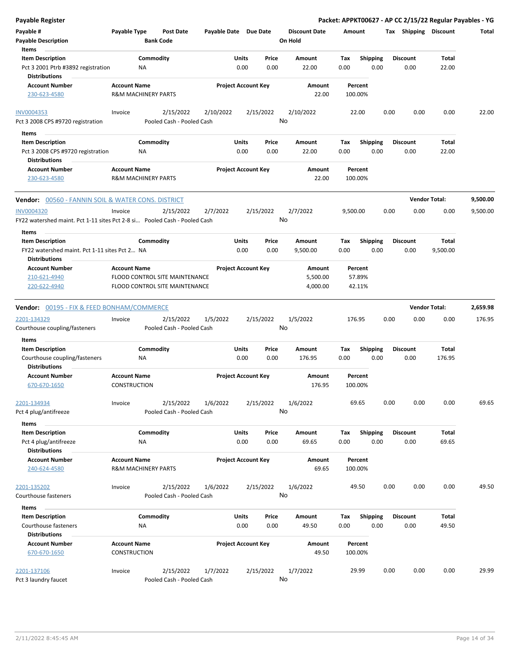| Payable Register                                                          |                                |                                |                       |                            |           |                      |          |                 |      |                       | Packet: APPKT00627 - AP CC 2/15/22 Regular Payables - YG |          |
|---------------------------------------------------------------------------|--------------------------------|--------------------------------|-----------------------|----------------------------|-----------|----------------------|----------|-----------------|------|-----------------------|----------------------------------------------------------|----------|
| Payable #                                                                 | Payable Type                   | Post Date                      | Payable Date Due Date |                            |           | <b>Discount Date</b> | Amount   |                 |      | Tax Shipping Discount |                                                          | Total    |
| <b>Payable Description</b>                                                |                                | <b>Bank Code</b>               |                       |                            |           | On Hold              |          |                 |      |                       |                                                          |          |
| Items                                                                     |                                |                                |                       |                            |           |                      |          |                 |      |                       |                                                          |          |
| <b>Item Description</b>                                                   |                                | Commodity                      |                       | Units                      | Price     | Amount               | Tax      | <b>Shipping</b> |      | <b>Discount</b>       | Total                                                    |          |
| Pct 3 2001 Ptrb #3892 registration                                        | NA                             |                                |                       | 0.00                       | 0.00      | 22.00                | 0.00     | 0.00            |      | 0.00                  | 22.00                                                    |          |
| <b>Distributions</b>                                                      |                                |                                |                       |                            |           |                      |          |                 |      |                       |                                                          |          |
| <b>Account Number</b>                                                     | <b>Account Name</b>            |                                |                       | <b>Project Account Key</b> |           | Amount               |          | Percent         |      |                       |                                                          |          |
| 230-623-4580                                                              | <b>R&amp;M MACHINERY PARTS</b> |                                |                       |                            |           | 22.00                |          | 100.00%         |      |                       |                                                          |          |
|                                                                           |                                |                                |                       |                            |           |                      |          |                 |      |                       |                                                          |          |
| <b>INV0004353</b>                                                         | Invoice                        | 2/15/2022                      | 2/10/2022             |                            | 2/15/2022 | 2/10/2022            |          | 22.00           | 0.00 | 0.00                  | 0.00                                                     | 22.00    |
| Pct 3 2008 CPS #9720 registration                                         |                                | Pooled Cash - Pooled Cash      |                       |                            |           | No                   |          |                 |      |                       |                                                          |          |
| Items                                                                     |                                |                                |                       |                            |           |                      |          |                 |      |                       |                                                          |          |
| <b>Item Description</b>                                                   |                                | Commodity                      |                       | Units                      | Price     | Amount               | Tax      | <b>Shipping</b> |      | <b>Discount</b>       | Total                                                    |          |
| Pct 3 2008 CPS #9720 registration                                         | ΝA                             |                                |                       | 0.00                       | 0.00      | 22.00                | 0.00     | 0.00            |      | 0.00                  | 22.00                                                    |          |
| <b>Distributions</b>                                                      |                                |                                |                       |                            |           |                      |          |                 |      |                       |                                                          |          |
| <b>Account Number</b>                                                     | <b>Account Name</b>            |                                |                       | <b>Project Account Key</b> |           | Amount               |          | Percent         |      |                       |                                                          |          |
| 230-623-4580                                                              | <b>R&amp;M MACHINERY PARTS</b> |                                |                       |                            |           | 22.00                |          | 100.00%         |      |                       |                                                          |          |
| <b>Vendor:</b> 00560 - FANNIN SOIL & WATER CONS. DISTRICT                 |                                |                                |                       |                            |           |                      |          |                 |      |                       | <b>Vendor Total:</b>                                     | 9,500.00 |
| <b>INV0004320</b>                                                         | Invoice                        | 2/15/2022                      | 2/7/2022              |                            | 2/15/2022 | 2/7/2022             | 9,500.00 |                 | 0.00 | 0.00                  | 0.00                                                     | 9,500.00 |
| FY22 watershed maint. Pct 1-11 sites Pct 2-8 si Pooled Cash - Pooled Cash |                                |                                |                       |                            |           | No                   |          |                 |      |                       |                                                          |          |
|                                                                           |                                |                                |                       |                            |           |                      |          |                 |      |                       |                                                          |          |
| Items                                                                     |                                |                                |                       |                            |           |                      |          |                 |      |                       |                                                          |          |
| <b>Item Description</b>                                                   |                                | Commodity                      |                       | Units                      | Price     | Amount               | Tax      | <b>Shipping</b> |      | <b>Discount</b>       | Total                                                    |          |
| FY22 watershed maint. Pct 1-11 sites Pct 2 NA                             |                                |                                |                       | 0.00                       | 0.00      | 9,500.00             | 0.00     | 0.00            |      | 0.00                  | 9,500.00                                                 |          |
| <b>Distributions</b>                                                      |                                |                                |                       |                            |           |                      |          |                 |      |                       |                                                          |          |
| <b>Account Number</b>                                                     | <b>Account Name</b>            |                                |                       | <b>Project Account Key</b> |           | Amount               |          | Percent         |      |                       |                                                          |          |
| 210-621-4940                                                              |                                | FLOOD CONTROL SITE MAINTENANCE |                       |                            |           | 5,500.00             |          | 57.89%          |      |                       |                                                          |          |
| 220-622-4940                                                              |                                | FLOOD CONTROL SITE MAINTENANCE |                       |                            |           | 4,000.00             |          | 42.11%          |      |                       |                                                          |          |
| <b>Vendor:</b> 00195 - FIX & FEED BONHAM/COMMERCE                         |                                |                                |                       |                            |           |                      |          |                 |      |                       | <b>Vendor Total:</b>                                     | 2,659.98 |
| 2201-134329                                                               | Invoice                        | 2/15/2022                      | 1/5/2022              |                            | 2/15/2022 | 1/5/2022             |          | 176.95          | 0.00 | 0.00                  | 0.00                                                     | 176.95   |
| Courthouse coupling/fasteners                                             |                                | Pooled Cash - Pooled Cash      |                       |                            |           | No                   |          |                 |      |                       |                                                          |          |
| Items                                                                     |                                |                                |                       |                            |           |                      |          |                 |      |                       |                                                          |          |
| <b>Item Description</b>                                                   |                                | Commodity                      |                       | Units                      | Price     | Amount               | Tax      | <b>Shipping</b> |      | <b>Discount</b>       | Total                                                    |          |
| Courthouse coupling/fasteners                                             | ΝA                             |                                |                       | 0.00                       | 0.00      | 176.95               | 0.00     | 0.00            |      | 0.00                  | 176.95                                                   |          |
| <b>Distributions</b>                                                      |                                |                                |                       |                            |           |                      |          |                 |      |                       |                                                          |          |
| <b>Account Number</b>                                                     | <b>Account Name</b>            |                                |                       | <b>Project Account Key</b> |           | Amount               |          | Percent         |      |                       |                                                          |          |
| 670-670-1650                                                              | <b>CONSTRUCTION</b>            |                                |                       |                            |           | 176.95               |          | 100.00%         |      |                       |                                                          |          |
|                                                                           |                                |                                |                       |                            |           |                      |          |                 |      |                       |                                                          |          |
| 2201-134934                                                               | Invoice                        | 2/15/2022                      | 1/6/2022              |                            | 2/15/2022 | 1/6/2022<br>No       |          | 69.65           | 0.00 | 0.00                  | 0.00                                                     | 69.65    |
| Pct 4 plug/antifreeze                                                     |                                | Pooled Cash - Pooled Cash      |                       |                            |           |                      |          |                 |      |                       |                                                          |          |
| Items                                                                     |                                |                                |                       |                            |           |                      |          |                 |      |                       |                                                          |          |
| <b>Item Description</b>                                                   |                                | Commodity                      |                       | Units                      | Price     | Amount               | Tax      | <b>Shipping</b> |      | <b>Discount</b>       | Total                                                    |          |
| Pct 4 plug/antifreeze                                                     | NA                             |                                |                       | 0.00                       | 0.00      | 69.65                | 0.00     | 0.00            |      | 0.00                  | 69.65                                                    |          |
| <b>Distributions</b>                                                      |                                |                                |                       |                            |           |                      |          |                 |      |                       |                                                          |          |
| <b>Account Number</b>                                                     | <b>Account Name</b>            |                                |                       | <b>Project Account Key</b> |           | Amount               |          | Percent         |      |                       |                                                          |          |
| 240-624-4580                                                              | <b>R&amp;M MACHINERY PARTS</b> |                                |                       |                            |           | 69.65                |          | 100.00%         |      |                       |                                                          |          |
|                                                                           |                                |                                |                       |                            |           |                      |          |                 |      |                       |                                                          |          |
| 2201-135202                                                               | Invoice                        | 2/15/2022                      | 1/6/2022              |                            | 2/15/2022 | 1/6/2022             |          | 49.50           | 0.00 | 0.00                  | 0.00                                                     | 49.50    |
| Courthouse fasteners                                                      |                                | Pooled Cash - Pooled Cash      |                       |                            |           | No                   |          |                 |      |                       |                                                          |          |
| Items                                                                     |                                |                                |                       |                            |           |                      |          |                 |      |                       |                                                          |          |
| <b>Item Description</b>                                                   |                                | Commodity                      |                       | Units                      | Price     | Amount               | Tax      | <b>Shipping</b> |      | <b>Discount</b>       | Total                                                    |          |
| Courthouse fasteners                                                      | ΝA                             |                                |                       | 0.00                       | 0.00      | 49.50                | 0.00     | 0.00            |      | 0.00                  | 49.50                                                    |          |
| <b>Distributions</b>                                                      |                                |                                |                       |                            |           |                      |          |                 |      |                       |                                                          |          |
| <b>Account Number</b>                                                     | <b>Account Name</b>            |                                |                       | <b>Project Account Key</b> |           | Amount               |          | Percent         |      |                       |                                                          |          |
| 670-670-1650                                                              | CONSTRUCTION                   |                                |                       |                            |           | 49.50                |          | 100.00%         |      |                       |                                                          |          |
|                                                                           |                                |                                |                       |                            |           |                      |          |                 |      |                       |                                                          |          |
| 2201-137106                                                               | Invoice                        | 2/15/2022                      | 1/7/2022              |                            | 2/15/2022 | 1/7/2022             |          | 29.99           | 0.00 | 0.00                  | 0.00                                                     | 29.99    |
| Pct 3 laundry faucet                                                      |                                | Pooled Cash - Pooled Cash      |                       |                            |           | No                   |          |                 |      |                       |                                                          |          |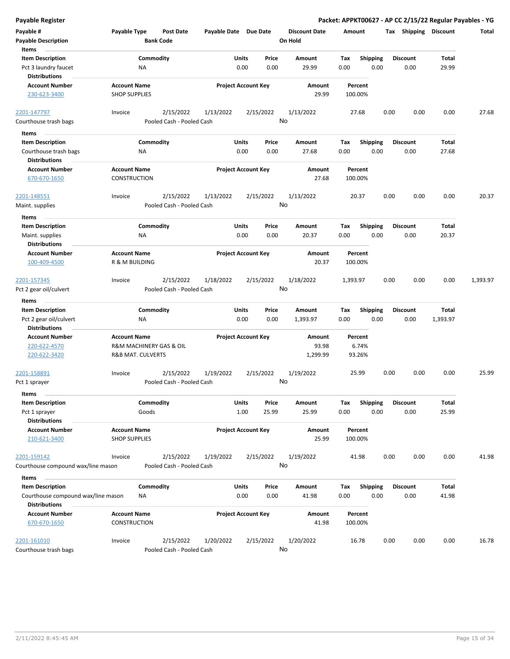| <b>Payable Register</b>                         |                                             |                                      |                       |                            |                                 |                    |                         |      |                         |              | Packet: APPKT00627 - AP CC 2/15/22 Regular Payables - YG |
|-------------------------------------------------|---------------------------------------------|--------------------------------------|-----------------------|----------------------------|---------------------------------|--------------------|-------------------------|------|-------------------------|--------------|----------------------------------------------------------|
| Payable #<br><b>Payable Description</b>         | Payable Type                                | <b>Post Date</b><br><b>Bank Code</b> | Payable Date Due Date |                            | <b>Discount Date</b><br>On Hold | Amount             |                         |      | Tax Shipping Discount   |              | Total                                                    |
| Items                                           |                                             |                                      |                       | Units<br>Price             |                                 |                    |                         |      |                         | <b>Total</b> |                                                          |
| <b>Item Description</b><br>Pct 3 laundry faucet | NA                                          | Commodity                            |                       | 0.00<br>0.00               | Amount<br>29.99                 | Tax<br>0.00        | <b>Shipping</b><br>0.00 |      | <b>Discount</b><br>0.00 | 29.99        |                                                          |
| <b>Distributions</b>                            |                                             |                                      |                       |                            |                                 |                    |                         |      |                         |              |                                                          |
| <b>Account Number</b>                           | <b>Account Name</b>                         |                                      |                       | <b>Project Account Key</b> | Amount                          | Percent            |                         |      |                         |              |                                                          |
| 230-623-3400                                    | <b>SHOP SUPPLIES</b>                        |                                      |                       |                            | 29.99                           | 100.00%            |                         |      |                         |              |                                                          |
| 2201-147797                                     | Invoice                                     | 2/15/2022                            | 1/13/2022             | 2/15/2022                  | 1/13/2022                       | 27.68              |                         | 0.00 | 0.00                    | 0.00         | 27.68                                                    |
| Courthouse trash bags                           |                                             | Pooled Cash - Pooled Cash            |                       |                            | No                              |                    |                         |      |                         |              |                                                          |
| Items                                           |                                             |                                      |                       |                            |                                 |                    |                         |      |                         |              |                                                          |
| <b>Item Description</b>                         |                                             | Commodity                            |                       | Units<br>Price             | Amount                          | Tax                | <b>Shipping</b>         |      | <b>Discount</b>         | Total        |                                                          |
| Courthouse trash bags                           | ΝA                                          |                                      |                       | 0.00<br>0.00               | 27.68                           | 0.00               | 0.00                    |      | 0.00                    | 27.68        |                                                          |
| <b>Distributions</b>                            |                                             |                                      |                       |                            |                                 |                    |                         |      |                         |              |                                                          |
| <b>Account Number</b><br>670-670-1650           | <b>Account Name</b><br>CONSTRUCTION         |                                      |                       | <b>Project Account Key</b> | Amount<br>27.68                 | Percent<br>100.00% |                         |      |                         |              |                                                          |
| 2201-148551                                     | Invoice                                     | 2/15/2022                            | 1/13/2022             | 2/15/2022                  | 1/13/2022                       | 20.37              |                         | 0.00 | 0.00                    | 0.00         | 20.37                                                    |
| Maint. supplies                                 |                                             | Pooled Cash - Pooled Cash            |                       |                            | No                              |                    |                         |      |                         |              |                                                          |
| Items                                           |                                             |                                      |                       |                            |                                 |                    |                         |      |                         |              |                                                          |
| <b>Item Description</b>                         |                                             | Commodity                            |                       | Units<br>Price             | Amount                          | Tax                | <b>Shipping</b>         |      | <b>Discount</b>         | Total        |                                                          |
| Maint. supplies                                 | ΝA                                          |                                      |                       | 0.00<br>0.00               | 20.37                           | 0.00               | 0.00                    |      | 0.00                    | 20.37        |                                                          |
| <b>Distributions</b>                            |                                             |                                      |                       |                            |                                 |                    |                         |      |                         |              |                                                          |
| <b>Account Number</b>                           | <b>Account Name</b>                         |                                      |                       | <b>Project Account Key</b> | Amount                          | Percent            |                         |      |                         |              |                                                          |
| 100-409-4500                                    | R & M BUILDING                              |                                      |                       |                            | 20.37                           | 100.00%            |                         |      |                         |              |                                                          |
| 2201-157345                                     | Invoice                                     | 2/15/2022                            | 1/18/2022             | 2/15/2022                  | 1/18/2022                       | 1,393.97           |                         | 0.00 | 0.00                    | 0.00         | 1,393.97                                                 |
| Pct 2 gear oil/culvert                          |                                             | Pooled Cash - Pooled Cash            |                       |                            | No                              |                    |                         |      |                         |              |                                                          |
| Items                                           |                                             |                                      |                       |                            |                                 |                    |                         |      |                         |              |                                                          |
| <b>Item Description</b>                         |                                             | Commodity                            |                       | Units<br>Price             | Amount                          | Tax                | Shipping                |      | <b>Discount</b>         | Total        |                                                          |
| Pct 2 gear oil/culvert                          | NA                                          |                                      |                       | 0.00<br>0.00               | 1,393.97                        | 0.00               | 0.00                    |      | 0.00                    | 1,393.97     |                                                          |
| <b>Distributions</b>                            |                                             |                                      |                       |                            |                                 |                    |                         |      |                         |              |                                                          |
| <b>Account Number</b>                           | <b>Account Name</b>                         |                                      |                       | <b>Project Account Key</b> | Amount                          | Percent            |                         |      |                         |              |                                                          |
| 220-622-4570                                    |                                             | R&M MACHINERY GAS & OIL              |                       |                            | 93.98                           | 6.74%              |                         |      |                         |              |                                                          |
| 220-622-3420                                    | R&B MAT. CULVERTS                           |                                      |                       |                            | 1,299.99                        | 93.26%             |                         |      |                         |              |                                                          |
| 2201-158891                                     | Invoice                                     | 2/15/2022                            | 1/19/2022             | 2/15/2022                  | 1/19/2022                       | 25.99              |                         | 0.00 | 0.00                    | 0.00         | 25.99                                                    |
| Pct 1 sprayer                                   |                                             | Pooled Cash - Pooled Cash            |                       |                            | No                              |                    |                         |      |                         |              |                                                          |
| Items                                           |                                             |                                      |                       |                            |                                 |                    |                         |      |                         |              |                                                          |
| <b>Item Description</b>                         |                                             | Commodity                            |                       | Units<br>Price             | Amount                          | Tax                | Shipping                |      | <b>Discount</b>         | <b>Total</b> |                                                          |
| Pct 1 sprayer                                   |                                             | Goods                                |                       | 1.00<br>25.99              | 25.99                           | 0.00               | 0.00                    |      | 0.00                    | 25.99        |                                                          |
| <b>Distributions</b>                            |                                             |                                      |                       |                            |                                 |                    |                         |      |                         |              |                                                          |
| <b>Account Number</b><br>210-621-3400           | <b>Account Name</b><br><b>SHOP SUPPLIES</b> |                                      |                       | <b>Project Account Key</b> | Amount<br>25.99                 | Percent<br>100.00% |                         |      |                         |              |                                                          |
| 2201-159142                                     | Invoice                                     | 2/15/2022                            | 1/19/2022             | 2/15/2022                  | 1/19/2022                       | 41.98              |                         | 0.00 | 0.00                    | 0.00         | 41.98                                                    |
| Courthouse compound wax/line mason              |                                             | Pooled Cash - Pooled Cash            |                       |                            | No                              |                    |                         |      |                         |              |                                                          |
| Items                                           |                                             |                                      |                       |                            |                                 |                    |                         |      |                         |              |                                                          |
| <b>Item Description</b>                         |                                             | Commodity                            |                       | Units<br>Price             | Amount                          | Tax                | <b>Shipping</b>         |      | <b>Discount</b>         | Total        |                                                          |
| Courthouse compound wax/line mason              | ΝA                                          |                                      |                       | 0.00<br>0.00               | 41.98                           | 0.00               | 0.00                    |      | 0.00                    | 41.98        |                                                          |
| <b>Distributions</b>                            |                                             |                                      |                       |                            |                                 |                    |                         |      |                         |              |                                                          |
| <b>Account Number</b>                           | <b>Account Name</b>                         |                                      |                       | <b>Project Account Key</b> | Amount                          | Percent            |                         |      |                         |              |                                                          |
| 670-670-1650                                    | CONSTRUCTION                                |                                      |                       |                            | 41.98                           | 100.00%            |                         |      |                         |              |                                                          |
| 2201-161010                                     | Invoice                                     | 2/15/2022                            | 1/20/2022             | 2/15/2022                  | 1/20/2022                       | 16.78              |                         | 0.00 | 0.00                    | 0.00         | 16.78                                                    |
| Courthouse trash bags                           |                                             | Pooled Cash - Pooled Cash            |                       |                            | No                              |                    |                         |      |                         |              |                                                          |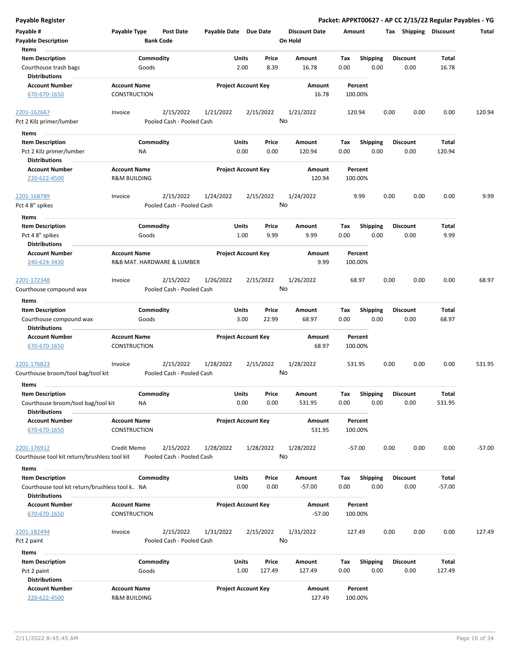| <b>Payable Register</b>                                                     |                                                |                    |                                        |                       |                            |               |                                 |             |                         |      |                         |                 | Packet: APPKT00627 - AP CC 2/15/22 Regular Payables - YG |
|-----------------------------------------------------------------------------|------------------------------------------------|--------------------|----------------------------------------|-----------------------|----------------------------|---------------|---------------------------------|-------------|-------------------------|------|-------------------------|-----------------|----------------------------------------------------------|
| Payable #<br><b>Payable Description</b>                                     | Payable Type                                   |                    | <b>Post Date</b><br><b>Bank Code</b>   | Payable Date Due Date |                            |               | <b>Discount Date</b><br>On Hold | Amount      |                         |      | Tax Shipping Discount   |                 | Total                                                    |
| Items<br><b>Item Description</b>                                            |                                                | Commodity          |                                        |                       | Units                      | Price         | Amount                          | Tax         | <b>Shipping</b>         |      | <b>Discount</b>         | Total           |                                                          |
| Courthouse trash bags<br><b>Distributions</b>                               |                                                | Goods              |                                        |                       | 2.00                       | 8.39          | 16.78                           | 0.00        | 0.00                    |      | 0.00                    | 16.78           |                                                          |
| <b>Account Number</b><br>670-670-1650                                       | <b>Account Name</b><br><b>CONSTRUCTION</b>     |                    |                                        |                       | <b>Project Account Key</b> |               | Amount<br>16.78                 |             | Percent<br>100.00%      |      |                         |                 |                                                          |
| 2201-162667<br>Pct 2 Kilz primer/lumber                                     | Invoice                                        |                    | 2/15/2022<br>Pooled Cash - Pooled Cash | 1/21/2022             |                            | 2/15/2022     | 1/21/2022<br>No                 |             | 120.94                  | 0.00 | 0.00                    | 0.00            | 120.94                                                   |
|                                                                             |                                                |                    |                                        |                       |                            |               |                                 |             |                         |      |                         |                 |                                                          |
| Items                                                                       |                                                |                    |                                        |                       | Units                      |               |                                 |             |                         |      | <b>Discount</b>         |                 |                                                          |
| <b>Item Description</b><br>Pct 2 Kilz primer/lumber<br><b>Distributions</b> |                                                | Commodity<br>ΝA    |                                        |                       | 0.00                       | Price<br>0.00 | Amount<br>120.94                | Tax<br>0.00 | <b>Shipping</b><br>0.00 |      | 0.00                    | Total<br>120.94 |                                                          |
| <b>Account Number</b><br>220-622-4500                                       | <b>Account Name</b><br><b>R&amp;M BUILDING</b> |                    |                                        |                       | <b>Project Account Key</b> |               | Amount<br>120.94                |             | Percent<br>100.00%      |      |                         |                 |                                                          |
| 2201-168789<br>Pct 4 8" spikes                                              | Invoice                                        |                    | 2/15/2022<br>Pooled Cash - Pooled Cash | 1/24/2022             |                            | 2/15/2022     | 1/24/2022<br>No                 |             | 9.99                    | 0.00 | 0.00                    | 0.00            | 9.99                                                     |
| Items                                                                       |                                                |                    |                                        |                       |                            |               |                                 |             |                         |      |                         |                 |                                                          |
| <b>Item Description</b><br>Pct 48" spikes<br><b>Distributions</b>           |                                                | Commodity<br>Goods |                                        |                       | Units<br>1.00              | Price<br>9.99 | Amount<br>9.99                  | Tax<br>0.00 | <b>Shipping</b><br>0.00 |      | <b>Discount</b><br>0.00 | Total<br>9.99   |                                                          |
| <b>Account Number</b>                                                       | <b>Account Name</b>                            |                    |                                        |                       | <b>Project Account Key</b> |               | <b>Amount</b>                   |             | Percent                 |      |                         |                 |                                                          |
| 240-624-3430                                                                |                                                |                    | R&B MAT. HARDWARE & LUMBER             |                       |                            |               | 9.99                            |             | 100.00%                 |      |                         |                 |                                                          |
| 2201-172348                                                                 | Invoice                                        |                    | 2/15/2022                              | 1/26/2022             |                            | 2/15/2022     | 1/26/2022                       |             | 68.97                   | 0.00 | 0.00                    | 0.00            | 68.97                                                    |
| Courthouse compound wax                                                     |                                                |                    | Pooled Cash - Pooled Cash              |                       |                            |               | No                              |             |                         |      |                         |                 |                                                          |
| Items                                                                       |                                                |                    |                                        |                       |                            |               |                                 |             |                         |      |                         |                 |                                                          |
| <b>Item Description</b>                                                     |                                                | Commodity          |                                        |                       | Units                      | Price         | Amount                          | Tax         | <b>Shipping</b>         |      | <b>Discount</b>         | <b>Total</b>    |                                                          |
| Courthouse compound wax<br><b>Distributions</b>                             |                                                | Goods              |                                        |                       | 3.00                       | 22.99         | 68.97                           | 0.00        | 0.00                    |      | 0.00                    | 68.97           |                                                          |
| <b>Account Number</b>                                                       | <b>Account Name</b>                            |                    |                                        |                       | <b>Project Account Key</b> |               | Amount                          |             | Percent                 |      |                         |                 |                                                          |
| 670-670-1650                                                                | <b>CONSTRUCTION</b>                            |                    |                                        |                       |                            |               | 68.97                           |             | 100.00%                 |      |                         |                 |                                                          |
| 2201-176823                                                                 | Invoice                                        |                    | 2/15/2022                              | 1/28/2022             |                            | 2/15/2022     | 1/28/2022                       |             | 531.95                  | 0.00 | 0.00                    | 0.00            | 531.95                                                   |
| Courthouse broom/tool bag/tool kit                                          |                                                |                    | Pooled Cash - Pooled Cash              |                       |                            |               | No                              |             |                         |      |                         |                 |                                                          |
| Items                                                                       |                                                |                    |                                        |                       |                            |               |                                 |             |                         |      |                         |                 |                                                          |
| <b>Item Description</b>                                                     |                                                | Commodity          |                                        |                       | Units                      | Price         | Amount                          | Tax         | Shipping                |      | <b>Discount</b>         | <b>Total</b>    |                                                          |
| Courthouse broom/tool bag/tool kit<br><b>Distributions</b>                  |                                                | ΝA                 |                                        |                       | 0.00                       | 0.00          | 531.95                          | 0.00        | 0.00                    |      | 0.00                    | 531.95          |                                                          |
| <b>Account Number</b>                                                       | <b>Account Name</b>                            |                    |                                        |                       | <b>Project Account Key</b> |               | Amount                          |             | Percent                 |      |                         |                 |                                                          |
| 670-670-1650                                                                | CONSTRUCTION                                   |                    |                                        |                       |                            |               | 531.95                          |             | 100.00%                 |      |                         |                 |                                                          |
| 2201-176912                                                                 | Credit Memo                                    |                    | 2/15/2022                              | 1/28/2022             |                            | 1/28/2022     | 1/28/2022                       |             | $-57.00$                | 0.00 | 0.00                    | 0.00            | $-57.00$                                                 |
| Courthouse tool kit return/brushless tool kit                               |                                                |                    | Pooled Cash - Pooled Cash              |                       |                            |               | No                              |             |                         |      |                         |                 |                                                          |
| Items                                                                       |                                                |                    |                                        |                       |                            |               |                                 |             |                         |      |                         |                 |                                                          |
| <b>Item Description</b>                                                     |                                                | Commodity          |                                        |                       | Units                      | Price         | Amount                          | Tax         | <b>Shipping</b>         |      | <b>Discount</b>         | <b>Total</b>    |                                                          |
| Courthouse tool kit return/brushless tool k NA                              |                                                |                    |                                        |                       | 0.00                       | 0.00          | $-57.00$                        | 0.00        | 0.00                    |      | 0.00                    | $-57.00$        |                                                          |
| <b>Distributions</b>                                                        |                                                |                    |                                        |                       |                            |               |                                 |             |                         |      |                         |                 |                                                          |
| <b>Account Number</b><br>670-670-1650                                       | <b>Account Name</b><br>CONSTRUCTION            |                    |                                        |                       | <b>Project Account Key</b> |               | Amount<br>$-57.00$              |             | Percent<br>100.00%      |      |                         |                 |                                                          |
|                                                                             |                                                |                    |                                        |                       |                            |               |                                 |             |                         |      |                         |                 |                                                          |
| 2201-182494<br>Pct 2 paint                                                  | Invoice                                        |                    | 2/15/2022<br>Pooled Cash - Pooled Cash | 1/31/2022             |                            | 2/15/2022     | 1/31/2022<br>No                 |             | 127.49                  | 0.00 | 0.00                    | 0.00            | 127.49                                                   |
| Items                                                                       |                                                |                    |                                        |                       |                            |               |                                 |             |                         |      |                         |                 |                                                          |
| <b>Item Description</b>                                                     |                                                | Commodity          |                                        |                       | Units                      | Price         | Amount                          | Tax         | <b>Shipping</b>         |      | <b>Discount</b>         | <b>Total</b>    |                                                          |
| Pct 2 paint                                                                 |                                                | Goods              |                                        |                       | 1.00                       | 127.49        | 127.49                          | 0.00        | 0.00                    |      | 0.00                    | 127.49          |                                                          |
| <b>Distributions</b>                                                        |                                                |                    |                                        |                       |                            |               |                                 |             |                         |      |                         |                 |                                                          |
| <b>Account Number</b>                                                       | <b>Account Name</b>                            |                    |                                        |                       | <b>Project Account Key</b> |               | Amount                          |             | Percent                 |      |                         |                 |                                                          |
| 220-622-4500                                                                | <b>R&amp;M BUILDING</b>                        |                    |                                        |                       |                            |               | 127.49                          |             | 100.00%                 |      |                         |                 |                                                          |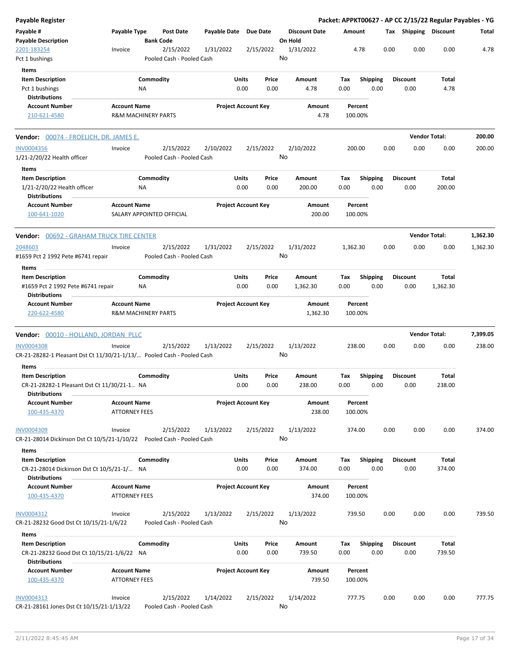| <b>Payable Register</b>                                                 |                      |                                |                                        |                       |                            |           |                      |          |                    |      |                       |                      | Packet: APPKT00627 - AP CC 2/15/22 Regular Payables - YG |
|-------------------------------------------------------------------------|----------------------|--------------------------------|----------------------------------------|-----------------------|----------------------------|-----------|----------------------|----------|--------------------|------|-----------------------|----------------------|----------------------------------------------------------|
| Payable #                                                               | Payable Type         |                                | <b>Post Date</b>                       | Payable Date Due Date |                            |           | <b>Discount Date</b> | Amount   |                    |      | Tax Shipping Discount |                      | Total                                                    |
| <b>Payable Description</b>                                              |                      | <b>Bank Code</b>               |                                        |                       |                            |           | On Hold              |          |                    |      |                       |                      |                                                          |
| 2201-183254                                                             | Invoice              |                                | 2/15/2022                              | 1/31/2022             |                            | 2/15/2022 | 1/31/2022            |          | 4.78               | 0.00 | 0.00                  | 0.00                 | 4.78                                                     |
| Pct 1 bushings                                                          |                      |                                | Pooled Cash - Pooled Cash              |                       |                            |           | No                   |          |                    |      |                       |                      |                                                          |
| Items                                                                   |                      |                                |                                        |                       |                            |           |                      |          |                    |      |                       |                      |                                                          |
| <b>Item Description</b>                                                 |                      | Commodity                      |                                        |                       | Units                      | Price     | Amount               | Tax      | <b>Shipping</b>    |      | <b>Discount</b>       | Total                |                                                          |
| Pct 1 bushings                                                          |                      | ΝA                             |                                        |                       | 0.00                       | 0.00      | 4.78                 | 0.00     | 0.00               |      | 0.00                  | 4.78                 |                                                          |
| <b>Distributions</b>                                                    |                      |                                |                                        |                       |                            |           |                      |          |                    |      |                       |                      |                                                          |
| <b>Account Number</b>                                                   | <b>Account Name</b>  |                                |                                        |                       | <b>Project Account Key</b> |           | Amount               |          | Percent            |      |                       |                      |                                                          |
| 210-621-4580                                                            |                      | <b>R&amp;M MACHINERY PARTS</b> |                                        |                       |                            |           | 4.78                 |          | 100.00%            |      |                       |                      |                                                          |
| <b>Vendor: 00074 - FROELICH, DR. JAMES E.</b>                           |                      |                                |                                        |                       |                            |           |                      |          |                    |      |                       | <b>Vendor Total:</b> | 200.00                                                   |
| <b>INV0004356</b>                                                       | Invoice              |                                | 2/15/2022                              | 2/10/2022             |                            | 2/15/2022 | 2/10/2022            |          | 200.00             | 0.00 | 0.00                  | 0.00                 | 200.00                                                   |
| 1/21-2/20/22 Health officer                                             |                      |                                | Pooled Cash - Pooled Cash              |                       |                            |           | No                   |          |                    |      |                       |                      |                                                          |
| Items                                                                   |                      |                                |                                        |                       |                            |           |                      |          |                    |      |                       |                      |                                                          |
| <b>Item Description</b>                                                 |                      | Commodity                      |                                        |                       | Units                      | Price     | Amount               | Tax      | <b>Shipping</b>    |      | <b>Discount</b>       | <b>Total</b>         |                                                          |
| 1/21-2/20/22 Health officer<br><b>Distributions</b>                     |                      | ΝA                             |                                        |                       | 0.00                       | 0.00      | 200.00               | 0.00     | 0.00               |      | 0.00                  | 200.00               |                                                          |
| <b>Account Number</b><br>100-641-1020                                   | <b>Account Name</b>  |                                | SALARY APPOINTED OFFICIAL              |                       | <b>Project Account Key</b> |           | Amount<br>200.00     |          | Percent<br>100.00% |      |                       |                      |                                                          |
|                                                                         |                      |                                |                                        |                       |                            |           |                      |          |                    |      |                       |                      |                                                          |
| <b>Vendor: 00692 - GRAHAM TRUCK TIRE CENTER</b>                         |                      |                                |                                        |                       |                            |           |                      |          |                    |      |                       | <b>Vendor Total:</b> | 1,362.30                                                 |
| 2048603                                                                 | Invoice              |                                | 2/15/2022                              | 1/31/2022             |                            | 2/15/2022 | 1/31/2022            | 1,362.30 |                    | 0.00 | 0.00                  | 0.00                 | 1,362.30                                                 |
| #1659 Pct 2 1992 Pete #6741 repair                                      |                      |                                | Pooled Cash - Pooled Cash              |                       |                            |           | No                   |          |                    |      |                       |                      |                                                          |
| Items                                                                   |                      |                                |                                        |                       |                            |           |                      |          |                    |      |                       |                      |                                                          |
| <b>Item Description</b>                                                 |                      | Commodity                      |                                        |                       | Units                      | Price     | Amount               | Tax      | <b>Shipping</b>    |      | <b>Discount</b>       | <b>Total</b>         |                                                          |
| #1659 Pct 2 1992 Pete #6741 repair<br><b>Distributions</b>              |                      | ΝA                             |                                        |                       | 0.00                       | 0.00      | 1,362.30             | 0.00     | 0.00               |      | 0.00                  | 1,362.30             |                                                          |
| <b>Account Number</b><br>220-622-4580                                   | <b>Account Name</b>  | <b>R&amp;M MACHINERY PARTS</b> |                                        |                       | <b>Project Account Key</b> |           | Amount<br>1,362.30   |          | Percent<br>100.00% |      |                       |                      |                                                          |
|                                                                         |                      |                                |                                        |                       |                            |           |                      |          |                    |      |                       |                      |                                                          |
| Vendor: 00010 - HOLLAND, JORDAN PLLC                                    |                      |                                |                                        |                       |                            |           |                      |          |                    |      |                       | <b>Vendor Total:</b> | 7,399.05                                                 |
| <b>INV0004308</b>                                                       | Invoice              |                                | 2/15/2022                              | 1/13/2022             |                            | 2/15/2022 | 1/13/2022            |          | 238.00             | 0.00 | 0.00                  | 0.00                 | 238.00                                                   |
| CR-21-28282-1 Pleasant Dst Ct 11/30/21-1/13/ Pooled Cash - Pooled Cash  |                      |                                |                                        |                       |                            |           | No                   |          |                    |      |                       |                      |                                                          |
| Items                                                                   |                      |                                |                                        |                       |                            |           |                      |          |                    |      |                       |                      |                                                          |
| <b>Item Description</b>                                                 |                      | Commodity                      |                                        |                       | Units                      | Price     | <b>Amount</b>        | Tax      | <b>Shipping</b>    |      | <b>Discount</b>       | Total                |                                                          |
| CR-21-28282-1 Pleasant Dst Ct 11/30/21-1 NA<br><b>Distributions</b>     |                      |                                |                                        |                       | 0.00                       | 0.00      | 238.00               | 0.00     | 0.00               |      | 0.00                  | 238.00               |                                                          |
| <b>Account Number</b>                                                   | <b>Account Name</b>  |                                |                                        |                       | <b>Project Account Key</b> |           | Amount               |          | Percent            |      |                       |                      |                                                          |
| 100-435-4370                                                            | <b>ATTORNEY FEES</b> |                                |                                        |                       |                            |           | 238.00               |          | 100.00%            |      |                       |                      |                                                          |
| INV0004309                                                              | Invoice              |                                | 2/15/2022                              | 1/13/2022             |                            | 2/15/2022 | 1/13/2022            |          | 374.00             | 0.00 | 0.00                  | 0.00                 | 374.00                                                   |
| CR-21-28014 Dickinson Dst Ct 10/5/21-1/10/22  Pooled Cash - Pooled Cash |                      |                                |                                        |                       |                            |           | No                   |          |                    |      |                       |                      |                                                          |
| Items                                                                   |                      |                                |                                        |                       |                            |           |                      |          |                    |      |                       |                      |                                                          |
| <b>Item Description</b>                                                 |                      | Commodity                      |                                        |                       | Units                      | Price     | Amount               | Tax      | <b>Shipping</b>    |      | <b>Discount</b>       | Total                |                                                          |
| CR-21-28014 Dickinson Dst Ct 10/5/21-1/ NA                              |                      |                                |                                        |                       | 0.00                       | 0.00      | 374.00               | 0.00     | 0.00               |      | 0.00                  | 374.00               |                                                          |
| <b>Distributions</b><br><b>Account Number</b>                           | <b>Account Name</b>  |                                |                                        |                       | <b>Project Account Key</b> |           | Amount               |          | Percent            |      |                       |                      |                                                          |
| 100-435-4370                                                            | <b>ATTORNEY FEES</b> |                                |                                        |                       |                            |           | 374.00               |          | 100.00%            |      |                       |                      |                                                          |
| INV0004312                                                              | Invoice              |                                | 2/15/2022                              | 1/13/2022             |                            | 2/15/2022 | 1/13/2022            |          | 739.50             | 0.00 | 0.00                  | 0.00                 | 739.50                                                   |
| CR-21-28232 Good Dst Ct 10/15/21-1/6/22                                 |                      |                                | Pooled Cash - Pooled Cash              |                       |                            |           | No                   |          |                    |      |                       |                      |                                                          |
| Items                                                                   |                      |                                |                                        |                       |                            |           |                      |          |                    |      |                       |                      |                                                          |
|                                                                         |                      |                                |                                        |                       | Units                      | Price     | Amount               | Tax      | <b>Shipping</b>    |      | <b>Discount</b>       | Total                |                                                          |
| <b>Item Description</b>                                                 |                      | Commodity                      |                                        |                       |                            |           |                      |          |                    |      |                       |                      |                                                          |
| CR-21-28232 Good Dst Ct 10/15/21-1/6/22 NA                              |                      |                                |                                        |                       | 0.00                       | 0.00      | 739.50               | 0.00     | 0.00               |      | 0.00                  | 739.50               |                                                          |
| <b>Distributions</b>                                                    |                      |                                |                                        |                       |                            |           |                      |          |                    |      |                       |                      |                                                          |
| <b>Account Number</b>                                                   | <b>Account Name</b>  |                                |                                        |                       | <b>Project Account Key</b> |           | Amount               |          | Percent            |      |                       |                      |                                                          |
| 100-435-4370                                                            | <b>ATTORNEY FEES</b> |                                |                                        |                       |                            |           | 739.50               |          | 100.00%            |      |                       |                      |                                                          |
|                                                                         |                      |                                |                                        |                       |                            |           |                      |          |                    |      |                       |                      |                                                          |
| INV0004313<br>CR-21-28161 Jones Dst Ct 10/15/21-1/13/22                 | Invoice              |                                | 2/15/2022<br>Pooled Cash - Pooled Cash | 1/14/2022             |                            | 2/15/2022 | 1/14/2022<br>No      |          | 777.75             | 0.00 | 0.00                  | 0.00                 | 777.75                                                   |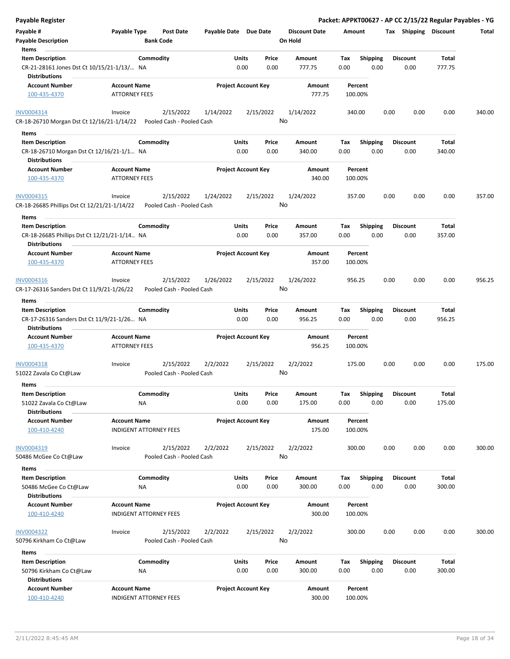| <b>Payable Register</b>                                                                       |                                                      |                                      |                                        |           |               |                            |                                 |                  |             |                    |                         |                       |                         |                 | Packet: APPKT00627 - AP CC 2/15/22 Regular Payables - YG |
|-----------------------------------------------------------------------------------------------|------------------------------------------------------|--------------------------------------|----------------------------------------|-----------|---------------|----------------------------|---------------------------------|------------------|-------------|--------------------|-------------------------|-----------------------|-------------------------|-----------------|----------------------------------------------------------|
| Payable #<br>Payable Type<br><b>Payable Description</b><br>Items                              |                                                      | <b>Post Date</b><br><b>Bank Code</b> | Payable Date Due Date                  |           |               |                            | <b>Discount Date</b><br>On Hold | Amount           |             |                    |                         | Tax Shipping Discount |                         | Total           |                                                          |
| <b>Item Description</b><br>CR-21-28161 Jones Dst Ct 10/15/21-1/13/ NA<br><b>Distributions</b> |                                                      | Commodity                            |                                        |           | Units<br>0.00 | Price<br>0.00              |                                 | Amount<br>777.75 | Tax<br>0.00 |                    | <b>Shipping</b><br>0.00 |                       | <b>Discount</b><br>0.00 | Total<br>777.75 |                                                          |
| <b>Account Number</b><br>100-435-4370                                                         | <b>Account Name</b><br><b>ATTORNEY FEES</b>          |                                      |                                        |           |               | <b>Project Account Key</b> |                                 | Amount<br>777.75 |             | Percent<br>100.00% |                         |                       |                         |                 |                                                          |
| INV0004314<br>CR-18-26710 Morgan Dst Ct 12/16/21-1/14/22                                      | Invoice                                              |                                      | 2/15/2022<br>Pooled Cash - Pooled Cash | 1/14/2022 |               | 2/15/2022                  | No                              | 1/14/2022        |             | 340.00             |                         | 0.00                  | 0.00                    | 0.00            | 340.00                                                   |
| Items                                                                                         |                                                      |                                      |                                        |           |               |                            |                                 |                  |             |                    |                         |                       |                         |                 |                                                          |
| <b>Item Description</b><br>CR-18-26710 Morgan Dst Ct 12/16/21-1/1 NA<br><b>Distributions</b>  |                                                      | Commodity                            |                                        |           | Units<br>0.00 | Price<br>0.00              |                                 | Amount<br>340.00 | Tax<br>0.00 |                    | <b>Shipping</b><br>0.00 |                       | <b>Discount</b><br>0.00 | Total<br>340.00 |                                                          |
| <b>Account Number</b>                                                                         | <b>Account Name</b>                                  |                                      |                                        |           |               | <b>Project Account Key</b> |                                 | Amount           |             | Percent            |                         |                       |                         |                 |                                                          |
| 100-435-4370                                                                                  | <b>ATTORNEY FEES</b>                                 |                                      |                                        |           |               |                            |                                 | 340.00           |             | 100.00%            |                         |                       |                         |                 |                                                          |
| INV0004315<br>CR-18-26685 Phillips Dst Ct 12/21/21-1/14/22                                    | Invoice                                              |                                      | 2/15/2022<br>Pooled Cash - Pooled Cash | 1/24/2022 |               | 2/15/2022                  | No                              | 1/24/2022        |             | 357.00             |                         | 0.00                  | 0.00                    | 0.00            | 357.00                                                   |
| Items                                                                                         |                                                      |                                      |                                        |           |               |                            |                                 |                  |             |                    |                         |                       |                         |                 |                                                          |
| <b>Item Description</b><br>CR-18-26685 Phillips Dst Ct 12/21/21-1/14 NA                       |                                                      | Commodity                            |                                        |           | Units<br>0.00 | Price<br>0.00              |                                 | Amount<br>357.00 | Tax<br>0.00 |                    | Shipping<br>0.00        |                       | <b>Discount</b><br>0.00 | Total<br>357.00 |                                                          |
| <b>Distributions</b><br><b>Account Number</b><br>100-435-4370                                 | <b>Account Name</b><br><b>ATTORNEY FEES</b>          |                                      |                                        |           |               | <b>Project Account Key</b> |                                 | Amount<br>357.00 |             | Percent<br>100.00% |                         |                       |                         |                 |                                                          |
| INV0004316<br>CR-17-26316 Sanders Dst Ct 11/9/21-1/26/22                                      | Invoice                                              |                                      | 2/15/2022<br>Pooled Cash - Pooled Cash | 1/26/2022 |               | 2/15/2022                  | No                              | 1/26/2022        |             | 956.25             |                         | 0.00                  | 0.00                    | 0.00            | 956.25                                                   |
| Items                                                                                         |                                                      |                                      |                                        |           |               |                            |                                 |                  |             |                    |                         |                       |                         |                 |                                                          |
| <b>Item Description</b>                                                                       |                                                      | Commodity                            |                                        |           | Units         | Price                      |                                 | Amount           | Tax         |                    | Shipping                |                       | <b>Discount</b>         | Total           |                                                          |
| CR-17-26316 Sanders Dst Ct 11/9/21-1/26 NA<br><b>Distributions</b>                            |                                                      |                                      |                                        |           | 0.00          | 0.00                       |                                 | 956.25           | 0.00        |                    | 0.00                    |                       | 0.00                    | 956.25          |                                                          |
| <b>Account Number</b><br>100-435-4370                                                         | <b>Account Name</b><br><b>ATTORNEY FEES</b>          |                                      |                                        |           |               | <b>Project Account Key</b> |                                 | Amount<br>956.25 |             | Percent<br>100.00% |                         |                       |                         |                 |                                                          |
| INV0004318<br>51022 Zavala Co Ct@Law                                                          | Invoice                                              |                                      | 2/15/2022<br>Pooled Cash - Pooled Cash | 2/2/2022  |               | 2/15/2022                  | No                              | 2/2/2022         |             | 175.00             |                         | 0.00                  | 0.00                    | 0.00            | 175.00                                                   |
| Items                                                                                         |                                                      |                                      |                                        |           |               |                            |                                 |                  |             |                    |                         |                       |                         |                 |                                                          |
| <b>Item Description</b><br>51022 Zavala Co Ct@Law                                             |                                                      | Commodity<br>NA                      |                                        |           | Units<br>0.00 | Price<br>0.00              |                                 | Amount<br>175.00 | Tax<br>0.00 |                    | <b>Shipping</b><br>0.00 |                       | Discount<br>0.00        | Total<br>175.00 |                                                          |
| <b>Distributions</b>                                                                          |                                                      |                                      |                                        |           |               |                            |                                 |                  |             |                    |                         |                       |                         |                 |                                                          |
| <b>Account Number</b><br>100-410-4240                                                         | <b>Account Name</b><br><b>INDIGENT ATTORNEY FEES</b> |                                      |                                        |           |               | <b>Project Account Key</b> |                                 | Amount<br>175.00 |             | Percent<br>100.00% |                         |                       |                         |                 |                                                          |
| INV0004319<br>50486 McGee Co Ct@Law                                                           | Invoice                                              |                                      | 2/15/2022<br>Pooled Cash - Pooled Cash | 2/2/2022  |               | 2/15/2022                  | No                              | 2/2/2022         |             | 300.00             |                         | 0.00                  | 0.00                    | 0.00            | 300.00                                                   |
| Items                                                                                         |                                                      |                                      |                                        |           |               |                            |                                 |                  |             |                    |                         |                       |                         |                 |                                                          |
| <b>Item Description</b><br>50486 McGee Co Ct@Law<br><b>Distributions</b>                      |                                                      | Commodity<br>NA                      |                                        |           | Units<br>0.00 | Price<br>0.00              |                                 | Amount<br>300.00 | Tax<br>0.00 |                    | Shipping<br>0.00        |                       | <b>Discount</b><br>0.00 | Total<br>300.00 |                                                          |
| <b>Account Number</b><br>100-410-4240                                                         | <b>Account Name</b><br><b>INDIGENT ATTORNEY FEES</b> |                                      |                                        |           |               | <b>Project Account Key</b> |                                 | Amount<br>300.00 |             | Percent<br>100.00% |                         |                       |                         |                 |                                                          |
| <b>INV0004322</b><br>50796 Kirkham Co Ct@Law                                                  | Invoice                                              |                                      | 2/15/2022<br>Pooled Cash - Pooled Cash | 2/2/2022  |               | 2/15/2022                  | No                              | 2/2/2022         |             | 300.00             |                         | 0.00                  | 0.00                    | 0.00            | 300.00                                                   |
| Items                                                                                         |                                                      |                                      |                                        |           |               |                            |                                 |                  |             |                    |                         |                       |                         |                 |                                                          |
| <b>Item Description</b><br>50796 Kirkham Co Ct@Law<br><b>Distributions</b>                    |                                                      | Commodity<br>NA                      |                                        |           | Units<br>0.00 | Price<br>0.00              |                                 | Amount<br>300.00 | Тах<br>0.00 |                    | Shipping<br>0.00        |                       | <b>Discount</b><br>0.00 | Total<br>300.00 |                                                          |
| <b>Account Number</b><br>100-410-4240                                                         | <b>Account Name</b><br><b>INDIGENT ATTORNEY FEES</b> |                                      |                                        |           |               | <b>Project Account Key</b> |                                 | Amount<br>300.00 |             | Percent<br>100.00% |                         |                       |                         |                 |                                                          |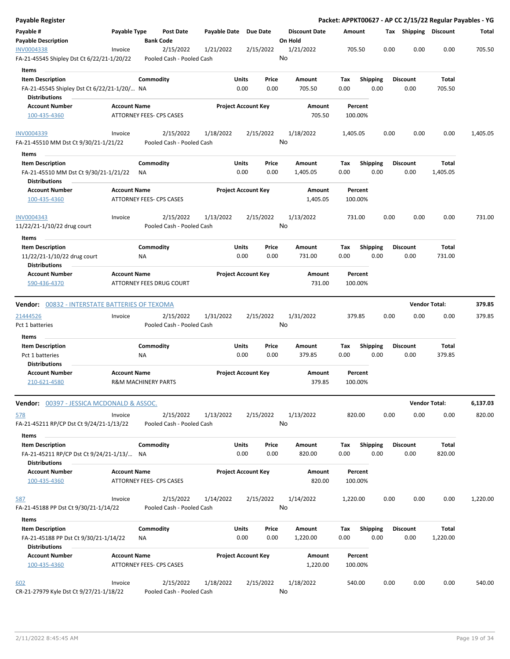| Payable Type<br>Payable Date Due Date<br><b>Discount Date</b><br>Tax Shipping Discount<br>Post Date<br>Amount<br>Total<br>On Hold<br><b>Payable Description</b><br><b>Bank Code</b><br>2/15/2022<br>0.00<br>0.00<br>0.00<br>705.50<br>Invoice<br>2/15/2022<br>1/21/2022<br>1/21/2022<br>705.50<br>No<br>FA-21-45545 Shipley Dst Ct 6/22/21-1/20/22<br>Pooled Cash - Pooled Cash<br>Items<br><b>Item Description</b><br>Commodity<br>Units<br>Amount<br><b>Shipping</b><br><b>Discount</b><br>Total<br>Price<br>Tax<br>FA-21-45545 Shipley Dst Ct 6/22/21-1/20/ NA<br>0.00<br>0.00<br>705.50<br>0.00<br>0.00<br>0.00<br>705.50<br><b>Distributions</b><br><b>Account Name</b><br><b>Project Account Key</b><br><b>Account Number</b><br>Amount<br>Percent<br>ATTORNEY FEES- CPS CASES<br>705.50<br>100-435-4360<br>100.00%<br>2/15/2022<br>1/18/2022<br>2/15/2022<br>1/18/2022<br>0.00<br>0.00<br>0.00<br>1,405.05<br>Invoice<br>1,405.05<br>No<br>FA-21-45510 MM Dst Ct 9/30/21-1/21/22<br>Pooled Cash - Pooled Cash<br>Items<br>Commodity<br>Units<br>Price<br>Shipping<br><b>Item Description</b><br>Amount<br>Tax<br><b>Discount</b><br>Total<br>FA-21-45510 MM Dst Ct 9/30/21-1/21/22<br>0.00<br>0.00<br>0.00<br>0.00<br>0.00<br>1,405.05<br>ΝA<br>1,405.05<br><b>Distributions</b><br><b>Project Account Key</b><br><b>Account Number</b><br><b>Account Name</b><br>Amount<br>Percent<br>ATTORNEY FEES- CPS CASES<br>1,405.05<br>100-435-4360<br>100.00%<br>2/15/2022<br>2/15/2022<br>1/13/2022<br>1/13/2022<br>731.00<br>0.00<br>0.00<br>0.00<br>731.00<br>Invoice<br>No<br>11/22/21-1/10/22 drug court<br>Pooled Cash - Pooled Cash<br>Items<br><b>Item Description</b><br>Commodity<br>Units<br>Price<br><b>Discount</b><br><b>Total</b><br>Amount<br>Tax<br><b>Shipping</b><br>11/22/21-1/10/22 drug court<br>0.00<br>0.00<br>0.00<br>0.00<br>0.00<br>731.00<br>ΝA<br>731.00<br><b>Distributions</b><br><b>Project Account Key</b><br><b>Account Number</b><br><b>Account Name</b><br>Amount<br>Percent<br>590-436-4370<br>ATTORNEY FEES DRUG COURT<br>731.00<br>100.00%<br><b>Vendor Total:</b><br>379.85<br><b>Vendor:</b> 00832 - INTERSTATE BATTERIES OF TEXOMA<br>2/15/2022<br>1/31/2022<br>0.00<br>0.00<br>21444526<br>2/15/2022<br>1/31/2022<br>379.85<br>0.00<br>379.85<br>Invoice<br>No<br>Pooled Cash - Pooled Cash<br>Items<br>Commodity<br>Units<br>Price<br><b>Shipping</b><br>Total<br><b>Item Description</b><br>Amount<br>Tax<br><b>Discount</b><br>0.00<br>Pct 1 batteries<br>0.00<br>0.00<br>379.85<br>0.00<br>0.00<br>379.85<br>ΝA<br><b>Distributions</b><br><b>Project Account Key</b><br><b>Account Number</b><br><b>Account Name</b><br>Amount<br>Percent<br>379.85<br>210-621-4580<br><b>R&amp;M MACHINERY PARTS</b><br>100.00%<br><b>Vendor Total:</b><br>6,137.03<br>Vendor: 00397 - JESSICA MCDONALD & ASSOC.<br>2/15/2022<br>1/13/2022<br>2/15/2022<br>1/13/2022<br>820.00<br>0.00<br>0.00<br>0.00<br>820.00<br>Invoice<br>No<br>FA-21-45211 RP/CP Dst Ct 9/24/21-1/13/22<br>Pooled Cash - Pooled Cash<br>Items<br>Commodity<br><b>Item Description</b><br>Units<br>Price<br>Amount<br><b>Shipping</b><br><b>Discount</b><br>Total<br>Tax<br>0.00<br>0.00<br>0.00<br>0.00<br>820.00<br>0.00<br>820.00<br>FA-21-45211 RP/CP Dst Ct 9/24/21-1/13/ NA<br><b>Distributions</b><br><b>Account Number</b><br><b>Account Name</b><br><b>Project Account Key</b><br>Amount<br>Percent<br>820.00<br>ATTORNEY FEES- CPS CASES<br>100.00%<br>100-435-4360<br>2/15/2022<br>1/14/2022<br>2/15/2022<br>1/14/2022<br>1,220.00<br>0.00<br>0.00<br>0.00<br>1,220.00<br>Invoice<br>No<br>FA-21-45188 PP Dst Ct 9/30/21-1/14/22<br>Pooled Cash - Pooled Cash<br><b>Items</b><br>Commodity<br>Units<br><b>Shipping</b><br><b>Item Description</b><br>Price<br>Amount<br>Tax<br><b>Discount</b><br>Total<br>FA-21-45188 PP Dst Ct 9/30/21-1/14/22<br>0.00<br>0.00<br>1,220.00<br>0.00<br>0.00<br>0.00<br>1,220.00<br>ΝA<br><b>Distributions</b><br><b>Account Number</b><br><b>Account Name</b><br><b>Project Account Key</b><br>Amount<br>Percent<br>ATTORNEY FEES- CPS CASES<br>100-435-4360<br>1,220.00<br>100.00%<br>2/15/2022<br>1/18/2022<br>2/15/2022<br>1/18/2022<br>540.00<br>0.00<br>0.00<br>0.00<br>540.00<br>Invoice<br>No<br>CR-21-27979 Kyle Dst Ct 9/27/21-1/18/22<br>Pooled Cash - Pooled Cash | Payable Register  |  |  |  |  |  |  | Packet: APPKT00627 - AP CC 2/15/22 Regular Payables - YG |
|--------------------------------------------------------------------------------------------------------------------------------------------------------------------------------------------------------------------------------------------------------------------------------------------------------------------------------------------------------------------------------------------------------------------------------------------------------------------------------------------------------------------------------------------------------------------------------------------------------------------------------------------------------------------------------------------------------------------------------------------------------------------------------------------------------------------------------------------------------------------------------------------------------------------------------------------------------------------------------------------------------------------------------------------------------------------------------------------------------------------------------------------------------------------------------------------------------------------------------------------------------------------------------------------------------------------------------------------------------------------------------------------------------------------------------------------------------------------------------------------------------------------------------------------------------------------------------------------------------------------------------------------------------------------------------------------------------------------------------------------------------------------------------------------------------------------------------------------------------------------------------------------------------------------------------------------------------------------------------------------------------------------------------------------------------------------------------------------------------------------------------------------------------------------------------------------------------------------------------------------------------------------------------------------------------------------------------------------------------------------------------------------------------------------------------------------------------------------------------------------------------------------------------------------------------------------------------------------------------------------------------------------------------------------------------------------------------------------------------------------------------------------------------------------------------------------------------------------------------------------------------------------------------------------------------------------------------------------------------------------------------------------------------------------------------------------------------------------------------------------------------------------------------------------------------------------------------------------------------------------------------------------------------------------------------------------------------------------------------------------------------------------------------------------------------------------------------------------------------------------------------------------------------------------------------------------------------------------------------------------------------------------------------------------------------------------------------------------------------------------------------------------------------------------------------------------------------------------------------------------------------------------------------------------------------------------------------------------------------------------------------------------------------------------------------------------------------------------------------------------------------------------------------------------------------------------------------------------------------------------------------------------------------------------------------------------------------|-------------------|--|--|--|--|--|--|----------------------------------------------------------|
|                                                                                                                                                                                                                                                                                                                                                                                                                                                                                                                                                                                                                                                                                                                                                                                                                                                                                                                                                                                                                                                                                                                                                                                                                                                                                                                                                                                                                                                                                                                                                                                                                                                                                                                                                                                                                                                                                                                                                                                                                                                                                                                                                                                                                                                                                                                                                                                                                                                                                                                                                                                                                                                                                                                                                                                                                                                                                                                                                                                                                                                                                                                                                                                                                                                                                                                                                                                                                                                                                                                                                                                                                                                                                                                                                                                                                                                                                                                                                                                                                                                                                                                                                                                                                                                                                                                                | Payable #         |  |  |  |  |  |  |                                                          |
|                                                                                                                                                                                                                                                                                                                                                                                                                                                                                                                                                                                                                                                                                                                                                                                                                                                                                                                                                                                                                                                                                                                                                                                                                                                                                                                                                                                                                                                                                                                                                                                                                                                                                                                                                                                                                                                                                                                                                                                                                                                                                                                                                                                                                                                                                                                                                                                                                                                                                                                                                                                                                                                                                                                                                                                                                                                                                                                                                                                                                                                                                                                                                                                                                                                                                                                                                                                                                                                                                                                                                                                                                                                                                                                                                                                                                                                                                                                                                                                                                                                                                                                                                                                                                                                                                                                                | <b>INV0004338</b> |  |  |  |  |  |  |                                                          |
|                                                                                                                                                                                                                                                                                                                                                                                                                                                                                                                                                                                                                                                                                                                                                                                                                                                                                                                                                                                                                                                                                                                                                                                                                                                                                                                                                                                                                                                                                                                                                                                                                                                                                                                                                                                                                                                                                                                                                                                                                                                                                                                                                                                                                                                                                                                                                                                                                                                                                                                                                                                                                                                                                                                                                                                                                                                                                                                                                                                                                                                                                                                                                                                                                                                                                                                                                                                                                                                                                                                                                                                                                                                                                                                                                                                                                                                                                                                                                                                                                                                                                                                                                                                                                                                                                                                                |                   |  |  |  |  |  |  |                                                          |
|                                                                                                                                                                                                                                                                                                                                                                                                                                                                                                                                                                                                                                                                                                                                                                                                                                                                                                                                                                                                                                                                                                                                                                                                                                                                                                                                                                                                                                                                                                                                                                                                                                                                                                                                                                                                                                                                                                                                                                                                                                                                                                                                                                                                                                                                                                                                                                                                                                                                                                                                                                                                                                                                                                                                                                                                                                                                                                                                                                                                                                                                                                                                                                                                                                                                                                                                                                                                                                                                                                                                                                                                                                                                                                                                                                                                                                                                                                                                                                                                                                                                                                                                                                                                                                                                                                                                |                   |  |  |  |  |  |  |                                                          |
|                                                                                                                                                                                                                                                                                                                                                                                                                                                                                                                                                                                                                                                                                                                                                                                                                                                                                                                                                                                                                                                                                                                                                                                                                                                                                                                                                                                                                                                                                                                                                                                                                                                                                                                                                                                                                                                                                                                                                                                                                                                                                                                                                                                                                                                                                                                                                                                                                                                                                                                                                                                                                                                                                                                                                                                                                                                                                                                                                                                                                                                                                                                                                                                                                                                                                                                                                                                                                                                                                                                                                                                                                                                                                                                                                                                                                                                                                                                                                                                                                                                                                                                                                                                                                                                                                                                                |                   |  |  |  |  |  |  |                                                          |
|                                                                                                                                                                                                                                                                                                                                                                                                                                                                                                                                                                                                                                                                                                                                                                                                                                                                                                                                                                                                                                                                                                                                                                                                                                                                                                                                                                                                                                                                                                                                                                                                                                                                                                                                                                                                                                                                                                                                                                                                                                                                                                                                                                                                                                                                                                                                                                                                                                                                                                                                                                                                                                                                                                                                                                                                                                                                                                                                                                                                                                                                                                                                                                                                                                                                                                                                                                                                                                                                                                                                                                                                                                                                                                                                                                                                                                                                                                                                                                                                                                                                                                                                                                                                                                                                                                                                |                   |  |  |  |  |  |  |                                                          |
|                                                                                                                                                                                                                                                                                                                                                                                                                                                                                                                                                                                                                                                                                                                                                                                                                                                                                                                                                                                                                                                                                                                                                                                                                                                                                                                                                                                                                                                                                                                                                                                                                                                                                                                                                                                                                                                                                                                                                                                                                                                                                                                                                                                                                                                                                                                                                                                                                                                                                                                                                                                                                                                                                                                                                                                                                                                                                                                                                                                                                                                                                                                                                                                                                                                                                                                                                                                                                                                                                                                                                                                                                                                                                                                                                                                                                                                                                                                                                                                                                                                                                                                                                                                                                                                                                                                                |                   |  |  |  |  |  |  |                                                          |
|                                                                                                                                                                                                                                                                                                                                                                                                                                                                                                                                                                                                                                                                                                                                                                                                                                                                                                                                                                                                                                                                                                                                                                                                                                                                                                                                                                                                                                                                                                                                                                                                                                                                                                                                                                                                                                                                                                                                                                                                                                                                                                                                                                                                                                                                                                                                                                                                                                                                                                                                                                                                                                                                                                                                                                                                                                                                                                                                                                                                                                                                                                                                                                                                                                                                                                                                                                                                                                                                                                                                                                                                                                                                                                                                                                                                                                                                                                                                                                                                                                                                                                                                                                                                                                                                                                                                | INV0004339        |  |  |  |  |  |  |                                                          |
|                                                                                                                                                                                                                                                                                                                                                                                                                                                                                                                                                                                                                                                                                                                                                                                                                                                                                                                                                                                                                                                                                                                                                                                                                                                                                                                                                                                                                                                                                                                                                                                                                                                                                                                                                                                                                                                                                                                                                                                                                                                                                                                                                                                                                                                                                                                                                                                                                                                                                                                                                                                                                                                                                                                                                                                                                                                                                                                                                                                                                                                                                                                                                                                                                                                                                                                                                                                                                                                                                                                                                                                                                                                                                                                                                                                                                                                                                                                                                                                                                                                                                                                                                                                                                                                                                                                                |                   |  |  |  |  |  |  |                                                          |
|                                                                                                                                                                                                                                                                                                                                                                                                                                                                                                                                                                                                                                                                                                                                                                                                                                                                                                                                                                                                                                                                                                                                                                                                                                                                                                                                                                                                                                                                                                                                                                                                                                                                                                                                                                                                                                                                                                                                                                                                                                                                                                                                                                                                                                                                                                                                                                                                                                                                                                                                                                                                                                                                                                                                                                                                                                                                                                                                                                                                                                                                                                                                                                                                                                                                                                                                                                                                                                                                                                                                                                                                                                                                                                                                                                                                                                                                                                                                                                                                                                                                                                                                                                                                                                                                                                                                |                   |  |  |  |  |  |  |                                                          |
|                                                                                                                                                                                                                                                                                                                                                                                                                                                                                                                                                                                                                                                                                                                                                                                                                                                                                                                                                                                                                                                                                                                                                                                                                                                                                                                                                                                                                                                                                                                                                                                                                                                                                                                                                                                                                                                                                                                                                                                                                                                                                                                                                                                                                                                                                                                                                                                                                                                                                                                                                                                                                                                                                                                                                                                                                                                                                                                                                                                                                                                                                                                                                                                                                                                                                                                                                                                                                                                                                                                                                                                                                                                                                                                                                                                                                                                                                                                                                                                                                                                                                                                                                                                                                                                                                                                                |                   |  |  |  |  |  |  |                                                          |
|                                                                                                                                                                                                                                                                                                                                                                                                                                                                                                                                                                                                                                                                                                                                                                                                                                                                                                                                                                                                                                                                                                                                                                                                                                                                                                                                                                                                                                                                                                                                                                                                                                                                                                                                                                                                                                                                                                                                                                                                                                                                                                                                                                                                                                                                                                                                                                                                                                                                                                                                                                                                                                                                                                                                                                                                                                                                                                                                                                                                                                                                                                                                                                                                                                                                                                                                                                                                                                                                                                                                                                                                                                                                                                                                                                                                                                                                                                                                                                                                                                                                                                                                                                                                                                                                                                                                |                   |  |  |  |  |  |  |                                                          |
|                                                                                                                                                                                                                                                                                                                                                                                                                                                                                                                                                                                                                                                                                                                                                                                                                                                                                                                                                                                                                                                                                                                                                                                                                                                                                                                                                                                                                                                                                                                                                                                                                                                                                                                                                                                                                                                                                                                                                                                                                                                                                                                                                                                                                                                                                                                                                                                                                                                                                                                                                                                                                                                                                                                                                                                                                                                                                                                                                                                                                                                                                                                                                                                                                                                                                                                                                                                                                                                                                                                                                                                                                                                                                                                                                                                                                                                                                                                                                                                                                                                                                                                                                                                                                                                                                                                                |                   |  |  |  |  |  |  |                                                          |
|                                                                                                                                                                                                                                                                                                                                                                                                                                                                                                                                                                                                                                                                                                                                                                                                                                                                                                                                                                                                                                                                                                                                                                                                                                                                                                                                                                                                                                                                                                                                                                                                                                                                                                                                                                                                                                                                                                                                                                                                                                                                                                                                                                                                                                                                                                                                                                                                                                                                                                                                                                                                                                                                                                                                                                                                                                                                                                                                                                                                                                                                                                                                                                                                                                                                                                                                                                                                                                                                                                                                                                                                                                                                                                                                                                                                                                                                                                                                                                                                                                                                                                                                                                                                                                                                                                                                | INV0004343        |  |  |  |  |  |  |                                                          |
|                                                                                                                                                                                                                                                                                                                                                                                                                                                                                                                                                                                                                                                                                                                                                                                                                                                                                                                                                                                                                                                                                                                                                                                                                                                                                                                                                                                                                                                                                                                                                                                                                                                                                                                                                                                                                                                                                                                                                                                                                                                                                                                                                                                                                                                                                                                                                                                                                                                                                                                                                                                                                                                                                                                                                                                                                                                                                                                                                                                                                                                                                                                                                                                                                                                                                                                                                                                                                                                                                                                                                                                                                                                                                                                                                                                                                                                                                                                                                                                                                                                                                                                                                                                                                                                                                                                                |                   |  |  |  |  |  |  |                                                          |
|                                                                                                                                                                                                                                                                                                                                                                                                                                                                                                                                                                                                                                                                                                                                                                                                                                                                                                                                                                                                                                                                                                                                                                                                                                                                                                                                                                                                                                                                                                                                                                                                                                                                                                                                                                                                                                                                                                                                                                                                                                                                                                                                                                                                                                                                                                                                                                                                                                                                                                                                                                                                                                                                                                                                                                                                                                                                                                                                                                                                                                                                                                                                                                                                                                                                                                                                                                                                                                                                                                                                                                                                                                                                                                                                                                                                                                                                                                                                                                                                                                                                                                                                                                                                                                                                                                                                |                   |  |  |  |  |  |  |                                                          |
|                                                                                                                                                                                                                                                                                                                                                                                                                                                                                                                                                                                                                                                                                                                                                                                                                                                                                                                                                                                                                                                                                                                                                                                                                                                                                                                                                                                                                                                                                                                                                                                                                                                                                                                                                                                                                                                                                                                                                                                                                                                                                                                                                                                                                                                                                                                                                                                                                                                                                                                                                                                                                                                                                                                                                                                                                                                                                                                                                                                                                                                                                                                                                                                                                                                                                                                                                                                                                                                                                                                                                                                                                                                                                                                                                                                                                                                                                                                                                                                                                                                                                                                                                                                                                                                                                                                                |                   |  |  |  |  |  |  |                                                          |
|                                                                                                                                                                                                                                                                                                                                                                                                                                                                                                                                                                                                                                                                                                                                                                                                                                                                                                                                                                                                                                                                                                                                                                                                                                                                                                                                                                                                                                                                                                                                                                                                                                                                                                                                                                                                                                                                                                                                                                                                                                                                                                                                                                                                                                                                                                                                                                                                                                                                                                                                                                                                                                                                                                                                                                                                                                                                                                                                                                                                                                                                                                                                                                                                                                                                                                                                                                                                                                                                                                                                                                                                                                                                                                                                                                                                                                                                                                                                                                                                                                                                                                                                                                                                                                                                                                                                |                   |  |  |  |  |  |  |                                                          |
|                                                                                                                                                                                                                                                                                                                                                                                                                                                                                                                                                                                                                                                                                                                                                                                                                                                                                                                                                                                                                                                                                                                                                                                                                                                                                                                                                                                                                                                                                                                                                                                                                                                                                                                                                                                                                                                                                                                                                                                                                                                                                                                                                                                                                                                                                                                                                                                                                                                                                                                                                                                                                                                                                                                                                                                                                                                                                                                                                                                                                                                                                                                                                                                                                                                                                                                                                                                                                                                                                                                                                                                                                                                                                                                                                                                                                                                                                                                                                                                                                                                                                                                                                                                                                                                                                                                                |                   |  |  |  |  |  |  |                                                          |
|                                                                                                                                                                                                                                                                                                                                                                                                                                                                                                                                                                                                                                                                                                                                                                                                                                                                                                                                                                                                                                                                                                                                                                                                                                                                                                                                                                                                                                                                                                                                                                                                                                                                                                                                                                                                                                                                                                                                                                                                                                                                                                                                                                                                                                                                                                                                                                                                                                                                                                                                                                                                                                                                                                                                                                                                                                                                                                                                                                                                                                                                                                                                                                                                                                                                                                                                                                                                                                                                                                                                                                                                                                                                                                                                                                                                                                                                                                                                                                                                                                                                                                                                                                                                                                                                                                                                |                   |  |  |  |  |  |  |                                                          |
|                                                                                                                                                                                                                                                                                                                                                                                                                                                                                                                                                                                                                                                                                                                                                                                                                                                                                                                                                                                                                                                                                                                                                                                                                                                                                                                                                                                                                                                                                                                                                                                                                                                                                                                                                                                                                                                                                                                                                                                                                                                                                                                                                                                                                                                                                                                                                                                                                                                                                                                                                                                                                                                                                                                                                                                                                                                                                                                                                                                                                                                                                                                                                                                                                                                                                                                                                                                                                                                                                                                                                                                                                                                                                                                                                                                                                                                                                                                                                                                                                                                                                                                                                                                                                                                                                                                                |                   |  |  |  |  |  |  |                                                          |
|                                                                                                                                                                                                                                                                                                                                                                                                                                                                                                                                                                                                                                                                                                                                                                                                                                                                                                                                                                                                                                                                                                                                                                                                                                                                                                                                                                                                                                                                                                                                                                                                                                                                                                                                                                                                                                                                                                                                                                                                                                                                                                                                                                                                                                                                                                                                                                                                                                                                                                                                                                                                                                                                                                                                                                                                                                                                                                                                                                                                                                                                                                                                                                                                                                                                                                                                                                                                                                                                                                                                                                                                                                                                                                                                                                                                                                                                                                                                                                                                                                                                                                                                                                                                                                                                                                                                | Pct 1 batteries   |  |  |  |  |  |  |                                                          |
|                                                                                                                                                                                                                                                                                                                                                                                                                                                                                                                                                                                                                                                                                                                                                                                                                                                                                                                                                                                                                                                                                                                                                                                                                                                                                                                                                                                                                                                                                                                                                                                                                                                                                                                                                                                                                                                                                                                                                                                                                                                                                                                                                                                                                                                                                                                                                                                                                                                                                                                                                                                                                                                                                                                                                                                                                                                                                                                                                                                                                                                                                                                                                                                                                                                                                                                                                                                                                                                                                                                                                                                                                                                                                                                                                                                                                                                                                                                                                                                                                                                                                                                                                                                                                                                                                                                                |                   |  |  |  |  |  |  |                                                          |
|                                                                                                                                                                                                                                                                                                                                                                                                                                                                                                                                                                                                                                                                                                                                                                                                                                                                                                                                                                                                                                                                                                                                                                                                                                                                                                                                                                                                                                                                                                                                                                                                                                                                                                                                                                                                                                                                                                                                                                                                                                                                                                                                                                                                                                                                                                                                                                                                                                                                                                                                                                                                                                                                                                                                                                                                                                                                                                                                                                                                                                                                                                                                                                                                                                                                                                                                                                                                                                                                                                                                                                                                                                                                                                                                                                                                                                                                                                                                                                                                                                                                                                                                                                                                                                                                                                                                |                   |  |  |  |  |  |  |                                                          |
|                                                                                                                                                                                                                                                                                                                                                                                                                                                                                                                                                                                                                                                                                                                                                                                                                                                                                                                                                                                                                                                                                                                                                                                                                                                                                                                                                                                                                                                                                                                                                                                                                                                                                                                                                                                                                                                                                                                                                                                                                                                                                                                                                                                                                                                                                                                                                                                                                                                                                                                                                                                                                                                                                                                                                                                                                                                                                                                                                                                                                                                                                                                                                                                                                                                                                                                                                                                                                                                                                                                                                                                                                                                                                                                                                                                                                                                                                                                                                                                                                                                                                                                                                                                                                                                                                                                                |                   |  |  |  |  |  |  |                                                          |
|                                                                                                                                                                                                                                                                                                                                                                                                                                                                                                                                                                                                                                                                                                                                                                                                                                                                                                                                                                                                                                                                                                                                                                                                                                                                                                                                                                                                                                                                                                                                                                                                                                                                                                                                                                                                                                                                                                                                                                                                                                                                                                                                                                                                                                                                                                                                                                                                                                                                                                                                                                                                                                                                                                                                                                                                                                                                                                                                                                                                                                                                                                                                                                                                                                                                                                                                                                                                                                                                                                                                                                                                                                                                                                                                                                                                                                                                                                                                                                                                                                                                                                                                                                                                                                                                                                                                |                   |  |  |  |  |  |  |                                                          |
|                                                                                                                                                                                                                                                                                                                                                                                                                                                                                                                                                                                                                                                                                                                                                                                                                                                                                                                                                                                                                                                                                                                                                                                                                                                                                                                                                                                                                                                                                                                                                                                                                                                                                                                                                                                                                                                                                                                                                                                                                                                                                                                                                                                                                                                                                                                                                                                                                                                                                                                                                                                                                                                                                                                                                                                                                                                                                                                                                                                                                                                                                                                                                                                                                                                                                                                                                                                                                                                                                                                                                                                                                                                                                                                                                                                                                                                                                                                                                                                                                                                                                                                                                                                                                                                                                                                                |                   |  |  |  |  |  |  |                                                          |
|                                                                                                                                                                                                                                                                                                                                                                                                                                                                                                                                                                                                                                                                                                                                                                                                                                                                                                                                                                                                                                                                                                                                                                                                                                                                                                                                                                                                                                                                                                                                                                                                                                                                                                                                                                                                                                                                                                                                                                                                                                                                                                                                                                                                                                                                                                                                                                                                                                                                                                                                                                                                                                                                                                                                                                                                                                                                                                                                                                                                                                                                                                                                                                                                                                                                                                                                                                                                                                                                                                                                                                                                                                                                                                                                                                                                                                                                                                                                                                                                                                                                                                                                                                                                                                                                                                                                |                   |  |  |  |  |  |  |                                                          |
|                                                                                                                                                                                                                                                                                                                                                                                                                                                                                                                                                                                                                                                                                                                                                                                                                                                                                                                                                                                                                                                                                                                                                                                                                                                                                                                                                                                                                                                                                                                                                                                                                                                                                                                                                                                                                                                                                                                                                                                                                                                                                                                                                                                                                                                                                                                                                                                                                                                                                                                                                                                                                                                                                                                                                                                                                                                                                                                                                                                                                                                                                                                                                                                                                                                                                                                                                                                                                                                                                                                                                                                                                                                                                                                                                                                                                                                                                                                                                                                                                                                                                                                                                                                                                                                                                                                                | 578               |  |  |  |  |  |  |                                                          |
|                                                                                                                                                                                                                                                                                                                                                                                                                                                                                                                                                                                                                                                                                                                                                                                                                                                                                                                                                                                                                                                                                                                                                                                                                                                                                                                                                                                                                                                                                                                                                                                                                                                                                                                                                                                                                                                                                                                                                                                                                                                                                                                                                                                                                                                                                                                                                                                                                                                                                                                                                                                                                                                                                                                                                                                                                                                                                                                                                                                                                                                                                                                                                                                                                                                                                                                                                                                                                                                                                                                                                                                                                                                                                                                                                                                                                                                                                                                                                                                                                                                                                                                                                                                                                                                                                                                                |                   |  |  |  |  |  |  |                                                          |
|                                                                                                                                                                                                                                                                                                                                                                                                                                                                                                                                                                                                                                                                                                                                                                                                                                                                                                                                                                                                                                                                                                                                                                                                                                                                                                                                                                                                                                                                                                                                                                                                                                                                                                                                                                                                                                                                                                                                                                                                                                                                                                                                                                                                                                                                                                                                                                                                                                                                                                                                                                                                                                                                                                                                                                                                                                                                                                                                                                                                                                                                                                                                                                                                                                                                                                                                                                                                                                                                                                                                                                                                                                                                                                                                                                                                                                                                                                                                                                                                                                                                                                                                                                                                                                                                                                                                |                   |  |  |  |  |  |  |                                                          |
|                                                                                                                                                                                                                                                                                                                                                                                                                                                                                                                                                                                                                                                                                                                                                                                                                                                                                                                                                                                                                                                                                                                                                                                                                                                                                                                                                                                                                                                                                                                                                                                                                                                                                                                                                                                                                                                                                                                                                                                                                                                                                                                                                                                                                                                                                                                                                                                                                                                                                                                                                                                                                                                                                                                                                                                                                                                                                                                                                                                                                                                                                                                                                                                                                                                                                                                                                                                                                                                                                                                                                                                                                                                                                                                                                                                                                                                                                                                                                                                                                                                                                                                                                                                                                                                                                                                                |                   |  |  |  |  |  |  |                                                          |
|                                                                                                                                                                                                                                                                                                                                                                                                                                                                                                                                                                                                                                                                                                                                                                                                                                                                                                                                                                                                                                                                                                                                                                                                                                                                                                                                                                                                                                                                                                                                                                                                                                                                                                                                                                                                                                                                                                                                                                                                                                                                                                                                                                                                                                                                                                                                                                                                                                                                                                                                                                                                                                                                                                                                                                                                                                                                                                                                                                                                                                                                                                                                                                                                                                                                                                                                                                                                                                                                                                                                                                                                                                                                                                                                                                                                                                                                                                                                                                                                                                                                                                                                                                                                                                                                                                                                | 587               |  |  |  |  |  |  |                                                          |
|                                                                                                                                                                                                                                                                                                                                                                                                                                                                                                                                                                                                                                                                                                                                                                                                                                                                                                                                                                                                                                                                                                                                                                                                                                                                                                                                                                                                                                                                                                                                                                                                                                                                                                                                                                                                                                                                                                                                                                                                                                                                                                                                                                                                                                                                                                                                                                                                                                                                                                                                                                                                                                                                                                                                                                                                                                                                                                                                                                                                                                                                                                                                                                                                                                                                                                                                                                                                                                                                                                                                                                                                                                                                                                                                                                                                                                                                                                                                                                                                                                                                                                                                                                                                                                                                                                                                |                   |  |  |  |  |  |  |                                                          |
|                                                                                                                                                                                                                                                                                                                                                                                                                                                                                                                                                                                                                                                                                                                                                                                                                                                                                                                                                                                                                                                                                                                                                                                                                                                                                                                                                                                                                                                                                                                                                                                                                                                                                                                                                                                                                                                                                                                                                                                                                                                                                                                                                                                                                                                                                                                                                                                                                                                                                                                                                                                                                                                                                                                                                                                                                                                                                                                                                                                                                                                                                                                                                                                                                                                                                                                                                                                                                                                                                                                                                                                                                                                                                                                                                                                                                                                                                                                                                                                                                                                                                                                                                                                                                                                                                                                                |                   |  |  |  |  |  |  |                                                          |
|                                                                                                                                                                                                                                                                                                                                                                                                                                                                                                                                                                                                                                                                                                                                                                                                                                                                                                                                                                                                                                                                                                                                                                                                                                                                                                                                                                                                                                                                                                                                                                                                                                                                                                                                                                                                                                                                                                                                                                                                                                                                                                                                                                                                                                                                                                                                                                                                                                                                                                                                                                                                                                                                                                                                                                                                                                                                                                                                                                                                                                                                                                                                                                                                                                                                                                                                                                                                                                                                                                                                                                                                                                                                                                                                                                                                                                                                                                                                                                                                                                                                                                                                                                                                                                                                                                                                |                   |  |  |  |  |  |  |                                                          |
|                                                                                                                                                                                                                                                                                                                                                                                                                                                                                                                                                                                                                                                                                                                                                                                                                                                                                                                                                                                                                                                                                                                                                                                                                                                                                                                                                                                                                                                                                                                                                                                                                                                                                                                                                                                                                                                                                                                                                                                                                                                                                                                                                                                                                                                                                                                                                                                                                                                                                                                                                                                                                                                                                                                                                                                                                                                                                                                                                                                                                                                                                                                                                                                                                                                                                                                                                                                                                                                                                                                                                                                                                                                                                                                                                                                                                                                                                                                                                                                                                                                                                                                                                                                                                                                                                                                                |                   |  |  |  |  |  |  |                                                          |
|                                                                                                                                                                                                                                                                                                                                                                                                                                                                                                                                                                                                                                                                                                                                                                                                                                                                                                                                                                                                                                                                                                                                                                                                                                                                                                                                                                                                                                                                                                                                                                                                                                                                                                                                                                                                                                                                                                                                                                                                                                                                                                                                                                                                                                                                                                                                                                                                                                                                                                                                                                                                                                                                                                                                                                                                                                                                                                                                                                                                                                                                                                                                                                                                                                                                                                                                                                                                                                                                                                                                                                                                                                                                                                                                                                                                                                                                                                                                                                                                                                                                                                                                                                                                                                                                                                                                |                   |  |  |  |  |  |  |                                                          |
|                                                                                                                                                                                                                                                                                                                                                                                                                                                                                                                                                                                                                                                                                                                                                                                                                                                                                                                                                                                                                                                                                                                                                                                                                                                                                                                                                                                                                                                                                                                                                                                                                                                                                                                                                                                                                                                                                                                                                                                                                                                                                                                                                                                                                                                                                                                                                                                                                                                                                                                                                                                                                                                                                                                                                                                                                                                                                                                                                                                                                                                                                                                                                                                                                                                                                                                                                                                                                                                                                                                                                                                                                                                                                                                                                                                                                                                                                                                                                                                                                                                                                                                                                                                                                                                                                                                                | 602               |  |  |  |  |  |  |                                                          |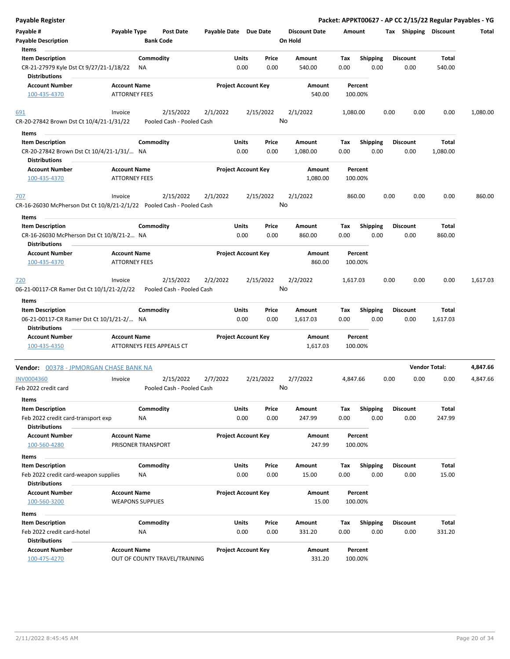| <b>Payable Register</b>                                                      |                                             |                           |                                        |                       |                            |                 |                      |             |                         |      |                 |                       | Packet: APPKT00627 - AP CC 2/15/22 Regular Payables - YG |
|------------------------------------------------------------------------------|---------------------------------------------|---------------------------|----------------------------------------|-----------------------|----------------------------|-----------------|----------------------|-------------|-------------------------|------|-----------------|-----------------------|----------------------------------------------------------|
| Payable #                                                                    | Payable Type                                |                           | <b>Post Date</b>                       | Payable Date Due Date |                            |                 | <b>Discount Date</b> | Amount      |                         |      |                 | Tax Shipping Discount | Total                                                    |
| <b>Payable Description</b>                                                   |                                             | <b>Bank Code</b>          |                                        |                       |                            |                 | On Hold              |             |                         |      |                 |                       |                                                          |
| Items                                                                        |                                             |                           |                                        |                       |                            |                 |                      |             |                         |      |                 |                       |                                                          |
| <b>Item Description</b>                                                      |                                             | Commodity                 |                                        |                       | Units                      | Price           | Amount               | Tax         | <b>Shipping</b>         |      | <b>Discount</b> | Total                 |                                                          |
| CR-21-27979 Kyle Dst Ct 9/27/21-1/18/22<br><b>Distributions</b>              |                                             | ΝA                        |                                        |                       | 0.00                       | 0.00            | 540.00               | 0.00        | 0.00                    |      | 0.00            | 540.00                |                                                          |
| <b>Account Number</b>                                                        | <b>Account Name</b>                         |                           |                                        |                       | <b>Project Account Key</b> |                 | Amount               |             | Percent                 |      |                 |                       |                                                          |
| 100-435-4370                                                                 | <b>ATTORNEY FEES</b>                        |                           |                                        |                       |                            |                 | 540.00               |             | 100.00%                 |      |                 |                       |                                                          |
| 691                                                                          | Invoice                                     |                           | 2/15/2022                              | 2/1/2022              |                            | 2/15/2022       | 2/1/2022             | 1,080.00    |                         | 0.00 | 0.00            | 0.00                  | 1,080.00                                                 |
| CR-20-27842 Brown Dst Ct 10/4/21-1/31/22                                     |                                             |                           | Pooled Cash - Pooled Cash              |                       |                            | No              |                      |             |                         |      |                 |                       |                                                          |
| Items                                                                        |                                             |                           |                                        |                       |                            |                 |                      |             |                         |      |                 |                       |                                                          |
| <b>Item Description</b>                                                      |                                             | Commodity                 |                                        |                       | Units                      | Price           | Amount               | Tax         | <b>Shipping</b>         |      | <b>Discount</b> | Total                 |                                                          |
| CR-20-27842 Brown Dst Ct 10/4/21-1/31/ NA                                    |                                             |                           |                                        |                       | 0.00                       | 0.00            | 1,080.00             | 0.00        | 0.00                    |      | 0.00            | 1,080.00              |                                                          |
| <b>Distributions</b>                                                         |                                             |                           |                                        |                       |                            |                 |                      |             |                         |      |                 |                       |                                                          |
| <b>Account Number</b><br>100-435-4370                                        | <b>Account Name</b><br><b>ATTORNEY FEES</b> |                           |                                        |                       | <b>Project Account Key</b> |                 | Amount<br>1,080.00   |             | Percent<br>100.00%      |      |                 |                       |                                                          |
|                                                                              |                                             |                           |                                        |                       |                            |                 |                      |             |                         |      |                 |                       |                                                          |
| 707<br>CR-16-26030 McPherson Dst Ct 10/8/21-2/1/22 Pooled Cash - Pooled Cash | Invoice                                     |                           | 2/15/2022                              | 2/1/2022              |                            | 2/15/2022<br>No | 2/1/2022             |             | 860.00                  | 0.00 | 0.00            | 0.00                  | 860.00                                                   |
|                                                                              |                                             |                           |                                        |                       |                            |                 |                      |             |                         |      |                 |                       |                                                          |
| Items                                                                        |                                             | Commodity                 |                                        |                       | Units                      |                 | <b>Amount</b>        |             |                         |      | <b>Discount</b> | Total                 |                                                          |
| <b>Item Description</b>                                                      |                                             |                           |                                        |                       | 0.00                       | Price<br>0.00   | 860.00               | Tax<br>0.00 | <b>Shipping</b><br>0.00 |      | 0.00            | 860.00                |                                                          |
| CR-16-26030 McPherson Dst Ct 10/8/21-2 NA<br><b>Distributions</b>            |                                             |                           |                                        |                       |                            |                 |                      |             |                         |      |                 |                       |                                                          |
| <b>Account Number</b>                                                        | <b>Account Name</b>                         |                           |                                        |                       | <b>Project Account Key</b> |                 | Amount               |             | Percent                 |      |                 |                       |                                                          |
| 100-435-4370                                                                 | <b>ATTORNEY FEES</b>                        |                           |                                        |                       |                            |                 | 860.00               |             | 100.00%                 |      |                 |                       |                                                          |
| <u>720</u><br>06-21-00117-CR Ramer Dst Ct 10/1/21-2/2/22<br>Items            | Invoice                                     |                           | 2/15/2022<br>Pooled Cash - Pooled Cash | 2/2/2022              |                            | 2/15/2022<br>No | 2/2/2022             | 1,617.03    |                         | 0.00 | 0.00            | 0.00                  | 1,617.03                                                 |
| <b>Item Description</b>                                                      |                                             | Commodity                 |                                        |                       | Units                      | Price           | Amount               | Tax         | <b>Shipping</b>         |      | <b>Discount</b> | Total                 |                                                          |
| 06-21-00117-CR Ramer Dst Ct 10/1/21-2/ NA<br><b>Distributions</b>            |                                             |                           |                                        |                       | 0.00                       | 0.00            | 1,617.03             | 0.00        | 0.00                    |      | 0.00            | 1,617.03              |                                                          |
| <b>Account Number</b>                                                        | <b>Account Name</b>                         |                           |                                        |                       | <b>Project Account Key</b> |                 | Amount               |             | Percent                 |      |                 |                       |                                                          |
| 100-435-4350                                                                 |                                             | ATTORNEYS FEES APPEALS CT |                                        |                       |                            |                 | 1,617.03             |             | 100.00%                 |      |                 |                       |                                                          |
| Vendor: 00378 - JPMORGAN CHASE BANK NA                                       |                                             |                           |                                        |                       |                            |                 |                      |             |                         |      |                 | <b>Vendor Total:</b>  | 4,847.66                                                 |
| <b>INV0004360</b>                                                            | Invoice                                     |                           | 2/15/2022                              | 2/7/2022              |                            | 2/21/2022       | 2/7/2022             | 4,847.66    |                         | 0.00 | 0.00            | 0.00                  | 4,847.66                                                 |
| Feb 2022 credit card                                                         |                                             |                           | Pooled Cash - Pooled Cash              |                       |                            | No              |                      |             |                         |      |                 |                       |                                                          |
| Items                                                                        |                                             |                           |                                        |                       |                            |                 |                      |             |                         |      |                 |                       |                                                          |
| <b>Item Description</b>                                                      |                                             | Commodity                 |                                        |                       | Units                      | Price           | Amount               | Tax         | <b>Shipping</b>         |      | <b>Discount</b> | Total                 |                                                          |
| Feb 2022 credit card-transport exp                                           |                                             | ΝA                        |                                        |                       | 0.00                       | 0.00            | 247.99               | 0.00        | 0.00                    |      | 0.00            | 247.99                |                                                          |
| <b>Distributions</b>                                                         |                                             |                           |                                        |                       |                            |                 |                      |             |                         |      |                 |                       |                                                          |
| <b>Account Number</b><br>100-560-4280                                        | <b>Account Name</b>                         | PRISONER TRANSPORT        |                                        |                       | <b>Project Account Key</b> |                 | Amount<br>247.99     |             | Percent<br>100.00%      |      |                 |                       |                                                          |
| Items                                                                        |                                             |                           |                                        |                       |                            |                 |                      |             |                         |      |                 |                       |                                                          |
| <b>Item Description</b>                                                      |                                             | Commodity                 |                                        |                       | Units                      | Price           | Amount               | Tax         | <b>Shipping</b>         |      | <b>Discount</b> | Total                 |                                                          |
| Feb 2022 credit card-weapon supplies                                         |                                             | ΝA                        |                                        |                       | 0.00                       | 0.00            | 15.00                | 0.00        | 0.00                    |      | 0.00            | 15.00                 |                                                          |
| <b>Distributions</b>                                                         |                                             |                           |                                        |                       |                            |                 |                      |             |                         |      |                 |                       |                                                          |
| <b>Account Number</b><br>100-560-3200                                        | <b>Account Name</b>                         | <b>WEAPONS SUPPLIES</b>   |                                        |                       | <b>Project Account Key</b> |                 | Amount<br>15.00      |             | Percent<br>100.00%      |      |                 |                       |                                                          |
|                                                                              |                                             |                           |                                        |                       |                            |                 |                      |             |                         |      |                 |                       |                                                          |
| Items                                                                        |                                             |                           |                                        |                       |                            |                 |                      |             |                         |      |                 |                       |                                                          |
| <b>Item Description</b>                                                      |                                             | Commodity                 |                                        |                       | Units                      | Price           | Amount               | Tax         | <b>Shipping</b>         |      | <b>Discount</b> | Total                 |                                                          |
| Feb 2022 credit card-hotel                                                   |                                             | <b>NA</b>                 |                                        |                       | 0.00                       | 0.00            | 331.20               | 0.00        | 0.00                    |      | 0.00            | 331.20                |                                                          |
| <b>Distributions</b>                                                         |                                             |                           |                                        |                       |                            |                 |                      |             |                         |      |                 |                       |                                                          |
| <b>Account Number</b><br>100-475-4270                                        | <b>Account Name</b>                         |                           | OUT OF COUNTY TRAVEL/TRAINING          |                       | <b>Project Account Key</b> |                 | Amount<br>331.20     |             | Percent<br>100.00%      |      |                 |                       |                                                          |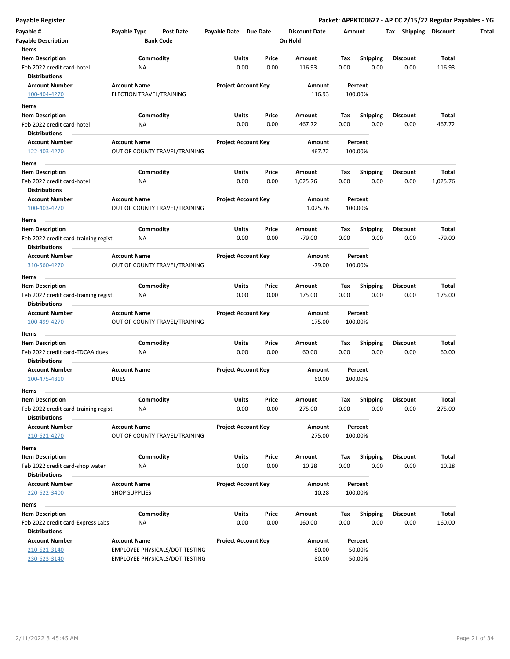|  | Payable Register |  |
|--|------------------|--|
|  |                  |  |

| Payable #<br><b>Payable Description</b>                          | Payable Type         | Post Date<br><b>Bank Code</b>         | Payable Date Due Date |                            | <b>Discount Date</b><br>On Hold |             | Amount                  | Tax Shipping            | Discount          |
|------------------------------------------------------------------|----------------------|---------------------------------------|-----------------------|----------------------------|---------------------------------|-------------|-------------------------|-------------------------|-------------------|
| Items                                                            |                      |                                       |                       |                            |                                 |             |                         |                         |                   |
| <b>Item Description</b>                                          |                      | Commodity                             | Units                 | Price                      | Amount                          | Tax         | <b>Shipping</b>         | <b>Discount</b>         | Total             |
| Feb 2022 credit card-hotel                                       | ΝA                   |                                       |                       | 0.00<br>0.00               | 116.93                          | 0.00        | 0.00                    | 0.00                    | 116.93            |
| <b>Distributions</b>                                             |                      |                                       |                       |                            |                                 |             | Percent                 |                         |                   |
| <b>Account Number</b><br>100-404-4270                            | <b>Account Name</b>  | ELECTION TRAVEL/TRAINING              |                       | <b>Project Account Key</b> | Amount<br>116.93                |             | 100.00%                 |                         |                   |
|                                                                  |                      |                                       |                       |                            |                                 |             |                         |                         |                   |
| Items                                                            |                      |                                       |                       |                            |                                 |             |                         |                         |                   |
| <b>Item Description</b>                                          |                      | Commodity                             | Units                 | Price                      | Amount                          | Tax         | <b>Shipping</b>         | Discount                | Total             |
| Feb 2022 credit card-hotel                                       | NA                   |                                       |                       | 0.00<br>0.00               | 467.72                          | 0.00        | 0.00                    | 0.00                    | 467.72            |
| <b>Distributions</b><br><b>Account Number</b>                    |                      |                                       |                       | <b>Project Account Key</b> | Amount                          |             | Percent                 |                         |                   |
| 122-403-4270                                                     | <b>Account Name</b>  | OUT OF COUNTY TRAVEL/TRAINING         |                       |                            | 467.72                          |             | 100.00%                 |                         |                   |
|                                                                  |                      |                                       |                       |                            |                                 |             |                         |                         |                   |
| Items                                                            |                      |                                       |                       |                            |                                 |             |                         |                         |                   |
| <b>Item Description</b>                                          |                      | Commodity                             | Units                 | Price                      | Amount                          | Tax         | Shipping                | <b>Discount</b>         | Total             |
| Feb 2022 credit card-hotel<br><b>Distributions</b>               | ΝA                   |                                       |                       | 0.00<br>0.00               | 1,025.76                        | 0.00        | 0.00                    | 0.00                    | 1,025.76          |
| <b>Account Number</b>                                            | <b>Account Name</b>  |                                       |                       | <b>Project Account Key</b> | Amount                          |             | Percent                 |                         |                   |
| 100-403-4270                                                     |                      | OUT OF COUNTY TRAVEL/TRAINING         |                       |                            | 1,025.76                        |             | 100.00%                 |                         |                   |
|                                                                  |                      |                                       |                       |                            |                                 |             |                         |                         |                   |
| Items                                                            |                      |                                       |                       |                            |                                 |             |                         |                         |                   |
| <b>Item Description</b><br>Feb 2022 credit card-training regist. | <b>NA</b>            | Commodity                             | Units                 | Price<br>0.00<br>0.00      | Amount<br>$-79.00$              | Tax<br>0.00 | <b>Shipping</b><br>0.00 | <b>Discount</b><br>0.00 | Total<br>$-79.00$ |
| <b>Distributions</b>                                             |                      |                                       |                       |                            |                                 |             |                         |                         |                   |
| <b>Account Number</b>                                            | <b>Account Name</b>  |                                       |                       | <b>Project Account Key</b> | Amount                          |             | Percent                 |                         |                   |
| 310-560-4270                                                     |                      | OUT OF COUNTY TRAVEL/TRAINING         |                       |                            | $-79.00$                        |             | 100.00%                 |                         |                   |
|                                                                  |                      |                                       |                       |                            |                                 |             |                         |                         |                   |
| Items<br><b>Item Description</b>                                 |                      | Commodity                             | Units                 | Price                      | Amount                          | Tax         | <b>Shipping</b>         | <b>Discount</b>         | Total             |
| Feb 2022 credit card-training regist.                            | NA                   |                                       |                       | 0.00<br>0.00               | 175.00                          | 0.00        | 0.00                    | 0.00                    | 175.00            |
| <b>Distributions</b>                                             |                      |                                       |                       |                            |                                 |             |                         |                         |                   |
| <b>Account Number</b>                                            | <b>Account Name</b>  |                                       |                       | <b>Project Account Key</b> | Amount                          |             | Percent                 |                         |                   |
| 100-499-4270                                                     |                      | OUT OF COUNTY TRAVEL/TRAINING         |                       |                            | 175.00                          |             | 100.00%                 |                         |                   |
| Items                                                            |                      |                                       |                       |                            |                                 |             |                         |                         |                   |
| <b>Item Description</b>                                          |                      | Commodity                             | Units                 | Price                      | Amount                          | Tax         | <b>Shipping</b>         | <b>Discount</b>         | Total             |
| Feb 2022 credit card-TDCAA dues                                  | <b>NA</b>            |                                       |                       | 0.00<br>0.00               | 60.00                           | 0.00        | 0.00                    | 0.00                    | 60.00             |
| <b>Distributions</b>                                             |                      |                                       |                       |                            |                                 |             |                         |                         |                   |
| <b>Account Number</b>                                            | <b>Account Name</b>  |                                       |                       | <b>Project Account Key</b> | Amount                          |             | Percent                 |                         |                   |
| 100-475-4810                                                     | <b>DUES</b>          |                                       |                       |                            | 60.00                           |             | 100.00%                 |                         |                   |
| Items                                                            |                      |                                       |                       |                            |                                 |             |                         |                         |                   |
| <b>Item Description</b>                                          |                      | Commodity                             | Units                 | Price                      | Amount                          | Tax         | Shipping                | <b>Discount</b>         | Total             |
| Feb 2022 credit card-training regist.                            | ΝA                   |                                       |                       | 0.00<br>0.00               | 275.00                          | 0.00        | 0.00                    | 0.00                    | 275.00            |
| <b>Distributions</b>                                             |                      |                                       |                       |                            |                                 |             |                         |                         |                   |
| <b>Account Number</b>                                            | <b>Account Name</b>  |                                       |                       | <b>Project Account Key</b> | Amount                          |             | Percent                 |                         |                   |
| 210-621-4270                                                     |                      | OUT OF COUNTY TRAVEL/TRAINING         |                       |                            | 275.00                          |             | 100.00%                 |                         |                   |
| Items                                                            |                      |                                       |                       |                            |                                 |             |                         |                         |                   |
| <b>Item Description</b>                                          |                      | Commodity                             | Units                 | Price                      | Amount                          | Tax         | <b>Shipping</b>         | <b>Discount</b>         | Total             |
| Feb 2022 credit card-shop water                                  | <b>NA</b>            |                                       |                       | 0.00<br>0.00               | 10.28                           | 0.00        | 0.00                    | 0.00                    | 10.28             |
| <b>Distributions</b>                                             |                      |                                       |                       |                            |                                 |             |                         |                         |                   |
| <b>Account Number</b>                                            | <b>Account Name</b>  |                                       |                       | <b>Project Account Key</b> | Amount                          |             | Percent                 |                         |                   |
| 220-622-3400                                                     | <b>SHOP SUPPLIES</b> |                                       |                       |                            | 10.28                           |             | 100.00%                 |                         |                   |
| Items                                                            |                      |                                       |                       |                            |                                 |             |                         |                         |                   |
| <b>Item Description</b>                                          |                      | Commodity                             | Units                 | Price                      | Amount                          | Tax         | <b>Shipping</b>         | Discount                | Total             |
| Feb 2022 credit card-Express Labs                                | NA                   |                                       |                       | 0.00<br>0.00               | 160.00                          | 0.00        | 0.00                    | 0.00                    | 160.00            |
| <b>Distributions</b>                                             |                      |                                       |                       |                            |                                 |             |                         |                         |                   |
| <b>Account Number</b>                                            | <b>Account Name</b>  |                                       |                       | <b>Project Account Key</b> | Amount                          |             | Percent                 |                         |                   |
| 210-621-3140                                                     |                      | <b>EMPLOYEE PHYSICALS/DOT TESTING</b> |                       |                            | 80.00                           |             | 50.00%                  |                         |                   |
| 230-623-3140                                                     |                      | EMPLOYEE PHYSICALS/DOT TESTING        |                       |                            | 80.00                           |             | 50.00%                  |                         |                   |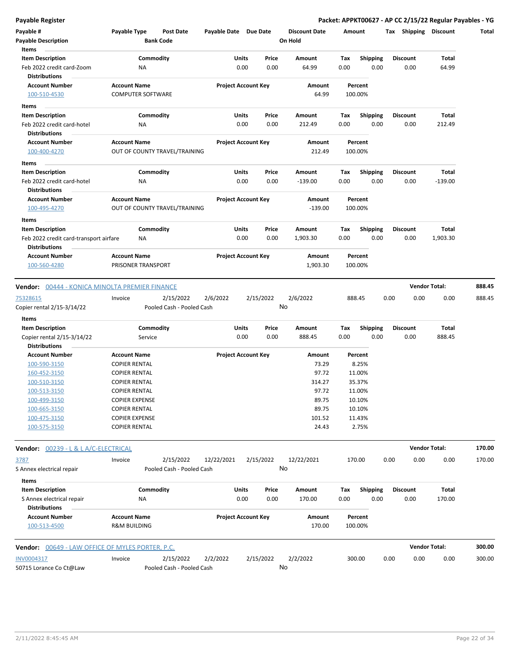| Payable #                                                                                       | Payable Type             | Post Date                              | Payable Date Due Date |                            | <b>Discount Date</b> | Amount |                         | Tax  | Shipping        | <b>Discount</b>              | Total            |
|-------------------------------------------------------------------------------------------------|--------------------------|----------------------------------------|-----------------------|----------------------------|----------------------|--------|-------------------------|------|-----------------|------------------------------|------------------|
| <b>Payable Description</b>                                                                      |                          | <b>Bank Code</b>                       |                       |                            | On Hold              |        |                         |      |                 |                              |                  |
| Items                                                                                           |                          |                                        |                       |                            |                      |        |                         |      |                 |                              |                  |
| <b>Item Description</b>                                                                         |                          | Commodity                              | Units                 | Price                      | Amount               | Tax    | <b>Shipping</b>         |      | <b>Discount</b> | Total                        |                  |
| Feb 2022 credit card-Zoom                                                                       | ΝA                       |                                        |                       | 0.00<br>0.00               | 64.99                | 0.00   | 0.00                    |      | 0.00            | 64.99                        |                  |
| <b>Distributions</b>                                                                            |                          |                                        |                       |                            |                      |        |                         |      |                 |                              |                  |
| <b>Account Number</b>                                                                           | <b>Account Name</b>      |                                        |                       | <b>Project Account Key</b> | Amount               |        | Percent                 |      |                 |                              |                  |
| 100-510-4530                                                                                    | <b>COMPUTER SOFTWARE</b> |                                        |                       |                            | 64.99                |        | 100.00%                 |      |                 |                              |                  |
| Items                                                                                           |                          |                                        |                       |                            |                      |        |                         |      |                 |                              |                  |
| <b>Item Description</b>                                                                         |                          | Commodity                              | Units                 | Price                      | Amount               | Тах    | <b>Shipping</b>         |      | Discount        | Total                        |                  |
| Feb 2022 credit card-hotel                                                                      | NA                       |                                        |                       | 0.00<br>0.00               | 212.49               | 0.00   | 0.00                    |      | 0.00            | 212.49                       |                  |
| <b>Distributions</b>                                                                            |                          |                                        |                       |                            |                      |        |                         |      |                 |                              |                  |
| <b>Account Number</b>                                                                           | <b>Account Name</b>      |                                        |                       | <b>Project Account Key</b> | Amount               |        | Percent                 |      |                 |                              |                  |
| 100-400-4270                                                                                    |                          | OUT OF COUNTY TRAVEL/TRAINING          |                       |                            | 212.49               |        | 100.00%                 |      |                 |                              |                  |
| Items                                                                                           |                          |                                        |                       |                            |                      |        |                         |      |                 |                              |                  |
| <b>Item Description</b>                                                                         |                          | Commodity                              | Units                 | Price                      | Amount               | Tax    | <b>Shipping</b>         |      | <b>Discount</b> | Total                        |                  |
| Feb 2022 credit card-hotel                                                                      | NA                       |                                        |                       | 0.00<br>0.00               | $-139.00$            | 0.00   | 0.00                    |      | 0.00            | $-139.00$                    |                  |
| <b>Distributions</b>                                                                            |                          |                                        |                       |                            |                      |        |                         |      |                 |                              |                  |
| <b>Account Number</b>                                                                           | <b>Account Name</b>      |                                        |                       | <b>Project Account Key</b> | Amount               |        | Percent                 |      |                 |                              |                  |
| 100-495-4270                                                                                    |                          | OUT OF COUNTY TRAVEL/TRAINING          |                       |                            | $-139.00$            |        | 100.00%                 |      |                 |                              |                  |
| Items                                                                                           |                          |                                        |                       |                            |                      |        |                         |      |                 |                              |                  |
| <b>Item Description</b>                                                                         |                          | Commodity                              | Units                 | Price                      | Amount               | Tax    |                         |      | <b>Discount</b> | Total                        |                  |
| Feb 2022 credit card-transport airfare                                                          | ΝA                       |                                        |                       | 0.00<br>0.00               | 1,903.30             | 0.00   | <b>Shipping</b><br>0.00 |      | 0.00            | 1,903.30                     |                  |
| <b>Distributions</b>                                                                            |                          |                                        |                       |                            |                      |        |                         |      |                 |                              |                  |
| <b>Account Number</b>                                                                           | <b>Account Name</b>      |                                        |                       | <b>Project Account Key</b> | Amount               |        | Percent                 |      |                 |                              |                  |
| 100-560-4280                                                                                    | PRISONER TRANSPORT       |                                        |                       |                            | 1,903.30             |        | 100.00%                 |      |                 |                              |                  |
|                                                                                                 |                          |                                        |                       |                            |                      |        |                         |      |                 |                              |                  |
| <b>Vendor:</b> 00444 - KONICA MINOLTA PREMIER FINANCE<br>75328615<br>Copier rental 2/15-3/14/22 | Invoice                  | 2/15/2022<br>Pooled Cash - Pooled Cash | 2/6/2022              | 2/15/2022                  | 2/6/2022<br>No       |        | 888.45                  | 0.00 | 0.00            | <b>Vendor Total:</b><br>0.00 | 888.45<br>888.45 |
| Items                                                                                           |                          |                                        |                       |                            |                      |        |                         |      |                 |                              |                  |
| <b>Item Description</b>                                                                         |                          | Commodity                              | Units                 | Price                      | Amount               | Tax    | <b>Shipping</b>         |      | <b>Discount</b> | Total                        |                  |
| Copier rental 2/15-3/14/22                                                                      | Service                  |                                        |                       | 0.00<br>0.00               | 888.45               | 0.00   | 0.00                    |      | 0.00            | 888.45                       |                  |
| <b>Distributions</b>                                                                            |                          |                                        |                       |                            |                      |        |                         |      |                 |                              |                  |
| <b>Account Number</b>                                                                           | <b>Account Name</b>      |                                        |                       | <b>Project Account Key</b> | Amount               |        | Percent                 |      |                 |                              |                  |
| 100-590-3150                                                                                    | <b>COPIER RENTAL</b>     |                                        |                       |                            | 73.29                |        | 8.25%                   |      |                 |                              |                  |
| 160-452-3150                                                                                    | <b>COPIER RENTAL</b>     |                                        |                       |                            | 97.72                |        | 11.00%                  |      |                 |                              |                  |
| 100-510-3150                                                                                    | <b>COPIER RENTAL</b>     |                                        |                       |                            | 314.27               |        | 35.37%                  |      |                 |                              |                  |
| 100-513-3150                                                                                    | <b>COPIER RENTAL</b>     |                                        |                       |                            | 97.72                |        | 11.00%                  |      |                 |                              |                  |
| 100-499-3150                                                                                    | <b>COPIER EXPENSE</b>    |                                        |                       |                            | 89.75                |        | 10.10%                  |      |                 |                              |                  |
| 100-665-3150                                                                                    | <b>COPIER RENTAL</b>     |                                        |                       |                            | 89.75                |        | 10.10%                  |      |                 |                              |                  |
| 100-475-3150                                                                                    | <b>COPIER EXPENSE</b>    |                                        |                       |                            | 101.52               |        | 11.43%                  |      |                 |                              |                  |
| 100-575-3150                                                                                    | <b>COPIER RENTAL</b>     |                                        |                       |                            | 24.43                |        | 2.75%                   |      |                 |                              |                  |
|                                                                                                 |                          |                                        |                       |                            |                      |        |                         |      |                 |                              |                  |
| Vendor: 00239 - L & L A/C-ELECTRICAL                                                            |                          |                                        |                       |                            |                      |        |                         |      |                 | <b>Vendor Total:</b>         | 170.00           |
| 3787                                                                                            | Invoice                  | 2/15/2022                              | 12/22/2021            | 2/15/2022                  | 12/22/2021           |        | 170.00                  | 0.00 | 0.00            | 0.00                         | 170.00           |
| S Annex electrical repair                                                                       |                          | Pooled Cash - Pooled Cash              |                       |                            | No                   |        |                         |      |                 |                              |                  |
|                                                                                                 |                          |                                        |                       |                            |                      |        |                         |      |                 |                              |                  |
| Items                                                                                           |                          |                                        |                       |                            |                      |        |                         |      |                 |                              |                  |
| <b>Item Description</b>                                                                         |                          | Commodity                              | Units                 | Price                      | Amount               | Тах    | <b>Shipping</b>         |      | <b>Discount</b> | Total                        |                  |
| S Annex electrical repair                                                                       | NA                       |                                        |                       | 0.00<br>0.00               | 170.00               | 0.00   | 0.00                    |      | 0.00            | 170.00                       |                  |
| <b>Distributions</b>                                                                            |                          |                                        |                       |                            |                      |        |                         |      |                 |                              |                  |
| <b>Account Number</b>                                                                           | <b>Account Name</b>      |                                        |                       | <b>Project Account Key</b> | Amount               |        | Percent                 |      |                 |                              |                  |
| 100-513-4500                                                                                    | <b>R&amp;M BUILDING</b>  |                                        |                       |                            | 170.00               |        | 100.00%                 |      |                 |                              |                  |
|                                                                                                 |                          |                                        |                       |                            |                      |        |                         |      |                 |                              |                  |
| <b>Vendor: 00649 - LAW OFFICE OF MYLES PORTER, P.C.</b>                                         |                          |                                        |                       |                            |                      |        |                         |      |                 | <b>Vendor Total:</b>         | 300.00           |
| INV0004317                                                                                      | Invoice                  | 2/15/2022                              | 2/2/2022              | 2/15/2022                  | 2/2/2022             |        | 300.00                  | 0.00 | 0.00            | 0.00                         | 300.00           |
| 50715 Lorance Co Ct@Law                                                                         |                          | Pooled Cash - Pooled Cash              |                       |                            | No                   |        |                         |      |                 |                              |                  |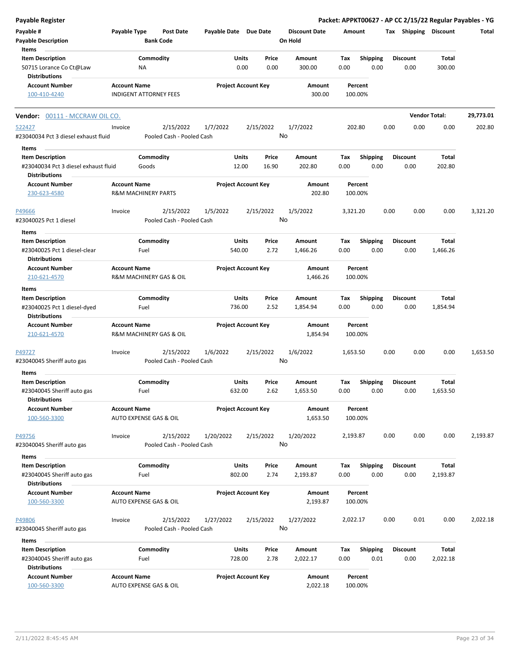| Payable Register                                                               |                     |                                        |                        |                            |                                 |                    |                         |      |                         |                          | Packet: APPKT00627 - AP CC 2/15/22 Regular Payables - YG |
|--------------------------------------------------------------------------------|---------------------|----------------------------------------|------------------------|----------------------------|---------------------------------|--------------------|-------------------------|------|-------------------------|--------------------------|----------------------------------------------------------|
| Payable #<br><b>Payable Description</b>                                        | Payable Type        | <b>Post Date</b><br><b>Bank Code</b>   | Payable Date Due Date  |                            | <b>Discount Date</b><br>On Hold | Amount             |                         |      | Tax Shipping Discount   |                          | Total                                                    |
| Items                                                                          |                     |                                        |                        |                            |                                 |                    |                         |      |                         |                          |                                                          |
| <b>Item Description</b><br>50715 Lorance Co Ct@Law                             |                     | Commodity<br>ΝA                        | Units                  | Price<br>0.00<br>0.00      | <b>Amount</b><br>300.00         | Tax<br>0.00        | <b>Shipping</b><br>0.00 |      | <b>Discount</b><br>0.00 | Total<br>300.00          |                                                          |
| <b>Distributions</b>                                                           |                     |                                        |                        |                            |                                 |                    |                         |      |                         |                          |                                                          |
| <b>Account Number</b><br>100-410-4240                                          | <b>Account Name</b> | <b>INDIGENT ATTORNEY FEES</b>          |                        | <b>Project Account Key</b> | Amount<br>300.00                | Percent<br>100.00% |                         |      |                         |                          |                                                          |
| <b>Vendor:</b> 00111 - MCCRAW OIL CO.                                          |                     |                                        |                        |                            |                                 |                    |                         |      |                         | <b>Vendor Total:</b>     | 29,773.01                                                |
| 522427                                                                         | Invoice             | 2/15/2022                              | 1/7/2022               | 2/15/2022                  | 1/7/2022                        | 202.80             |                         | 0.00 | 0.00                    | 0.00                     | 202.80                                                   |
| #23040034 Pct 3 diesel exhaust fluid                                           |                     | Pooled Cash - Pooled Cash              |                        |                            | No                              |                    |                         |      |                         |                          |                                                          |
| Items                                                                          |                     |                                        |                        |                            |                                 |                    |                         |      |                         |                          |                                                          |
| <b>Item Description</b>                                                        |                     | Commodity                              | Units                  | Price                      | Amount                          | Tax                | <b>Shipping</b>         |      | <b>Discount</b>         | Total                    |                                                          |
| #23040034 Pct 3 diesel exhaust fluid<br><b>Distributions</b>                   |                     | Goods                                  | 12.00                  | 16.90                      | 202.80                          | 0.00               | 0.00                    |      | 0.00                    | 202.80                   |                                                          |
| <b>Account Number</b><br>230-623-4580                                          | <b>Account Name</b> | <b>R&amp;M MACHINERY PARTS</b>         |                        | <b>Project Account Key</b> | <b>Amount</b><br>202.80         | Percent<br>100.00% |                         |      |                         |                          |                                                          |
| P49666<br>#23040025 Pct 1 diesel                                               | Invoice             | 2/15/2022<br>Pooled Cash - Pooled Cash | 1/5/2022               | 2/15/2022                  | 1/5/2022<br>No                  | 3,321.20           |                         | 0.00 | 0.00                    | 0.00                     | 3,321.20                                                 |
|                                                                                |                     |                                        |                        |                            |                                 |                    |                         |      |                         |                          |                                                          |
| Items                                                                          |                     |                                        |                        |                            |                                 |                    |                         |      |                         |                          |                                                          |
| <b>Item Description</b><br>#23040025 Pct 1 diesel-clear                        |                     | Commodity                              | Units                  | Price                      | Amount                          | Tax                | <b>Shipping</b>         |      | <b>Discount</b>         | Total                    |                                                          |
| <b>Distributions</b>                                                           |                     | Fuel                                   | 540.00                 | 2.72                       | 1,466.26                        | 0.00               | 0.00                    |      | 0.00                    | 1,466.26                 |                                                          |
| <b>Account Number</b><br>210-621-4570                                          | <b>Account Name</b> | R&M MACHINERY GAS & OIL                |                        | <b>Project Account Key</b> | Amount<br>1,466.26              | Percent<br>100.00% |                         |      |                         |                          |                                                          |
| Items                                                                          |                     |                                        |                        |                            |                                 |                    |                         |      |                         |                          |                                                          |
| <b>Item Description</b><br>#23040025 Pct 1 diesel-dyed<br><b>Distributions</b> |                     | Commodity<br>Fuel                      | Units<br>736.00        | Price<br>2.52              | Amount<br>1,854.94              | Tax<br>0.00        | <b>Shipping</b><br>0.00 |      | <b>Discount</b><br>0.00 | Total<br>1,854.94        |                                                          |
| <b>Account Number</b>                                                          | <b>Account Name</b> |                                        |                        | <b>Project Account Key</b> | Amount                          | Percent            |                         |      |                         |                          |                                                          |
| 210-621-4570                                                                   |                     | R&M MACHINERY GAS & OIL                |                        |                            | 1,854.94                        | 100.00%            |                         |      |                         |                          |                                                          |
| P49727<br>#23040045 Sheriff auto gas                                           | Invoice             | 2/15/2022<br>Pooled Cash - Pooled Cash | 1/6/2022               | 2/15/2022                  | 1/6/2022<br>No                  | 1,653.50           |                         | 0.00 | 0.00                    | 0.00                     | 1,653.50                                                 |
| Items                                                                          |                     |                                        |                        |                            |                                 |                    |                         |      |                         |                          |                                                          |
| <b>Item Description</b><br>#23040045 Sheriff auto gas<br><b>Distributions</b>  |                     | Commodity<br>Fuel                      | Units<br>632.00        | Price<br>2.62              | Amount<br>1,653.50              | Тах<br>0.00        | <b>Shipping</b><br>0.00 |      | <b>Discount</b><br>0.00 | <b>Total</b><br>1,653.50 |                                                          |
| <b>Account Number</b><br>100-560-3300                                          | <b>Account Name</b> | AUTO EXPENSE GAS & OIL                 |                        | <b>Project Account Key</b> | Amount<br>1,653.50              | Percent<br>100.00% |                         |      |                         |                          |                                                          |
|                                                                                |                     |                                        |                        |                            |                                 |                    |                         |      |                         |                          |                                                          |
| P49756<br>#23040045 Sheriff auto gas                                           | Invoice             | 2/15/2022<br>Pooled Cash - Pooled Cash | 1/20/2022              | 2/15/2022                  | 1/20/2022<br>No                 | 2,193.87           |                         | 0.00 | 0.00                    | 0.00                     | 2,193.87                                                 |
| Items                                                                          |                     |                                        |                        |                            |                                 |                    |                         |      |                         |                          |                                                          |
| <b>Item Description</b>                                                        |                     | Commodity                              | Units                  | Price                      | Amount                          | Tax                | Shipping                |      | <b>Discount</b>         | Total                    |                                                          |
| #23040045 Sheriff auto gas<br><b>Distributions</b>                             |                     | Fuel                                   | 802.00                 | 2.74                       | 2,193.87                        | 0.00               | 0.00                    |      | 0.00                    | 2,193.87                 |                                                          |
| <b>Account Number</b><br>100-560-3300                                          | <b>Account Name</b> | AUTO EXPENSE GAS & OIL                 |                        | <b>Project Account Key</b> | Amount<br>2,193.87              | Percent<br>100.00% |                         |      |                         |                          |                                                          |
|                                                                                |                     |                                        |                        |                            |                                 |                    |                         |      |                         |                          |                                                          |
| P49806                                                                         | Invoice             | 2/15/2022                              | 1/27/2022              | 2/15/2022                  | 1/27/2022<br>No                 | 2,022.17           |                         | 0.00 | 0.01                    | 0.00                     | 2,022.18                                                 |
| #23040045 Sheriff auto gas                                                     |                     | Pooled Cash - Pooled Cash              |                        |                            |                                 |                    |                         |      |                         |                          |                                                          |
| Items                                                                          |                     |                                        |                        |                            |                                 |                    |                         |      |                         |                          |                                                          |
| <b>Item Description</b><br>#23040045 Sheriff auto gas<br><b>Distributions</b>  |                     | Commodity<br>Fuel                      | <b>Units</b><br>728.00 | Price<br>2.78              | Amount<br>2,022.17              | Tax<br>0.00        | <b>Shipping</b><br>0.01 |      | <b>Discount</b><br>0.00 | Total<br>2,022.18        |                                                          |
| <b>Account Number</b><br>100-560-3300                                          | <b>Account Name</b> | AUTO EXPENSE GAS & OIL                 |                        | <b>Project Account Key</b> | Amount<br>2,022.18              | Percent<br>100.00% |                         |      |                         |                          |                                                          |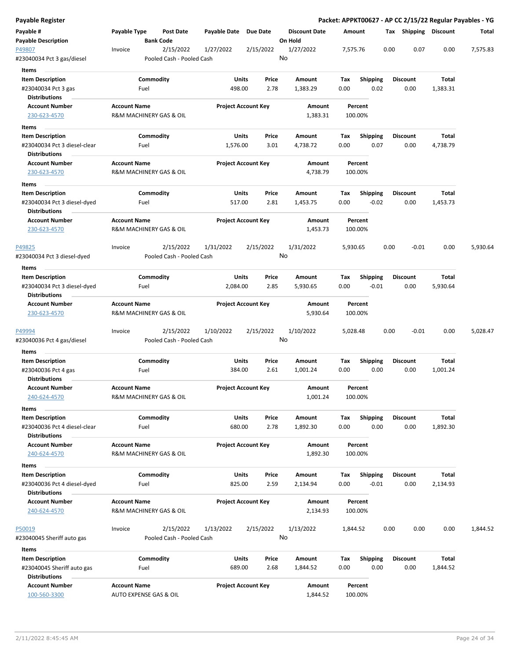| Payable Register                                                               |                                                               |                   |                                        |                        |                            |    |                                 |             |                            |      |                         |                   | Packet: APPKT00627 - AP CC 2/15/22 Regular Payables - YG |
|--------------------------------------------------------------------------------|---------------------------------------------------------------|-------------------|----------------------------------------|------------------------|----------------------------|----|---------------------------------|-------------|----------------------------|------|-------------------------|-------------------|----------------------------------------------------------|
| Payable #<br><b>Payable Description</b>                                        | Payable Type                                                  | <b>Bank Code</b>  | <b>Post Date</b>                       | Payable Date Due Date  |                            |    | <b>Discount Date</b><br>On Hold | Amount      |                            |      | Tax Shipping Discount   |                   | Total                                                    |
| P49807<br>#23040034 Pct 3 gas/diesel                                           | Invoice                                                       |                   | 2/15/2022<br>Pooled Cash - Pooled Cash | 1/27/2022              | 2/15/2022                  | No | 1/27/2022                       | 7,575.76    |                            | 0.00 | 0.07                    | 0.00              | 7,575.83                                                 |
| Items                                                                          |                                                               |                   |                                        |                        |                            |    |                                 |             |                            |      |                         |                   |                                                          |
| <b>Item Description</b><br>#23040034 Pct 3 gas                                 |                                                               | Commodity<br>Fuel |                                        | Units<br>498.00        | Price<br>2.78              |    | Amount<br>1,383.29              | Tax<br>0.00 | <b>Shipping</b><br>0.02    |      | <b>Discount</b><br>0.00 | Total<br>1,383.31 |                                                          |
| <b>Distributions</b>                                                           |                                                               |                   |                                        |                        |                            |    |                                 |             |                            |      |                         |                   |                                                          |
| <b>Account Number</b><br>230-623-4570                                          | <b>Account Name</b><br>R&M MACHINERY GAS & OIL                |                   |                                        |                        | <b>Project Account Key</b> |    | Amount<br>1,383.31              |             | Percent<br>100.00%         |      |                         |                   |                                                          |
| Items                                                                          |                                                               |                   |                                        |                        |                            |    |                                 |             |                            |      |                         |                   |                                                          |
| <b>Item Description</b><br>#23040034 Pct 3 diesel-clear                        |                                                               | Commodity<br>Fuel |                                        | Units<br>1,576.00      | Price<br>3.01              |    | Amount<br>4,738.72              | Tax<br>0.00 | <b>Shipping</b><br>0.07    |      | <b>Discount</b><br>0.00 | Total<br>4,738.79 |                                                          |
| <b>Distributions</b>                                                           |                                                               |                   |                                        |                        |                            |    |                                 |             |                            |      |                         |                   |                                                          |
| <b>Account Number</b><br>230-623-4570                                          | <b>Account Name</b><br>R&M MACHINERY GAS & OIL                |                   |                                        |                        | <b>Project Account Key</b> |    | Amount<br>4,738.79              |             | Percent<br>100.00%         |      |                         |                   |                                                          |
| Items                                                                          |                                                               |                   |                                        |                        |                            |    |                                 |             |                            |      |                         |                   |                                                          |
| <b>Item Description</b><br>#23040034 Pct 3 diesel-dyed                         |                                                               | Commodity<br>Fuel |                                        | Units<br>517.00        | Price<br>2.81              |    | Amount<br>1,453.75              | Тах<br>0.00 | <b>Shipping</b><br>$-0.02$ |      | <b>Discount</b><br>0.00 | Total<br>1,453.73 |                                                          |
| Distributions                                                                  |                                                               |                   |                                        |                        |                            |    |                                 |             |                            |      |                         |                   |                                                          |
| <b>Account Number</b><br>230-623-4570                                          | <b>Account Name</b><br><b>R&amp;M MACHINERY GAS &amp; OIL</b> |                   |                                        |                        | <b>Project Account Key</b> |    | Amount<br>1,453.73              |             | Percent<br>100.00%         |      |                         |                   |                                                          |
| P49825<br>#23040034 Pct 3 diesel-dyed                                          | Invoice                                                       |                   | 2/15/2022<br>Pooled Cash - Pooled Cash | 1/31/2022              | 2/15/2022                  | No | 1/31/2022                       | 5,930.65    |                            | 0.00 | $-0.01$                 | 0.00              | 5,930.64                                                 |
| Items                                                                          |                                                               |                   |                                        |                        |                            |    |                                 |             |                            |      |                         |                   |                                                          |
| <b>Item Description</b><br>#23040034 Pct 3 diesel-dyed<br><b>Distributions</b> |                                                               | Commodity<br>Fuel |                                        | Units<br>2,084.00      | Price<br>2.85              |    | Amount<br>5,930.65              | Tax<br>0.00 | <b>Shipping</b><br>$-0.01$ |      | <b>Discount</b><br>0.00 | Total<br>5,930.64 |                                                          |
| <b>Account Number</b>                                                          | <b>Account Name</b>                                           |                   |                                        |                        | <b>Project Account Key</b> |    | Amount                          |             | Percent                    |      |                         |                   |                                                          |
| 230-623-4570                                                                   | R&M MACHINERY GAS & OIL                                       |                   |                                        |                        |                            |    | 5,930.64                        |             | 100.00%                    |      |                         |                   |                                                          |
| P49994<br>#23040036 Pct 4 gas/diesel                                           | Invoice                                                       |                   | 2/15/2022<br>Pooled Cash - Pooled Cash | 1/10/2022              | 2/15/2022                  | No | 1/10/2022                       | 5,028.48    |                            | 0.00 | $-0.01$                 | 0.00              | 5,028.47                                                 |
| Items                                                                          |                                                               |                   |                                        |                        |                            |    |                                 |             |                            |      |                         |                   |                                                          |
| <b>Item Description</b><br>#23040036 Pct 4 gas<br><b>Distributions</b>         |                                                               | Commodity<br>Fuel |                                        | Units<br>384.00        | Price<br>2.61              |    | Amount<br>1,001.24              | Tax<br>0.00 | <b>Shipping</b><br>0.00    |      | <b>Discount</b><br>0.00 | Total<br>1,001.24 |                                                          |
| Account Number                                                                 | <b>Account Name</b>                                           |                   |                                        |                        | <b>Project Account Key</b> |    | Amount                          |             | Percent                    |      |                         |                   |                                                          |
| 240-624-4570                                                                   | R&M MACHINERY GAS & OIL                                       |                   |                                        |                        |                            |    | 1,001.24                        |             | 100.00%                    |      |                         |                   |                                                          |
| Items                                                                          |                                                               |                   |                                        |                        |                            |    |                                 |             |                            |      |                         |                   |                                                          |
| <b>Item Description</b><br>#23040036 Pct 4 diesel-clear<br>Distributions       |                                                               | Commodity<br>Fuel |                                        | <b>Units</b><br>680.00 | Price<br>2.78              |    | Amount<br>1,892.30              | Tax<br>0.00 | Shipping<br>0.00           |      | <b>Discount</b><br>0.00 | Total<br>1,892.30 |                                                          |
| <b>Account Number</b><br>240-624-4570                                          | <b>Account Name</b><br>R&M MACHINERY GAS & OIL                |                   |                                        |                        | <b>Project Account Key</b> |    | Amount<br>1,892.30              |             | Percent<br>100.00%         |      |                         |                   |                                                          |
| Items                                                                          |                                                               |                   |                                        |                        |                            |    |                                 |             |                            |      |                         |                   |                                                          |
| <b>Item Description</b>                                                        |                                                               | Commodity         |                                        | <b>Units</b>           | Price                      |    | Amount                          | Tax         | <b>Shipping</b>            |      | <b>Discount</b>         | Total             |                                                          |
| #23040036 Pct 4 diesel-dyed<br><b>Distributions</b>                            |                                                               | Fuel              |                                        | 825.00                 | 2.59                       |    | 2,134.94                        | 0.00        | $-0.01$                    |      | 0.00                    | 2,134.93          |                                                          |
| <b>Account Number</b><br>240-624-4570                                          | <b>Account Name</b><br>R&M MACHINERY GAS & OIL                |                   |                                        |                        | <b>Project Account Key</b> |    | Amount<br>2,134.93              |             | Percent<br>100.00%         |      |                         |                   |                                                          |
| <u>P50019</u><br>#23040045 Sheriff auto gas                                    | Invoice                                                       |                   | 2/15/2022<br>Pooled Cash - Pooled Cash | 1/13/2022              | 2/15/2022                  | No | 1/13/2022                       | 1,844.52    |                            | 0.00 | 0.00                    | 0.00              | 1,844.52                                                 |
|                                                                                |                                                               |                   |                                        |                        |                            |    |                                 |             |                            |      |                         |                   |                                                          |
| Items<br><b>Item Description</b>                                               |                                                               | Commodity         |                                        | <b>Units</b>           | Price                      |    | Amount                          | Tax         | <b>Shipping</b>            |      | <b>Discount</b>         | Total             |                                                          |
| #23040045 Sheriff auto gas<br><b>Distributions</b>                             |                                                               | Fuel              |                                        | 689.00                 | 2.68                       |    | 1,844.52                        | 0.00        | 0.00                       |      | 0.00                    | 1,844.52          |                                                          |
| <b>Account Number</b><br>100-560-3300                                          | <b>Account Name</b><br>AUTO EXPENSE GAS & OIL                 |                   |                                        |                        | <b>Project Account Key</b> |    | Amount<br>1,844.52              |             | Percent<br>100.00%         |      |                         |                   |                                                          |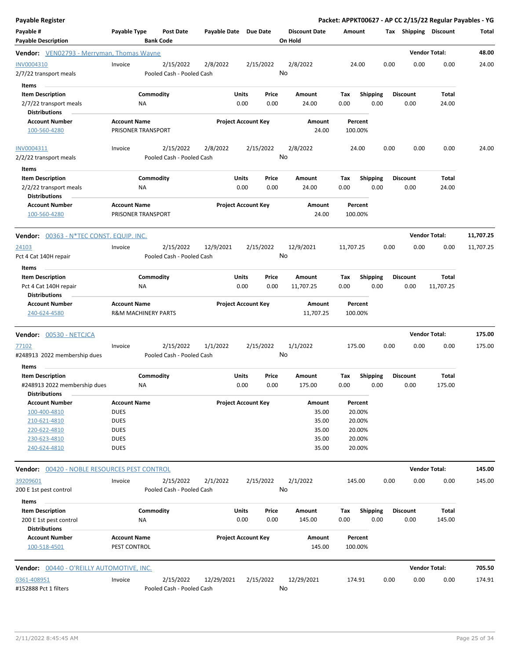| <b>Payable Register</b>                              |                                |                                        |            |                            |    |                                 |                  |                 |      |                 | Packet: APPKT00627 - AP CC 2/15/22 Regular Payables - YG |           |
|------------------------------------------------------|--------------------------------|----------------------------------------|------------|----------------------------|----|---------------------------------|------------------|-----------------|------|-----------------|----------------------------------------------------------|-----------|
| Payable #<br><b>Payable Description</b>              | Payable Type                   | <b>Post Date</b><br><b>Bank Code</b>   |            | Payable Date Due Date      |    | <b>Discount Date</b><br>On Hold | Amount           |                 |      |                 | Tax Shipping Discount                                    | Total     |
| <b>Vendor:</b> VEN02793 - Merryman, Thomas Wayne     |                                |                                        |            |                            |    |                                 |                  |                 |      |                 | <b>Vendor Total:</b>                                     | 48.00     |
| INV0004310<br>2/7/22 transport meals                 | Invoice                        | 2/15/2022<br>Pooled Cash - Pooled Cash | 2/8/2022   | 2/15/2022                  | No | 2/8/2022                        | 24.00            |                 | 0.00 | 0.00            | 0.00                                                     | 24.00     |
| Items                                                |                                |                                        |            |                            |    |                                 |                  |                 |      |                 |                                                          |           |
| <b>Item Description</b>                              |                                | Commodity                              |            | Units<br>Price             |    | Amount                          | Tax              | <b>Shipping</b> |      | <b>Discount</b> | Total                                                    |           |
| 2/7/22 transport meals<br><b>Distributions</b>       | ΝA                             |                                        |            | 0.00<br>0.00               |    | 24.00                           | 0.00             | 0.00            |      | 0.00            | 24.00                                                    |           |
| <b>Account Number</b>                                | <b>Account Name</b>            |                                        |            | <b>Project Account Key</b> |    | Amount                          | Percent          |                 |      |                 |                                                          |           |
| 100-560-4280                                         | PRISONER TRANSPORT             |                                        |            |                            |    | 24.00                           | 100.00%          |                 |      |                 |                                                          |           |
| INV0004311                                           | Invoice                        | 2/15/2022                              | 2/8/2022   | 2/15/2022                  |    | 2/8/2022                        | 24.00            |                 | 0.00 | 0.00            | 0.00                                                     | 24.00     |
| 2/2/22 transport meals                               |                                | Pooled Cash - Pooled Cash              |            |                            | No |                                 |                  |                 |      |                 |                                                          |           |
| Items                                                |                                |                                        |            |                            |    |                                 |                  |                 |      |                 |                                                          |           |
| <b>Item Description</b>                              |                                | Commodity                              |            | Units<br>Price             |    | Amount                          | Tax              | <b>Shipping</b> |      | <b>Discount</b> | Total                                                    |           |
| 2/2/22 transport meals<br><b>Distributions</b>       | NA                             |                                        |            | 0.00<br>0.00               |    | 24.00                           | 0.00             | 0.00            |      | 0.00            | 24.00                                                    |           |
| <b>Account Number</b>                                | <b>Account Name</b>            |                                        |            | <b>Project Account Key</b> |    | Amount                          | Percent          |                 |      |                 |                                                          |           |
| 100-560-4280                                         | PRISONER TRANSPORT             |                                        |            |                            |    | 24.00                           | 100.00%          |                 |      |                 |                                                          |           |
| <b>Vendor: 00363 - N*TEC CONST. EQUIP. INC.</b>      |                                |                                        |            |                            |    |                                 |                  |                 |      |                 | <b>Vendor Total:</b>                                     | 11,707.25 |
| 24103                                                | Invoice                        | 2/15/2022                              | 12/9/2021  | 2/15/2022                  |    | 12/9/2021                       | 11,707.25        |                 | 0.00 | 0.00            | 0.00                                                     | 11,707.25 |
| Pct 4 Cat 140H repair                                |                                | Pooled Cash - Pooled Cash              |            |                            | No |                                 |                  |                 |      |                 |                                                          |           |
| Items                                                |                                |                                        |            |                            |    |                                 |                  |                 |      |                 |                                                          |           |
| <b>Item Description</b>                              |                                | Commodity                              |            | Units<br>Price             |    | Amount                          | Tax              | <b>Shipping</b> |      | <b>Discount</b> | Total                                                    |           |
| Pct 4 Cat 140H repair                                | ΝA                             |                                        |            | 0.00<br>0.00               |    | 11,707.25                       | 0.00             | 0.00            |      | 0.00            | 11,707.25                                                |           |
| <b>Distributions</b><br><b>Account Number</b>        | <b>Account Name</b>            |                                        |            | <b>Project Account Key</b> |    | Amount                          | Percent          |                 |      |                 |                                                          |           |
| 240-624-4580                                         | <b>R&amp;M MACHINERY PARTS</b> |                                        |            |                            |    | 11,707.25                       | 100.00%          |                 |      |                 |                                                          |           |
| <b>Vendor: 00530 - NETCJCA</b>                       |                                |                                        |            |                            |    |                                 |                  |                 |      |                 | <b>Vendor Total:</b>                                     | 175.00    |
| 77102                                                | Invoice                        | 2/15/2022                              | 1/1/2022   | 2/15/2022                  |    | 1/1/2022                        | 175.00           |                 | 0.00 | 0.00            | 0.00                                                     | 175.00    |
| #248913 2022 membership dues                         |                                | Pooled Cash - Pooled Cash              |            |                            | No |                                 |                  |                 |      |                 |                                                          |           |
| Items                                                |                                |                                        |            |                            |    |                                 |                  |                 |      |                 |                                                          |           |
| <b>Item Description</b>                              |                                | Commodity                              |            | Units<br>Price             |    | Amount                          | Тах              | <b>Shipping</b> |      | <b>Discount</b> | Total                                                    |           |
| #248913 2022 membership dues<br><b>Distributions</b> | ΝA                             |                                        |            | 0.00<br>0.00               |    | 175.00                          | 0.00             | 0.00            |      | 0.00            | 175.00                                                   |           |
| <b>Account Number</b>                                | <b>Account Name</b>            |                                        |            | <b>Project Account Key</b> |    | Amount                          | Percent          |                 |      |                 |                                                          |           |
| 100-400-4810                                         | <b>DUES</b>                    |                                        |            |                            |    | 35.00                           | 20.00%           |                 |      |                 |                                                          |           |
| 210-621-4810                                         | <b>DUES</b>                    |                                        |            |                            |    | 35.00                           | 20.00%           |                 |      |                 |                                                          |           |
| 220-622-4810                                         | <b>DUES</b>                    |                                        |            |                            |    | 35.00                           | 20.00%           |                 |      |                 |                                                          |           |
| 230-623-4810<br>240-624-4810                         | <b>DUES</b><br><b>DUES</b>     |                                        |            |                            |    | 35.00<br>35.00                  | 20.00%<br>20.00% |                 |      |                 |                                                          |           |
|                                                      |                                |                                        |            |                            |    |                                 |                  |                 |      |                 |                                                          |           |
| <b>Vendor: 00420 - NOBLE RESOURCES PEST CONTROL</b>  |                                |                                        |            |                            |    |                                 |                  |                 |      |                 | <b>Vendor Total:</b>                                     | 145.00    |
| 39209601<br>200 E 1st pest control                   | Invoice                        | 2/15/2022<br>Pooled Cash - Pooled Cash | 2/1/2022   | 2/15/2022                  | No | 2/1/2022                        | 145.00           |                 | 0.00 | 0.00            | 0.00                                                     | 145.00    |
|                                                      |                                |                                        |            |                            |    |                                 |                  |                 |      |                 |                                                          |           |
| Items<br><b>Item Description</b>                     |                                | Commodity                              |            | Units<br>Price             |    | Amount                          | Tax              | <b>Shipping</b> |      | Discount        | Total                                                    |           |
| 200 E 1st pest control                               | ΝA                             |                                        |            | 0.00<br>0.00               |    | 145.00                          | 0.00             | 0.00            |      | 0.00            | 145.00                                                   |           |
| <b>Distributions</b><br><b>Account Number</b>        | <b>Account Name</b>            |                                        |            | <b>Project Account Key</b> |    | Amount                          | Percent          |                 |      |                 |                                                          |           |
| 100-518-4501                                         | PEST CONTROL                   |                                        |            |                            |    | 145.00                          | 100.00%          |                 |      |                 |                                                          |           |
| <b>Vendor: 00440 - O'REILLY AUTOMOTIVE, INC.</b>     |                                |                                        |            |                            |    |                                 |                  |                 |      |                 | <b>Vendor Total:</b>                                     | 705.50    |
| 0361-408951                                          | Invoice                        | 2/15/2022                              | 12/29/2021 | 2/15/2022                  |    | 12/29/2021                      | 174.91           |                 | 0.00 | 0.00            | 0.00                                                     | 174.91    |
| #152888 Pct 1 filters                                |                                | Pooled Cash - Pooled Cash              |            |                            | No |                                 |                  |                 |      |                 |                                                          |           |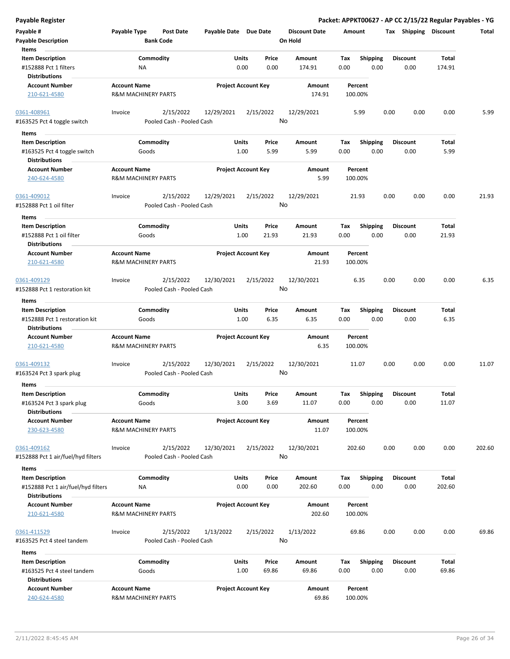| <b>Payable Register</b>                                                               |                     |                                        |                       |                                 |                                 |                    |                         |                 |      |                       | Packet: APPKT00627 - AP CC 2/15/22 Regular Payables - YG |
|---------------------------------------------------------------------------------------|---------------------|----------------------------------------|-----------------------|---------------------------------|---------------------------------|--------------------|-------------------------|-----------------|------|-----------------------|----------------------------------------------------------|
| Payable #<br><b>Payable Description</b>                                               | Payable Type        | <b>Post Date</b><br><b>Bank Code</b>   | Payable Date Due Date |                                 | <b>Discount Date</b><br>On Hold | Amount             |                         |                 |      | Tax Shipping Discount | Total                                                    |
| Items<br><b>Item Description</b><br>#152888 Pct 1 filters                             |                     | Commodity<br>ΝA                        |                       | Units<br>Price<br>0.00<br>0.00  | Amount<br>174.91                | Tax<br>0.00        | <b>Shipping</b><br>0.00 | <b>Discount</b> | 0.00 | Total<br>174.91       |                                                          |
| <b>Distributions</b><br><b>Account Number</b><br>210-621-4580                         | <b>Account Name</b> | <b>R&amp;M MACHINERY PARTS</b>         |                       | <b>Project Account Key</b>      | Amount<br>174.91                | Percent<br>100.00% |                         |                 |      |                       |                                                          |
| 0361-408961<br>#163525 Pct 4 toggle switch                                            | Invoice             | 2/15/2022<br>Pooled Cash - Pooled Cash | 12/29/2021            | 2/15/2022                       | 12/29/2021<br>No                | 5.99               |                         | 0.00            | 0.00 | 0.00                  | 5.99                                                     |
| Items                                                                                 |                     |                                        |                       |                                 |                                 |                    |                         |                 |      |                       |                                                          |
| <b>Item Description</b><br>#163525 Pct 4 toggle switch<br><b>Distributions</b>        |                     | Commodity<br>Goods                     |                       | Units<br>Price<br>1.00<br>5.99  | Amount<br>5.99                  | Tax<br>0.00        | <b>Shipping</b><br>0.00 | <b>Discount</b> | 0.00 | Total<br>5.99         |                                                          |
| <b>Account Number</b><br>240-624-4580                                                 | <b>Account Name</b> | <b>R&amp;M MACHINERY PARTS</b>         |                       | <b>Project Account Key</b>      | Amount<br>5.99                  | Percent<br>100.00% |                         |                 |      |                       |                                                          |
| 0361-409012<br>#152888 Pct 1 oil filter                                               | Invoice             | 2/15/2022<br>Pooled Cash - Pooled Cash | 12/29/2021            | 2/15/2022                       | 12/29/2021<br>No                | 21.93              |                         | 0.00            | 0.00 | 0.00                  | 21.93                                                    |
| Items<br><b>Item Description</b><br>#152888 Pct 1 oil filter<br><b>Distributions</b>  |                     | Commodity<br>Goods                     |                       | Units<br>Price<br>1.00<br>21.93 | Amount<br>21.93                 | Tax<br>0.00        | <b>Shipping</b><br>0.00 | <b>Discount</b> | 0.00 | Total<br>21.93        |                                                          |
| <b>Account Number</b><br>210-621-4580                                                 | <b>Account Name</b> | <b>R&amp;M MACHINERY PARTS</b>         |                       | <b>Project Account Key</b>      | Amount<br>21.93                 | Percent<br>100.00% |                         |                 |      |                       |                                                          |
| 0361-409129<br>#152888 Pct 1 restoration kit                                          | Invoice             | 2/15/2022<br>Pooled Cash - Pooled Cash | 12/30/2021            | 2/15/2022                       | 12/30/2021<br>No                | 6.35               |                         | 0.00            | 0.00 | 0.00                  | 6.35                                                     |
| Items                                                                                 |                     |                                        |                       |                                 |                                 |                    |                         |                 |      |                       |                                                          |
| <b>Item Description</b><br>#152888 Pct 1 restoration kit<br><b>Distributions</b>      |                     | Commodity<br>Goods                     |                       | Price<br>Units<br>1.00<br>6.35  | Amount<br>6.35                  | Tax<br>0.00        | <b>Shipping</b><br>0.00 | <b>Discount</b> | 0.00 | Total<br>6.35         |                                                          |
| <b>Account Number</b><br>210-621-4580                                                 | <b>Account Name</b> | <b>R&amp;M MACHINERY PARTS</b>         |                       | <b>Project Account Key</b>      | Amount<br>6.35                  | Percent<br>100.00% |                         |                 |      |                       |                                                          |
| 0361-409132<br>#163524 Pct 3 spark plug<br>Items                                      | Invoice             | 2/15/2022<br>Pooled Cash - Pooled Cash | 12/30/2021            | 2/15/2022                       | 12/30/2021<br>No                | 11.07              |                         | 0.00            | 0.00 | 0.00                  | 11.07                                                    |
| <b>Item Description</b><br>#163524 Pct 3 spark plug                                   |                     | Commodity<br>Goods                     |                       | Units<br>Price<br>3.00<br>3.69  | Amount<br>11.07                 | Tax<br>0.00        | Shipping<br>0.00        | <b>Discount</b> | 0.00 | Total<br>11.07        |                                                          |
| <b>Distributions</b><br><b>Account Number</b><br>230-623-4580                         | <b>Account Name</b> | <b>R&amp;M MACHINERY PARTS</b>         |                       | <b>Project Account Key</b>      | Amount<br>11.07                 | Percent<br>100.00% |                         |                 |      |                       |                                                          |
| 0361-409162<br>#152888 Pct 1 air/fuel/hyd filters                                     | Invoice             | 2/15/2022<br>Pooled Cash - Pooled Cash | 12/30/2021            | 2/15/2022                       | 12/30/2021<br>No                | 202.60             |                         | 0.00            | 0.00 | 0.00                  | 202.60                                                   |
| Items                                                                                 |                     |                                        |                       |                                 |                                 |                    |                         |                 |      |                       |                                                          |
| <b>Item Description</b><br>#152888 Pct 1 air/fuel/hyd filters<br><b>Distributions</b> |                     | Commodity<br>ΝA                        |                       | Units<br>Price<br>0.00<br>0.00  | Amount<br>202.60                | Tax<br>0.00        | <b>Shipping</b><br>0.00 | <b>Discount</b> | 0.00 | Total<br>202.60       |                                                          |
| <b>Account Number</b><br>210-621-4580                                                 | <b>Account Name</b> | R&M MACHINERY PARTS                    |                       | <b>Project Account Key</b>      | Amount<br>202.60                | Percent<br>100.00% |                         |                 |      |                       |                                                          |
| 0361-411529<br>#163525 Pct 4 steel tandem                                             | Invoice             | 2/15/2022<br>Pooled Cash - Pooled Cash | 1/13/2022             | 2/15/2022                       | 1/13/2022<br>No                 | 69.86              |                         | 0.00            | 0.00 | 0.00                  | 69.86                                                    |
| Items                                                                                 |                     |                                        |                       |                                 |                                 |                    |                         |                 |      |                       |                                                          |
| <b>Item Description</b><br>#163525 Pct 4 steel tandem<br><b>Distributions</b>         |                     | Commodity<br>Goods                     |                       | Units<br>Price<br>1.00<br>69.86 | Amount<br>69.86                 | Tax<br>0.00        | <b>Shipping</b><br>0.00 | <b>Discount</b> | 0.00 | Total<br>69.86        |                                                          |
| <b>Account Number</b><br>240-624-4580                                                 | <b>Account Name</b> | R&M MACHINERY PARTS                    |                       | <b>Project Account Key</b>      | Amount<br>69.86                 | Percent<br>100.00% |                         |                 |      |                       |                                                          |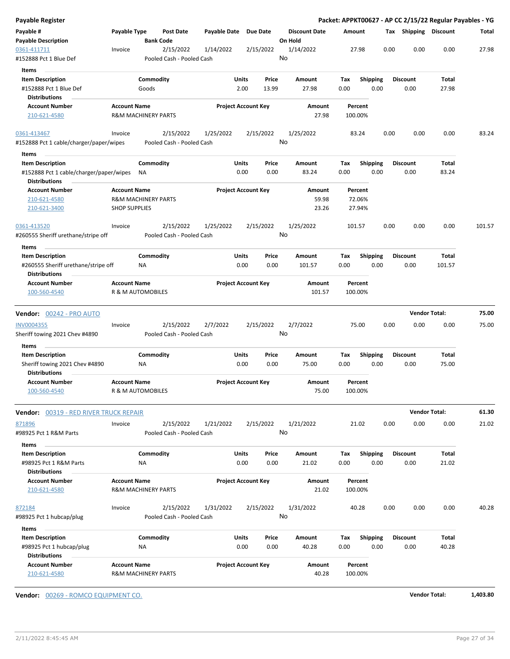| Payable Register                                                |                      |                                |                                        |                       |                            |               |                      |             |                    |      |      |                      | Packet: APPKT00627 - AP CC 2/15/22 Regular Payables - YG |        |
|-----------------------------------------------------------------|----------------------|--------------------------------|----------------------------------------|-----------------------|----------------------------|---------------|----------------------|-------------|--------------------|------|------|----------------------|----------------------------------------------------------|--------|
| Payable #                                                       | Payable Type         |                                | <b>Post Date</b>                       | Payable Date Due Date |                            |               | <b>Discount Date</b> | Amount      |                    |      |      |                      | Tax Shipping Discount                                    | Total  |
| <b>Payable Description</b>                                      |                      |                                | <b>Bank Code</b>                       |                       |                            |               | On Hold              |             |                    |      |      |                      |                                                          |        |
| 0361-411711<br>#152888 Pct 1 Blue Def                           | Invoice              |                                | 2/15/2022<br>Pooled Cash - Pooled Cash | 1/14/2022             |                            | 2/15/2022     | 1/14/2022<br>No      |             | 27.98              |      | 0.00 | 0.00                 | 0.00                                                     | 27.98  |
| Items                                                           |                      |                                |                                        |                       |                            |               |                      |             |                    |      |      |                      |                                                          |        |
| <b>Item Description</b>                                         |                      | Commodity                      |                                        |                       | Units                      | Price         | Amount               | Tax         | Shipping           |      |      | <b>Discount</b>      | Total                                                    |        |
| #152888 Pct 1 Blue Def                                          |                      | Goods                          |                                        |                       | 2.00                       | 13.99         | 27.98                | 0.00        |                    | 0.00 |      | 0.00                 | 27.98                                                    |        |
| <b>Distributions</b>                                            |                      |                                |                                        |                       |                            |               |                      |             |                    |      |      |                      |                                                          |        |
| <b>Account Number</b>                                           | <b>Account Name</b>  |                                |                                        |                       | <b>Project Account Key</b> |               | Amount               |             | Percent            |      |      |                      |                                                          |        |
| 210-621-4580                                                    |                      | <b>R&amp;M MACHINERY PARTS</b> |                                        |                       |                            |               | 27.98                |             | 100.00%            |      |      |                      |                                                          |        |
| 0361-413467                                                     | Invoice              |                                | 2/15/2022                              | 1/25/2022             |                            | 2/15/2022     | 1/25/2022            |             | 83.24              |      | 0.00 | 0.00                 | 0.00                                                     | 83.24  |
| #152888 Pct 1 cable/charger/paper/wipes                         |                      |                                | Pooled Cash - Pooled Cash              |                       |                            |               | No                   |             |                    |      |      |                      |                                                          |        |
| Items                                                           |                      |                                |                                        |                       |                            |               |                      |             |                    |      |      |                      |                                                          |        |
| <b>Item Description</b>                                         |                      | Commodity                      |                                        |                       | Units                      | Price         | Amount               | Тах         | <b>Shipping</b>    |      |      | <b>Discount</b>      | Total                                                    |        |
| #152888 Pct 1 cable/charger/paper/wipes<br><b>Distributions</b> |                      | <b>NA</b>                      |                                        |                       | 0.00                       | 0.00          | 83.24                | 0.00        |                    | 0.00 |      | 0.00                 | 83.24                                                    |        |
| <b>Account Number</b>                                           | <b>Account Name</b>  |                                |                                        |                       | <b>Project Account Key</b> |               | Amount               |             | Percent            |      |      |                      |                                                          |        |
| 210-621-4580<br>210-621-3400                                    | <b>SHOP SUPPLIES</b> | <b>R&amp;M MACHINERY PARTS</b> |                                        |                       |                            |               | 59.98<br>23.26       |             | 72.06%<br>27.94%   |      |      |                      |                                                          |        |
| 0361-413520                                                     |                      |                                | 2/15/2022                              |                       |                            |               |                      |             | 101.57             |      | 0.00 | 0.00                 | 0.00                                                     | 101.57 |
| #260555 Sheriff urethane/stripe off                             | Invoice              |                                | Pooled Cash - Pooled Cash              | 1/25/2022             |                            | 2/15/2022     | 1/25/2022<br>No      |             |                    |      |      |                      |                                                          |        |
| Items                                                           |                      |                                |                                        |                       |                            |               |                      |             |                    |      |      |                      |                                                          |        |
| <b>Item Description</b>                                         |                      | Commodity                      |                                        |                       | Units                      | Price         | Amount               | Tax         | <b>Shipping</b>    |      |      | <b>Discount</b>      | Total                                                    |        |
| #260555 Sheriff urethane/stripe off<br><b>Distributions</b>     |                      | NA                             |                                        |                       | 0.00                       | 0.00          | 101.57               | 0.00        |                    | 0.00 |      | 0.00                 | 101.57                                                   |        |
| <b>Account Number</b>                                           | <b>Account Name</b>  |                                |                                        |                       | <b>Project Account Key</b> |               | Amount               |             | Percent            |      |      |                      |                                                          |        |
| 100-560-4540                                                    |                      | R & M AUTOMOBILES              |                                        |                       |                            |               | 101.57               |             | 100.00%            |      |      |                      |                                                          |        |
| <b>Vendor:</b> 00242 - PRO AUTO                                 |                      |                                |                                        |                       |                            |               |                      |             |                    |      |      | <b>Vendor Total:</b> |                                                          | 75.00  |
| INV0004355                                                      | Invoice              |                                | 2/15/2022                              | 2/7/2022              |                            | 2/15/2022     | 2/7/2022             |             | 75.00              |      | 0.00 | 0.00                 | 0.00                                                     | 75.00  |
| Sheriff towing 2021 Chev #4890                                  |                      |                                | Pooled Cash - Pooled Cash              |                       |                            |               | No                   |             |                    |      |      |                      |                                                          |        |
| Items                                                           |                      |                                |                                        |                       |                            |               |                      |             |                    |      |      |                      |                                                          |        |
| <b>Item Description</b><br>Sheriff towing 2021 Chev #4890       |                      | Commodity<br>ΝA                |                                        |                       | Units<br>0.00              | Price<br>0.00 | Amount<br>75.00      | Tax<br>0.00 | <b>Shipping</b>    | 0.00 |      | Discount<br>0.00     | Total<br>75.00                                           |        |
| <b>Distributions</b>                                            |                      |                                |                                        |                       |                            |               |                      |             |                    |      |      |                      |                                                          |        |
| <b>Account Number</b><br>100-560-4540                           | <b>Account Name</b>  | R & M AUTOMOBILES              |                                        |                       | <b>Project Account Key</b> |               | Amount<br>75.00      |             | Percent<br>100.00% |      |      |                      |                                                          |        |
| <b>Vendor:</b> 00319 - RED RIVER TRUCK REPAIR                   |                      |                                |                                        |                       |                            |               |                      |             |                    |      |      | <b>Vendor Total:</b> |                                                          | 61.30  |
| 871896                                                          | Invoice              |                                | 2/15/2022                              | 1/21/2022             |                            | 2/15/2022     | 1/21/2022            |             | 21.02              |      | 0.00 | 0.00                 | 0.00                                                     | 21.02  |
| #98925 Pct 1 R&M Parts                                          |                      |                                | Pooled Cash - Pooled Cash              |                       |                            |               | No                   |             |                    |      |      |                      |                                                          |        |
| Items<br><b>Item Description</b>                                |                      | Commodity                      |                                        |                       | Units                      | Price         | Amount               | Tax         | Shipping           |      |      | <b>Discount</b>      | Total                                                    |        |
| #98925 Pct 1 R&M Parts                                          |                      | ΝA                             |                                        |                       | 0.00                       | 0.00          | 21.02                | 0.00        |                    | 0.00 |      | 0.00                 | 21.02                                                    |        |
| <b>Distributions</b>                                            |                      |                                |                                        |                       |                            |               |                      |             |                    |      |      |                      |                                                          |        |
| <b>Account Number</b><br>210-621-4580                           | <b>Account Name</b>  | <b>R&amp;M MACHINERY PARTS</b> |                                        |                       | <b>Project Account Key</b> |               | Amount<br>21.02      |             | Percent<br>100.00% |      |      |                      |                                                          |        |
| 872184                                                          | Invoice              |                                | 2/15/2022                              | 1/31/2022             |                            | 2/15/2022     | 1/31/2022            |             | 40.28              |      | 0.00 | 0.00                 | 0.00                                                     | 40.28  |
| #98925 Pct 1 hubcap/plug                                        |                      |                                | Pooled Cash - Pooled Cash              |                       |                            |               | No                   |             |                    |      |      |                      |                                                          |        |
|                                                                 |                      |                                |                                        |                       |                            |               |                      |             |                    |      |      |                      |                                                          |        |
| Items<br><b>Item Description</b>                                |                      | Commodity                      |                                        |                       | Units                      | Price         | Amount               |             | Shipping           |      |      | <b>Discount</b>      | Total                                                    |        |
| #98925 Pct 1 hubcap/plug                                        |                      | ΝA                             |                                        |                       | 0.00                       | 0.00          | 40.28                | Тах<br>0.00 |                    | 0.00 |      | 0.00                 | 40.28                                                    |        |
| <b>Distributions</b>                                            |                      |                                |                                        |                       |                            |               |                      |             |                    |      |      |                      |                                                          |        |
| <b>Account Number</b><br>210-621-4580                           | <b>Account Name</b>  | <b>R&amp;M MACHINERY PARTS</b> |                                        |                       | <b>Project Account Key</b> |               | Amount<br>40.28      |             | Percent<br>100.00% |      |      |                      |                                                          |        |
|                                                                 |                      |                                |                                        |                       |                            |               |                      |             |                    |      |      |                      |                                                          |        |

**Vendor:** 00269 - ROMCO EQUIPMENT CO. **Vendor Total: 1,403.80**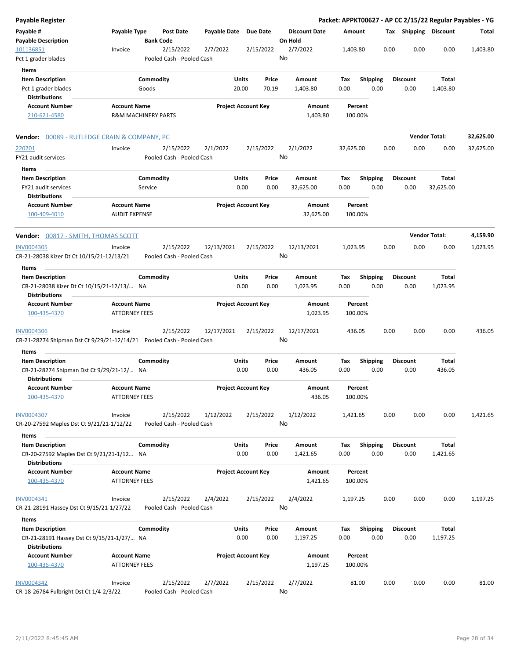| Payable Register                                                                             |                                             |                      |                                        |                       |                            |                |                                 |             |                    |                         |      |                         |                          | Packet: APPKT00627 - AP CC 2/15/22 Regular Payables - YG |
|----------------------------------------------------------------------------------------------|---------------------------------------------|----------------------|----------------------------------------|-----------------------|----------------------------|----------------|---------------------------------|-------------|--------------------|-------------------------|------|-------------------------|--------------------------|----------------------------------------------------------|
| Payable #<br><b>Payable Description</b>                                                      | Payable Type                                | <b>Bank Code</b>     | <b>Post Date</b>                       | Payable Date Due Date |                            |                | <b>Discount Date</b><br>On Hold | Amount      |                    |                         |      |                         | Tax Shipping Discount    | Total                                                    |
| 101136851<br>Pct 1 grader blades                                                             | Invoice                                     |                      | 2/15/2022<br>Pooled Cash - Pooled Cash | 2/7/2022              | 2/15/2022                  |                | 2/7/2022<br>No                  | 1,403.80    |                    |                         | 0.00 | 0.00                    | 0.00                     | 1,403.80                                                 |
| Items                                                                                        |                                             |                      |                                        |                       |                            |                |                                 |             |                    |                         |      |                         |                          |                                                          |
| <b>Item Description</b><br>Pct 1 grader blades<br><b>Distributions</b>                       |                                             | Commodity<br>Goods   |                                        |                       | Units<br>20.00             | Price<br>70.19 | Amount<br>1,403.80              | Tax<br>0.00 |                    | <b>Shipping</b><br>0.00 |      | <b>Discount</b><br>0.00 | <b>Total</b><br>1,403.80 |                                                          |
| Account Number                                                                               | <b>Account Name</b>                         |                      |                                        |                       | <b>Project Account Key</b> |                | Amount                          |             | Percent            |                         |      |                         |                          |                                                          |
| 210-621-4580                                                                                 | <b>R&amp;M MACHINERY PARTS</b>              |                      |                                        |                       |                            |                | 1,403.80                        |             | 100.00%            |                         |      |                         |                          |                                                          |
| <b>Vendor: 00089 - RUTLEDGE CRAIN &amp; COMPANY, PC</b>                                      |                                             |                      |                                        |                       |                            |                |                                 |             |                    |                         |      |                         | <b>Vendor Total:</b>     | 32,625.00                                                |
| 220201<br>FY21 audit services                                                                | Invoice                                     |                      | 2/15/2022<br>Pooled Cash - Pooled Cash | 2/1/2022              | 2/15/2022                  |                | 2/1/2022<br>No                  | 32,625.00   |                    |                         | 0.00 | 0.00                    | 0.00                     | 32,625.00                                                |
| Items                                                                                        |                                             |                      |                                        |                       |                            |                |                                 |             |                    |                         |      |                         |                          |                                                          |
| <b>Item Description</b><br>FY21 audit services                                               |                                             | Commodity<br>Service |                                        |                       | Units<br>0.00              | Price<br>0.00  | Amount<br>32,625.00             | Tax<br>0.00 |                    | <b>Shipping</b><br>0.00 |      | <b>Discount</b><br>0.00 | Total<br>32,625.00       |                                                          |
| <b>Distributions</b>                                                                         |                                             |                      |                                        |                       |                            |                |                                 |             |                    |                         |      |                         |                          |                                                          |
| <b>Account Number</b><br>100-409-4010                                                        | <b>Account Name</b><br><b>AUDIT EXPENSE</b> |                      |                                        |                       | <b>Project Account Key</b> |                | Amount<br>32,625.00             |             | Percent<br>100.00% |                         |      |                         |                          |                                                          |
| Vendor: 00817 - SMITH, THOMAS SCOTT                                                          |                                             |                      |                                        |                       |                            |                |                                 |             |                    |                         |      |                         | <b>Vendor Total:</b>     | 4,159.90                                                 |
| <b>INV0004305</b><br>CR-21-28038 Kizer Dt Ct 10/15/21-12/13/21                               | Invoice                                     |                      | 2/15/2022<br>Pooled Cash - Pooled Cash | 12/13/2021            | 2/15/2022                  |                | 12/13/2021<br>No                | 1,023.95    |                    |                         | 0.00 | 0.00                    | 0.00                     | 1,023.95                                                 |
| Items                                                                                        |                                             |                      |                                        |                       |                            |                |                                 |             |                    |                         |      |                         |                          |                                                          |
| <b>Item Description</b>                                                                      |                                             | Commodity            |                                        |                       | Units                      | Price          | Amount                          | Tax         |                    | <b>Shipping</b>         |      | <b>Discount</b>         | Total                    |                                                          |
| CR-21-28038 Kizer Dt Ct 10/15/21-12/13/ NA<br><b>Distributions</b>                           |                                             |                      |                                        |                       | 0.00                       | 0.00           | 1,023.95                        | 0.00        |                    | 0.00                    |      | 0.00                    | 1,023.95                 |                                                          |
| <b>Account Number</b><br>100-435-4370                                                        | <b>Account Name</b><br><b>ATTORNEY FEES</b> |                      |                                        |                       | <b>Project Account Key</b> |                | Amount<br>1,023.95              |             | Percent<br>100.00% |                         |      |                         |                          |                                                          |
| <b>INV0004306</b><br>CR-21-28274 Shipman Dst Ct 9/29/21-12/14/21  Pooled Cash - Pooled Cash  | Invoice                                     |                      | 2/15/2022                              | 12/17/2021            | 2/15/2022                  |                | 12/17/2021<br>No                |             | 436.05             |                         | 0.00 | 0.00                    | 0.00                     | 436.05                                                   |
| Items                                                                                        |                                             |                      |                                        |                       | Units                      |                |                                 |             |                    |                         |      |                         |                          |                                                          |
| <b>Item Description</b><br>CR-21-28274 Shipman Dst Ct 9/29/21-12/ NA<br>Distributions        |                                             | Commodity            |                                        |                       | 0.00                       | Price<br>0.00  | Amount<br>436.05                | Tax<br>0.00 |                    | <b>Shipping</b><br>0.00 |      | <b>Discount</b><br>0.00 | Total<br>436.05          |                                                          |
| <b>Account Number</b>                                                                        | <b>Account Name</b>                         |                      |                                        |                       | <b>Project Account Key</b> |                | Amount                          |             | Percent            |                         |      |                         |                          |                                                          |
| 100-435-4370                                                                                 | <b>ATTORNEY FEES</b>                        |                      |                                        |                       |                            |                | 436.05                          |             | 100.00%            |                         |      |                         |                          |                                                          |
| <b>INV0004307</b><br>CR-20-27592 Maples Dst Ct 9/21/21-1/12/22                               | Invoice                                     |                      | 2/15/2022<br>Pooled Cash - Pooled Cash | 1/12/2022             | 2/15/2022                  |                | 1/12/2022<br>No                 | 1,421.65    |                    |                         | 0.00 | 0.00                    | 0.00                     | 1,421.65                                                 |
| Items                                                                                        |                                             | Commodity            |                                        |                       |                            |                | Amount                          |             |                    | <b>Shipping</b>         |      |                         | Total                    |                                                          |
| <b>Item Description</b><br>CR-20-27592 Maples Dst Ct 9/21/21-1/12 NA<br><b>Distributions</b> |                                             |                      |                                        |                       | Units<br>0.00              | Price<br>0.00  | 1,421.65                        | Tax<br>0.00 |                    | 0.00                    |      | <b>Discount</b><br>0.00 | 1,421.65                 |                                                          |
| <b>Account Number</b>                                                                        | <b>Account Name</b>                         |                      |                                        |                       | <b>Project Account Key</b> |                | Amount                          |             | Percent            |                         |      |                         |                          |                                                          |
| 100-435-4370                                                                                 | <b>ATTORNEY FEES</b>                        |                      |                                        |                       |                            |                | 1,421.65                        |             | 100.00%            |                         |      |                         |                          |                                                          |
| INV0004341<br>CR-21-28191 Hassey Dst Ct 9/15/21-1/27/22                                      | Invoice                                     |                      | 2/15/2022<br>Pooled Cash - Pooled Cash | 2/4/2022              | 2/15/2022                  |                | 2/4/2022<br>No                  | 1,197.25    |                    |                         | 0.00 | 0.00                    | 0.00                     | 1,197.25                                                 |
| Items                                                                                        |                                             |                      |                                        |                       |                            |                |                                 |             |                    |                         |      |                         |                          |                                                          |
| <b>Item Description</b>                                                                      |                                             | Commodity            |                                        |                       | Units                      | Price          | Amount                          | Tax         |                    | <b>Shipping</b>         |      | <b>Discount</b>         | Total                    |                                                          |
| CR-21-28191 Hassey Dst Ct 9/15/21-1/27/ NA<br><b>Distributions</b>                           |                                             |                      |                                        |                       | 0.00                       | 0.00           | 1,197.25                        | 0.00        |                    | 0.00                    |      | 0.00                    | 1,197.25                 |                                                          |
| <b>Account Number</b><br>100-435-4370                                                        | <b>Account Name</b><br><b>ATTORNEY FEES</b> |                      |                                        |                       | <b>Project Account Key</b> |                | Amount<br>1,197.25              |             | Percent<br>100.00% |                         |      |                         |                          |                                                          |
| INV0004342<br>CR-18-26784 Fulbright Dst Ct 1/4-2/3/22                                        | Invoice                                     |                      | 2/15/2022<br>Pooled Cash - Pooled Cash | 2/7/2022              | 2/15/2022                  |                | 2/7/2022<br>No                  |             | 81.00              |                         | 0.00 | 0.00                    | 0.00                     | 81.00                                                    |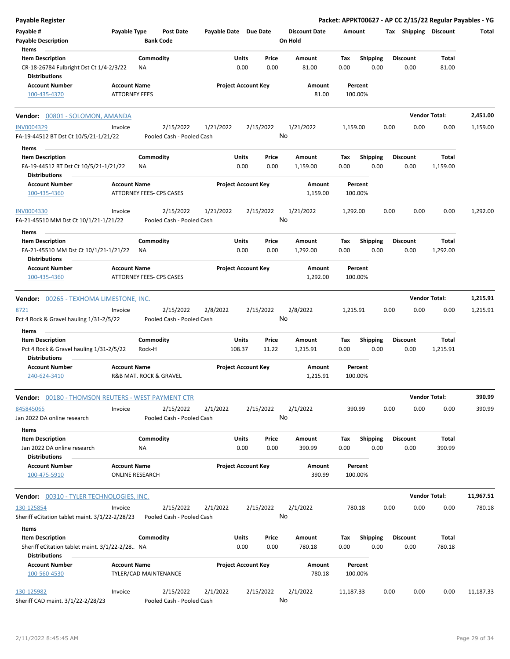| <b>Payable Register</b>                                                                    |                                             |                                 |                                        |                       |                            |                |                                 |             |                         |      |                         |                          | Packet: APPKT00627 - AP CC 2/15/22 Regular Payables - YG |
|--------------------------------------------------------------------------------------------|---------------------------------------------|---------------------------------|----------------------------------------|-----------------------|----------------------------|----------------|---------------------------------|-------------|-------------------------|------|-------------------------|--------------------------|----------------------------------------------------------|
| Payable #<br><b>Payable Description</b>                                                    | Payable Type                                | <b>Bank Code</b>                | <b>Post Date</b>                       | Payable Date Due Date |                            |                | <b>Discount Date</b><br>On Hold | Amount      |                         |      | Tax Shipping Discount   |                          | Total                                                    |
| Items                                                                                      |                                             |                                 |                                        |                       |                            |                |                                 |             |                         |      |                         |                          |                                                          |
| <b>Item Description</b><br>CR-18-26784 Fulbright Dst Ct 1/4-2/3/22<br><b>Distributions</b> |                                             | Commodity<br>NA                 |                                        |                       | Units<br>0.00              | Price<br>0.00  | Amount<br>81.00                 | Tax<br>0.00 | <b>Shipping</b><br>0.00 |      | <b>Discount</b><br>0.00 | Total<br>81.00           |                                                          |
| <b>Account Number</b><br>100-435-4370                                                      | <b>Account Name</b><br><b>ATTORNEY FEES</b> |                                 |                                        |                       | <b>Project Account Key</b> |                | Amount<br>81.00                 |             | Percent<br>100.00%      |      |                         |                          |                                                          |
|                                                                                            |                                             |                                 |                                        |                       |                            |                |                                 |             |                         |      |                         |                          |                                                          |
| Vendor: 00801 - SOLOMON, AMANDA                                                            |                                             |                                 |                                        |                       |                            |                |                                 |             |                         |      |                         | <b>Vendor Total:</b>     | 2.451.00                                                 |
| INV0004329<br>FA-19-44512 BT Dst Ct 10/5/21-1/21/22                                        | Invoice                                     |                                 | 2/15/2022<br>Pooled Cash - Pooled Cash | 1/21/2022             |                            | 2/15/2022      | 1/21/2022<br>No                 | 1,159.00    |                         | 0.00 | 0.00                    | 0.00                     | 1,159.00                                                 |
| Items                                                                                      |                                             |                                 |                                        |                       |                            |                |                                 |             |                         |      |                         |                          |                                                          |
| <b>Item Description</b><br>FA-19-44512 BT Dst Ct 10/5/21-1/21/22                           |                                             | Commodity<br>ΝA                 |                                        |                       | Units<br>0.00              | Price<br>0.00  | Amount<br>1,159.00              | Tax<br>0.00 | <b>Shipping</b><br>0.00 |      | <b>Discount</b><br>0.00 | <b>Total</b><br>1,159.00 |                                                          |
| <b>Distributions</b>                                                                       |                                             |                                 |                                        |                       |                            |                |                                 |             |                         |      |                         |                          |                                                          |
| <b>Account Number</b><br>100-435-4360                                                      | <b>Account Name</b>                         | ATTORNEY FEES- CPS CASES        |                                        |                       | <b>Project Account Key</b> |                | Amount<br>1,159.00              |             | Percent<br>100.00%      |      |                         |                          |                                                          |
| <b>INV0004330</b><br>FA-21-45510 MM Dst Ct 10/1/21-1/21/22                                 | Invoice                                     |                                 | 2/15/2022<br>Pooled Cash - Pooled Cash | 1/21/2022             |                            | 2/15/2022      | 1/21/2022<br>No                 | 1,292.00    |                         | 0.00 | 0.00                    | 0.00                     | 1,292.00                                                 |
| Items                                                                                      |                                             |                                 |                                        |                       |                            |                |                                 |             |                         |      |                         |                          |                                                          |
| <b>Item Description</b><br>FA-21-45510 MM Dst Ct 10/1/21-1/21/22                           |                                             | Commodity<br>ΝA                 |                                        |                       | Units<br>0.00              | Price<br>0.00  | Amount<br>1,292.00              | Tax<br>0.00 | <b>Shipping</b><br>0.00 |      | <b>Discount</b><br>0.00 | <b>Total</b><br>1,292.00 |                                                          |
| <b>Distributions</b><br><b>Account Number</b><br>100-435-4360                              | <b>Account Name</b>                         | <b>ATTORNEY FEES- CPS CASES</b> |                                        |                       | <b>Project Account Key</b> |                | Amount<br>1,292.00              |             | Percent<br>100.00%      |      |                         |                          |                                                          |
|                                                                                            |                                             |                                 |                                        |                       |                            |                |                                 |             |                         |      |                         |                          |                                                          |
| <b>Vendor: 00265 - TEXHOMA LIMESTONE, INC.</b>                                             |                                             |                                 |                                        |                       |                            |                |                                 |             |                         |      |                         | <b>Vendor Total:</b>     | 1,215.91                                                 |
| 8721<br>Pct 4 Rock & Gravel hauling 1/31-2/5/22                                            | Invoice                                     |                                 | 2/15/2022<br>Pooled Cash - Pooled Cash | 2/8/2022              |                            | 2/15/2022      | 2/8/2022<br>No                  | 1,215.91    |                         | 0.00 | 0.00                    | 0.00                     | 1,215.91                                                 |
| Items                                                                                      |                                             |                                 |                                        |                       |                            |                |                                 |             |                         |      |                         |                          |                                                          |
| <b>Item Description</b><br>Pct 4 Rock & Gravel hauling 1/31-2/5/22<br><b>Distributions</b> |                                             | Commodity<br>Rock-H             |                                        |                       | Units<br>108.37            | Price<br>11.22 | Amount<br>1,215.91              | Tax<br>0.00 | Shipping<br>0.00        |      | <b>Discount</b><br>0.00 | Total<br>1,215.91        |                                                          |
| <b>Account Number</b><br>240-624-3410                                                      | <b>Account Name</b>                         | R&B MAT. ROCK & GRAVEL          |                                        |                       | <b>Project Account Key</b> |                | Amount<br>1,215.91              |             | Percent<br>100.00%      |      |                         |                          |                                                          |
| <b>Vendor:</b> 00180 - THOMSON REUTERS - WEST PAYMENT CTR                                  |                                             |                                 |                                        |                       |                            |                |                                 |             |                         |      |                         | <b>Vendor Total:</b>     | 390.99                                                   |
| 845845065<br>Jan 2022 DA online research                                                   | Invoice                                     |                                 | 2/15/2022<br>Pooled Cash - Pooled Cash | 2/1/2022              |                            | 2/15/2022      | 2/1/2022<br>No                  |             | 390.99                  | 0.00 | 0.00                    | 0.00                     | 390.99                                                   |
| Items<br><b>Item Description</b><br>Jan 2022 DA online research                            |                                             | Commodity<br>ΝA                 |                                        |                       | Units<br>0.00              | Price<br>0.00  | Amount<br>390.99                | Tax<br>0.00 | <b>Shipping</b><br>0.00 |      | <b>Discount</b><br>0.00 | Total<br>390.99          |                                                          |
| <b>Distributions</b><br><b>Account Number</b><br>100-475-5910                              | <b>Account Name</b>                         | <b>ONLINE RESEARCH</b>          |                                        |                       | <b>Project Account Key</b> |                | Amount<br>390.99                |             | Percent<br>100.00%      |      |                         |                          |                                                          |
|                                                                                            |                                             |                                 |                                        |                       |                            |                |                                 |             |                         |      |                         |                          |                                                          |
| <b>Vendor: 00310 - TYLER TECHNOLOGIES, INC.</b>                                            |                                             |                                 |                                        |                       |                            |                |                                 |             |                         |      |                         | <b>Vendor Total:</b>     | 11,967.51                                                |
| 130-125854<br>Sheriff eCitation tablet maint. 3/1/22-2/28/23                               | Invoice                                     |                                 | 2/15/2022<br>Pooled Cash - Pooled Cash | 2/1/2022              |                            | 2/15/2022      | 2/1/2022<br>No                  |             | 780.18                  | 0.00 | 0.00                    | 0.00                     | 780.18                                                   |
| Items                                                                                      |                                             |                                 |                                        |                       |                            |                |                                 |             |                         |      |                         |                          |                                                          |
| <b>Item Description</b><br>Sheriff eCitation tablet maint. 3/1/22-2/28 NA                  |                                             | Commodity                       |                                        |                       | Units<br>0.00              | Price<br>0.00  | Amount<br>780.18                | Tax<br>0.00 | <b>Shipping</b><br>0.00 |      | <b>Discount</b><br>0.00 | Total<br>780.18          |                                                          |
| <b>Distributions</b><br><b>Account Number</b><br>100-560-4530                              | <b>Account Name</b>                         | TYLER/CAD MAINTENANCE           |                                        |                       | <b>Project Account Key</b> |                | Amount<br>780.18                |             | Percent<br>100.00%      |      |                         |                          |                                                          |
| 130-125982<br>Sheriff CAD maint. 3/1/22-2/28/23                                            | Invoice                                     |                                 | 2/15/2022<br>Pooled Cash - Pooled Cash | 2/1/2022              |                            | 2/15/2022      | 2/1/2022<br>No                  | 11,187.33   |                         | 0.00 | 0.00                    | 0.00                     | 11,187.33                                                |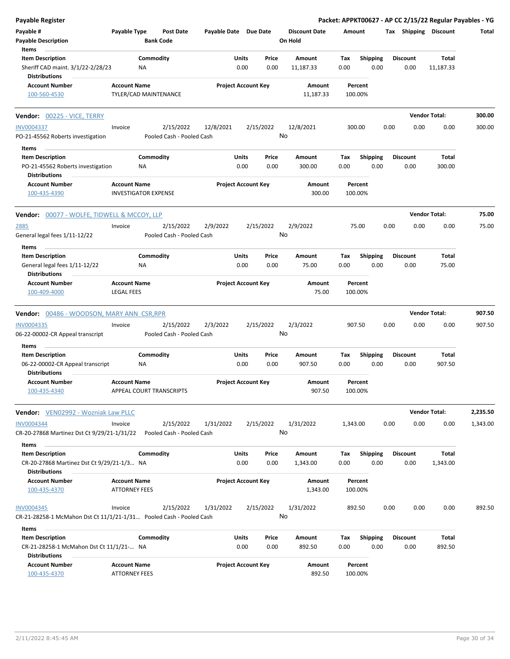| <b>Payable Register</b>                                                                  |                                                    |                  |                                        |                       |                            |               |                                 |             |                         |      |                         | Packet: APPKT00627 - AP CC 2/15/22 Regular Payables - YG |          |
|------------------------------------------------------------------------------------------|----------------------------------------------------|------------------|----------------------------------------|-----------------------|----------------------------|---------------|---------------------------------|-------------|-------------------------|------|-------------------------|----------------------------------------------------------|----------|
| Payable #<br><b>Payable Description</b>                                                  | Payable Type                                       | <b>Bank Code</b> | <b>Post Date</b>                       | Payable Date Due Date |                            |               | <b>Discount Date</b><br>On Hold | Amount      |                         |      | Tax Shipping Discount   |                                                          | Total    |
| Items                                                                                    |                                                    |                  |                                        |                       |                            |               |                                 |             |                         |      |                         |                                                          |          |
| <b>Item Description</b><br>Sheriff CAD maint. 3/1/22-2/28/23                             |                                                    | Commodity<br>NA  |                                        |                       | Units<br>0.00              | Price<br>0.00 | Amount<br>11,187.33             | Tax<br>0.00 | <b>Shipping</b><br>0.00 |      | Discount<br>0.00        | Total<br>11,187.33                                       |          |
| <b>Distributions</b><br><b>Account Number</b>                                            | <b>Account Name</b>                                |                  |                                        |                       | <b>Project Account Key</b> |               | Amount                          |             | Percent                 |      |                         |                                                          |          |
| 100-560-4530                                                                             | TYLER/CAD MAINTENANCE                              |                  |                                        |                       |                            |               | 11,187.33                       |             | 100.00%                 |      |                         |                                                          |          |
| Vendor: 00225 - VICE, TERRY                                                              |                                                    |                  |                                        |                       |                            |               |                                 |             |                         |      |                         | <b>Vendor Total:</b>                                     | 300.00   |
| INV0004337                                                                               | Invoice                                            |                  | 2/15/2022                              | 12/8/2021             |                            | 2/15/2022     | 12/8/2021                       |             | 300.00                  | 0.00 | 0.00                    | 0.00                                                     | 300.00   |
| PO-21-45562 Roberts investigation                                                        |                                                    |                  | Pooled Cash - Pooled Cash              |                       |                            |               | No                              |             |                         |      |                         |                                                          |          |
| Items                                                                                    |                                                    |                  |                                        |                       |                            |               |                                 |             |                         |      |                         |                                                          |          |
| <b>Item Description</b>                                                                  |                                                    | Commodity        |                                        |                       | Units                      | Price         | Amount                          | Tax         | <b>Shipping</b>         |      | <b>Discount</b>         | Total                                                    |          |
| PO-21-45562 Roberts investigation<br><b>Distributions</b>                                |                                                    | ΝA               |                                        |                       | 0.00                       | 0.00          | 300.00                          | 0.00        | 0.00                    |      | 0.00                    | 300.00                                                   |          |
| <b>Account Number</b><br>100-435-4390                                                    | <b>Account Name</b><br><b>INVESTIGATOR EXPENSE</b> |                  |                                        |                       | <b>Project Account Key</b> |               | Amount<br>300.00                |             | Percent<br>100.00%      |      |                         |                                                          |          |
| Vendor: 00077 - WOLFE, TIDWELL & MCCOY, LLP                                              |                                                    |                  |                                        |                       |                            |               |                                 |             |                         |      |                         | <b>Vendor Total:</b>                                     | 75.00    |
| 2885                                                                                     | Invoice                                            |                  | 2/15/2022                              | 2/9/2022              |                            | 2/15/2022     | 2/9/2022                        |             | 75.00                   | 0.00 | 0.00                    | 0.00                                                     | 75.00    |
| General legal fees 1/11-12/22                                                            |                                                    |                  | Pooled Cash - Pooled Cash              |                       |                            |               | No                              |             |                         |      |                         |                                                          |          |
| Items                                                                                    |                                                    |                  |                                        |                       |                            |               |                                 |             |                         |      |                         |                                                          |          |
| <b>Item Description</b>                                                                  |                                                    | Commodity        |                                        |                       | Units                      | Price         | Amount                          | Tax         | <b>Shipping</b>         |      | <b>Discount</b>         | Total                                                    |          |
| General legal fees 1/11-12/22<br><b>Distributions</b>                                    |                                                    | ΝA               |                                        |                       | 0.00                       | 0.00          | 75.00                           | 0.00        | 0.00                    |      | 0.00                    | 75.00                                                    |          |
| <b>Account Number</b><br>100-409-4000                                                    | <b>Account Name</b><br><b>LEGAL FEES</b>           |                  |                                        |                       | <b>Project Account Key</b> |               | Amount<br>75.00                 |             | Percent<br>100.00%      |      |                         |                                                          |          |
| <b>Vendor: 00486 - WOODSON, MARY ANN CSR, RPR</b>                                        |                                                    |                  |                                        |                       |                            |               |                                 |             |                         |      |                         | <b>Vendor Total:</b>                                     | 907.50   |
| INV0004335                                                                               | Invoice                                            |                  | 2/15/2022                              | 2/3/2022              |                            | 2/15/2022     | 2/3/2022                        |             | 907.50                  | 0.00 | 0.00                    | 0.00                                                     | 907.50   |
| 06-22-00002-CR Appeal transcript<br>Items                                                |                                                    |                  | Pooled Cash - Pooled Cash              |                       |                            |               | No                              |             |                         |      |                         |                                                          |          |
| <b>Item Description</b>                                                                  |                                                    | Commodity        |                                        |                       | Units                      | Price         | Amount                          | Тах         | <b>Shipping</b>         |      | <b>Discount</b>         | Total                                                    |          |
| 06-22-00002-CR Appeal transcript<br><b>Distributions</b>                                 |                                                    | NA               |                                        |                       | 0.00                       | 0.00          | 907.50                          | 0.00        | 0.00                    |      | 0.00                    | 907.50                                                   |          |
| <b>Account Number</b><br>100-435-4340                                                    | <b>Account Name</b>                                |                  | APPEAL COURT TRANSCRIPTS               |                       | <b>Project Account Key</b> |               | Amount<br>907.50                |             | Percent<br>100.00%      |      |                         |                                                          |          |
| <b>Vendor:</b> VEN02992 - Wozniak Law PLLC                                               |                                                    |                  |                                        |                       |                            |               |                                 |             |                         |      |                         | <b>Vendor Total:</b>                                     | 2,235.50 |
| INV0004344<br>CR-20-27868 Martinez Dst Ct 9/29/21-1/31/22                                | Invoice                                            |                  | 2/15/2022<br>Pooled Cash - Pooled Cash | 1/31/2022             |                            | 2/15/2022     | 1/31/2022<br>No                 | 1,343.00    |                         | 0.00 | 0.00                    | 0.00                                                     | 1,343.00 |
| Items                                                                                    |                                                    |                  |                                        |                       |                            |               |                                 |             |                         |      |                         |                                                          |          |
| <b>Item Description</b><br>CR-20-27868 Martinez Dst Ct 9/29/21-1/3 NA                    |                                                    | Commodity        |                                        |                       | Units<br>0.00              | Price<br>0.00 | Amount<br>1,343.00              | Tax<br>0.00 | <b>Shipping</b><br>0.00 |      | <b>Discount</b><br>0.00 | Total<br>1,343.00                                        |          |
| <b>Distributions</b><br><b>Account Number</b>                                            | <b>Account Name</b>                                |                  |                                        |                       | <b>Project Account Key</b> |               | Amount                          |             | Percent                 |      |                         |                                                          |          |
| 100-435-4370                                                                             | <b>ATTORNEY FEES</b>                               |                  |                                        |                       |                            |               | 1,343.00                        |             | 100.00%                 |      |                         |                                                          |          |
| <b>INV0004345</b><br>CR-21-28258-1 McMahon Dst Ct 11/1/21-1/31 Pooled Cash - Pooled Cash | Invoice                                            |                  | 2/15/2022                              | 1/31/2022             |                            | 2/15/2022     | 1/31/2022<br>No                 |             | 892.50                  | 0.00 | 0.00                    | 0.00                                                     | 892.50   |
|                                                                                          |                                                    |                  |                                        |                       |                            |               |                                 |             |                         |      |                         |                                                          |          |
| Items<br><b>Item Description</b>                                                         |                                                    | Commodity        |                                        |                       | Units                      | Price         | Amount                          | Tax         | <b>Shipping</b>         |      | <b>Discount</b>         | Total                                                    |          |
| CR-21-28258-1 McMahon Dst Ct 11/1/21- NA<br><b>Distributions</b>                         |                                                    |                  |                                        |                       | 0.00                       | 0.00          | 892.50                          | 0.00        | 0.00                    |      | 0.00                    | 892.50                                                   |          |
| <b>Account Number</b><br>100-435-4370                                                    | <b>Account Name</b><br><b>ATTORNEY FEES</b>        |                  |                                        |                       | <b>Project Account Key</b> |               | Amount<br>892.50                |             | Percent<br>100.00%      |      |                         |                                                          |          |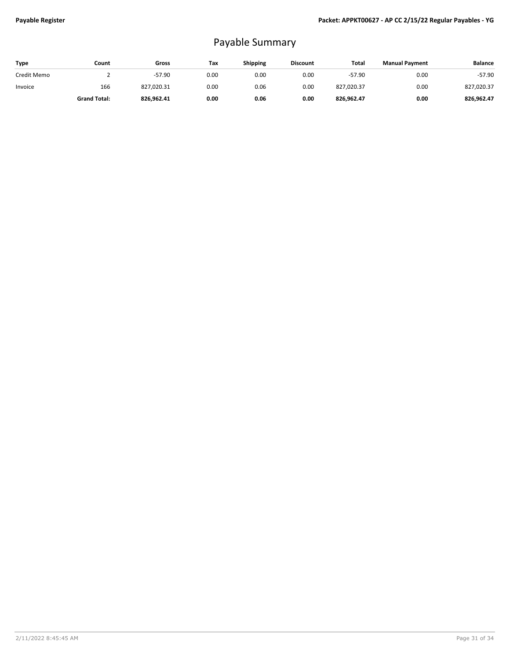## Payable Summary

| Type        | Count               | Gross      | Tax  | <b>Shipping</b> | <b>Discount</b> | Total      | <b>Manual Payment</b> | <b>Balance</b> |
|-------------|---------------------|------------|------|-----------------|-----------------|------------|-----------------------|----------------|
| Credit Memo |                     | $-57.90$   | 0.00 | 0.00            | 0.00            | $-57.90$   | 0.00                  | $-57.90$       |
| Invoice     | 166                 | 827,020.31 | 0.00 | 0.06            | 0.00            | 827,020.37 | 0.00                  | 827,020.37     |
|             | <b>Grand Total:</b> | 826,962.41 | 0.00 | 0.06            | 0.00            | 826,962.47 | 0.00                  | 826.962.47     |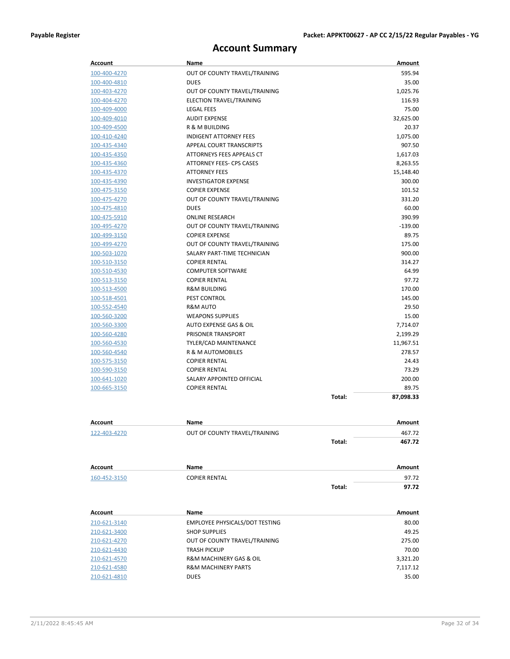### **Account Summary**

| Account      | Name                            |        | Amount    |
|--------------|---------------------------------|--------|-----------|
| 100-400-4270 | OUT OF COUNTY TRAVEL/TRAINING   |        | 595.94    |
| 100-400-4810 | <b>DUES</b>                     |        | 35.00     |
| 100-403-4270 | OUT OF COUNTY TRAVEL/TRAINING   |        | 1,025.76  |
| 100-404-4270 | ELECTION TRAVEL/TRAINING        |        | 116.93    |
| 100-409-4000 | <b>LEGAL FEES</b>               |        | 75.00     |
| 100-409-4010 | <b>AUDIT EXPENSE</b>            |        | 32,625.00 |
| 100-409-4500 | R & M BUILDING                  |        | 20.37     |
| 100-410-4240 | <b>INDIGENT ATTORNEY FEES</b>   |        | 1,075.00  |
| 100-435-4340 | APPEAL COURT TRANSCRIPTS        |        | 907.50    |
| 100-435-4350 | ATTORNEYS FEES APPEALS CT       |        | 1,617.03  |
| 100-435-4360 | <b>ATTORNEY FEES- CPS CASES</b> |        | 8,263.55  |
| 100-435-4370 | <b>ATTORNEY FEES</b>            |        | 15,148.40 |
| 100-435-4390 | <b>INVESTIGATOR EXPENSE</b>     |        | 300.00    |
| 100-475-3150 | <b>COPIER EXPENSE</b>           |        | 101.52    |
| 100-475-4270 | OUT OF COUNTY TRAVEL/TRAINING   |        | 331.20    |
| 100-475-4810 | <b>DUES</b>                     |        | 60.00     |
| 100-475-5910 | <b>ONLINE RESEARCH</b>          |        | 390.99    |
| 100-495-4270 | OUT OF COUNTY TRAVEL/TRAINING   |        | $-139.00$ |
| 100-499-3150 | <b>COPIER EXPENSE</b>           |        | 89.75     |
| 100-499-4270 | OUT OF COUNTY TRAVEL/TRAINING   |        | 175.00    |
| 100-503-1070 | SALARY PART-TIME TECHNICIAN     |        | 900.00    |
| 100-510-3150 | <b>COPIER RENTAL</b>            |        | 314.27    |
| 100-510-4530 | <b>COMPUTER SOFTWARE</b>        |        | 64.99     |
| 100-513-3150 | <b>COPIER RENTAL</b>            |        | 97.72     |
| 100-513-4500 | <b>R&amp;M BUILDING</b>         |        | 170.00    |
| 100-518-4501 | PEST CONTROL                    |        | 145.00    |
| 100-552-4540 | <b>R&amp;M AUTO</b>             |        | 29.50     |
| 100-560-3200 | <b>WEAPONS SUPPLIES</b>         |        | 15.00     |
| 100-560-3300 | AUTO EXPENSE GAS & OIL          |        | 7,714.07  |
| 100-560-4280 | PRISONER TRANSPORT              |        | 2,199.29  |
| 100-560-4530 | TYLER/CAD MAINTENANCE           |        | 11,967.51 |
| 100-560-4540 | R & M AUTOMOBILES               |        | 278.57    |
| 100-575-3150 | <b>COPIER RENTAL</b>            |        | 24.43     |
| 100-590-3150 | <b>COPIER RENTAL</b>            |        | 73.29     |
| 100-641-1020 | SALARY APPOINTED OFFICIAL       |        | 200.00    |
| 100-665-3150 | <b>COPIER RENTAL</b>            |        | 89.75     |
|              |                                 | Total: | 87,098.33 |
| Account      | Name                            |        | Amount    |
| 122-403-4270 | OUT OF COUNTY TRAVEL/TRAINING   |        | 467.72    |
|              |                                 | Total: | 467.72    |

| Account      | Name                 | Amount          |
|--------------|----------------------|-----------------|
| 160-452-3150 | <b>COPIER RENTAL</b> | 97.72           |
|              |                      | Total:<br>97.72 |

| Account      | Name                                   | Amount   |
|--------------|----------------------------------------|----------|
| 210-621-3140 | <b>EMPLOYEE PHYSICALS/DOT TESTING</b>  | 80.00    |
| 210-621-3400 | <b>SHOP SUPPLIES</b>                   | 49.25    |
| 210-621-4270 | OUT OF COUNTY TRAVEL/TRAINING          | 275.00   |
| 210-621-4430 | <b>TRASH PICKUP</b>                    | 70.00    |
| 210-621-4570 | <b>R&amp;M MACHINERY GAS &amp; OIL</b> | 3,321.20 |
| 210-621-4580 | <b>R&amp;M MACHINERY PARTS</b>         | 7,117.12 |
| 210-621-4810 | <b>DUES</b>                            | 35.00    |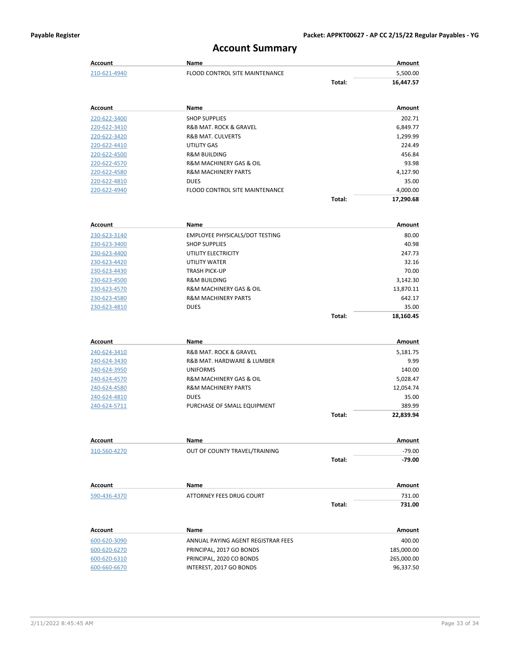#### **Account Summary**

|                              | ACCOUNT SUINNING                                     |        |                    |
|------------------------------|------------------------------------------------------|--------|--------------------|
| <b>Account</b>               | <b>Name</b>                                          |        | <b>Amount</b>      |
| 210-621-4940                 | <b>FLOOD CONTROL SITE MAINTENANCE</b>                |        | 5,500.00           |
|                              |                                                      | Total: | 16,447.57          |
| Account                      | Name                                                 |        | Amount             |
| 220-622-3400                 | <b>SHOP SUPPLIES</b>                                 |        | 202.71             |
| 220-622-3410                 | R&B MAT. ROCK & GRAVEL                               |        | 6,849.77           |
| 220-622-3420                 | <b>R&amp;B MAT. CULVERTS</b>                         |        | 1,299.99           |
| 220-622-4410                 | <b>UTILITY GAS</b>                                   |        | 224.49             |
| 220-622-4500                 | <b>R&amp;M BUILDING</b>                              |        | 456.84             |
| 220-622-4570                 | <b>R&amp;M MACHINERY GAS &amp; OIL</b>               |        | 93.98              |
| 220-622-4580                 | <b>R&amp;M MACHINERY PARTS</b>                       |        | 4,127.90           |
| 220-622-4810                 | <b>DUES</b>                                          |        | 35.00              |
| 220-622-4940                 | <b>FLOOD CONTROL SITE MAINTENANCE</b>                |        | 4,000.00           |
|                              |                                                      | Total: | 17,290.68          |
| <b>Account</b>               | Name                                                 |        | Amount             |
| 230-623-3140                 | EMPLOYEE PHYSICALS/DOT TESTING                       |        | 80.00              |
| 230-623-3400                 | <b>SHOP SUPPLIES</b>                                 |        | 40.98              |
| 230-623-4400                 | UTILITY ELECTRICITY                                  |        | 247.73             |
| 230-623-4420                 | UTILITY WATER                                        |        | 32.16              |
| 230-623-4430                 | <b>TRASH PICK-UP</b>                                 |        | 70.00              |
| 230-623-4500                 | <b>R&amp;M BUILDING</b>                              |        | 3,142.30           |
| 230-623-4570                 | R&M MACHINERY GAS & OIL                              |        | 13,870.11          |
| 230-623-4580                 | <b>R&amp;M MACHINERY PARTS</b>                       |        | 642.17             |
| 230-623-4810                 | <b>DUES</b>                                          |        | 35.00              |
|                              |                                                      | Total: | 18,160.45          |
| <b>Account</b>               | Name                                                 |        | Amount             |
|                              |                                                      |        |                    |
| 240-624-3410                 | R&B MAT. ROCK & GRAVEL<br>R&B MAT. HARDWARE & LUMBER |        | 5,181.75<br>9.99   |
| 240-624-3430<br>240-624-3950 | <b>UNIFORMS</b>                                      |        |                    |
| 240-624-4570                 | <b>R&amp;M MACHINERY GAS &amp; OIL</b>               |        | 140.00             |
| 240-624-4580                 | <b>R&amp;M MACHINERY PARTS</b>                       |        | 5,028.47           |
| 240-624-4810                 | <b>DUES</b>                                          |        | 12,054.74<br>35.00 |
| 240-624-5711                 | PURCHASE OF SMALL EQUIPMENT                          |        | 389.99             |
|                              |                                                      | Total: | 22,839.94          |
|                              |                                                      |        |                    |
| <b>Account</b>               | Name                                                 |        | Amount             |
| 310-560-4270                 | OUT OF COUNTY TRAVEL/TRAINING                        |        | $-79.00$           |
|                              |                                                      | Total: | $-79.00$           |
| Account                      | Name                                                 |        | Amount             |
| 590-436-4370                 | ATTORNEY FEES DRUG COURT                             |        | 731.00             |
|                              |                                                      | Total: | 731.00             |
| Account                      | Name                                                 |        | Amount             |
| 600-620-3090                 | ANNUAL PAYING AGENT REGISTRAR FEES                   |        | 400.00             |
| 600-620-6270                 | PRINCIPAL, 2017 GO BONDS                             |        | 185,000.00         |
| 600-620-6310                 | PRINCIPAL, 2020 CO BONDS                             |        | 265,000.00         |
|                              |                                                      |        |                    |

600-660-6670 INTEREST, 2017 GO BONDS 96,337.50